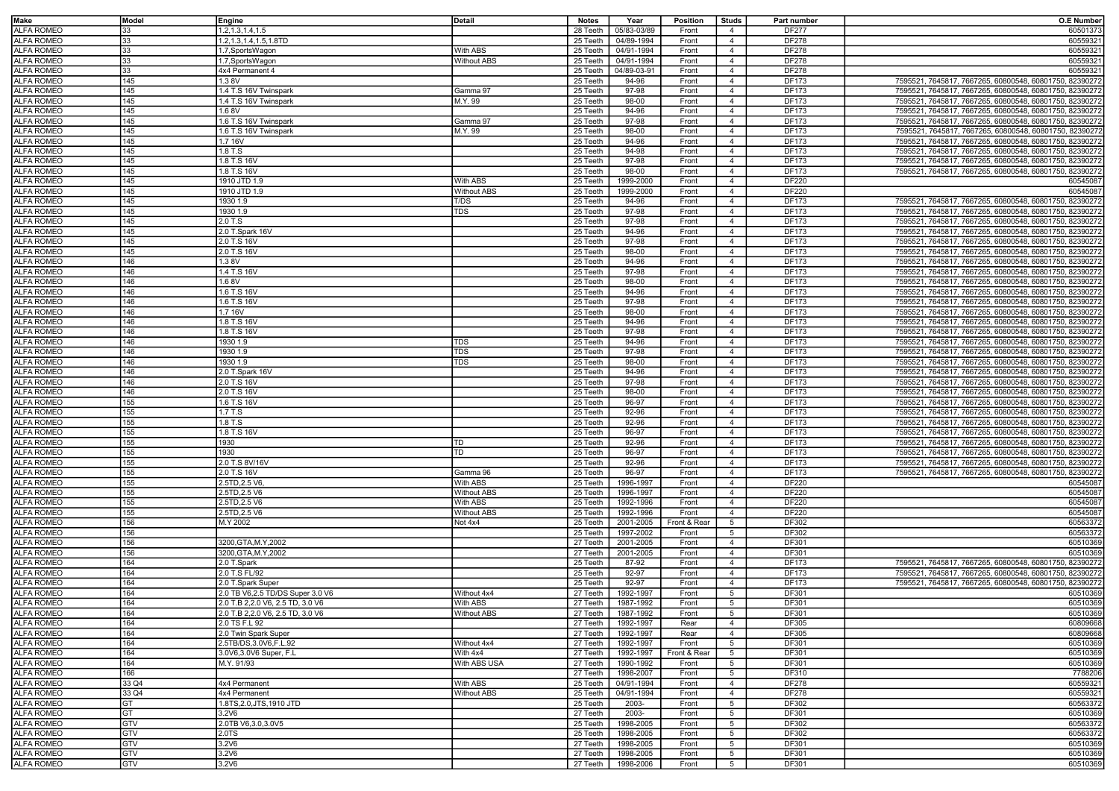| <b>Make</b>                            | Model | Engine                           | Detail             | <b>Notes</b> | Year           | Position     | <b>Studs</b>                     | Part number  | <b>O.E Number</b>                                       |
|----------------------------------------|-------|----------------------------------|--------------------|--------------|----------------|--------------|----------------------------------|--------------|---------------------------------------------------------|
| <b>ALFA ROMEO</b>                      | 33    | 1.2, 1.3, 1.4, 1.5               |                    | 28 Teeth     | 05/83-03/89    | Front        | $\overline{4}$                   | <b>DF277</b> | 60501373                                                |
| <b>ALFA ROMEO</b>                      | 33    | 1.2, 1.3, 1.4, 1.5, 1.8TD        |                    | 25 Teeth     | 04/89-1994     | Front        | $\overline{4}$                   | <b>DF278</b> | 60559321                                                |
| <b>ALFA ROMEO</b>                      | 33    | 1.7.SportsWagon                  | With ABS           | 25 Teeth     | 04/91-1994     | Front        | $\overline{4}$                   | <b>DF278</b> | 60559321                                                |
| <b>ALFA ROMEO</b>                      | 33    |                                  |                    |              |                |              |                                  |              | 60559321                                                |
|                                        |       | 1.7, Sports Wagon                | <b>Without ABS</b> | 25 Teeth     | 04/91-1994     | Front        | $\overline{4}$                   | <b>DF278</b> |                                                         |
| <b>ALFA ROMEO</b>                      | 33    | 4x4 Permanent 4                  |                    | 25 Teeth     | 04/89-03-91    | Front        | $\overline{4}$                   | <b>DF278</b> | 60559321                                                |
| <b>ALFA ROMEO</b>                      | 145   | 1.3 8V                           |                    | 25 Teeth     | 94-96          | Front        | $\overline{4}$                   | DF173        | 7595521, 7645817, 7667265, 60800548, 60801750, 82390272 |
| <b>ALFA ROMEO</b>                      | 145   | 1.4 T.S 16V Twinspark            | Gamma 97           | 25 Teeth     | 97-98          | Front        | $\overline{4}$                   | DF173        | 7595521, 7645817, 7667265, 60800548, 60801750, 82390272 |
| <b>ALFA ROMEO</b>                      | 145   | 1.4 T.S 16V Twinspark            | M.Y. 99            | 25 Teeth     | 98-00          | Front        | $\overline{4}$                   | DF173        | 7595521, 7645817, 7667265, 60800548, 60801750, 82390272 |
| <b>ALFA ROMEO</b>                      | 145   | 1.68V                            |                    | 25 Teeth     | 94-96          | Front        | $\overline{4}$                   | DF173        | 7595521, 7645817, 7667265, 60800548, 60801750, 82390272 |
| <b>ALFA ROMEO</b>                      | 145   | 1.6 T.S 16V Twinspark            | Gamma 97           | 25 Teeth     | 97-98          | Front        | $\overline{4}$                   | DF173        | 7595521, 7645817, 7667265, 60800548, 60801750, 82390272 |
| <b>ALFA ROMEO</b>                      | 145   | 1.6 T.S 16V Twinspark            | M.Y. 99            | 25 Teeth     | 98-00          | Front        | $\overline{4}$                   | DF173        | 7595521, 7645817, 7667265, 60800548, 60801750, 82390272 |
| <b>ALFA ROMEO</b>                      | 145   | 1.7 16V                          |                    | 25 Teeth     | 94-96          | Front        | $\overline{4}$                   | DF173        | 7595521, 7645817, 7667265, 60800548, 60801750, 82390272 |
| <b>ALFA ROMEO</b>                      | 145   | 1.8 T.S                          |                    | 25 Teeth     | 94-98          | Front        | $\overline{4}$                   | DF173        | 7595521, 7645817, 7667265, 60800548, 60801750, 82390272 |
| <b>ALFA ROMEO</b>                      | 145   | 1.8 T.S 16V                      |                    | 25 Teeth     | 97-98          | Front        | $\overline{4}$                   | <b>DF173</b> | 7595521, 7645817, 7667265, 60800548, 60801750, 82390272 |
| <b>ALFA ROMEO</b>                      | 145   | 1.8 T.S 16V                      |                    | 25 Teeth     | 98-00          | Front        | $\overline{4}$                   | DF173        | 7595521, 7645817, 7667265, 60800548, 60801750, 82390272 |
| <b>ALFA ROMEO</b>                      | 145   | 1910 JTD 1.9                     | With ABS           | 25 Teeth     | 1999-2000      | Front        | $\overline{4}$                   | DF220        | 60545087                                                |
| <b>ALFA ROMEO</b>                      | 145   | 1910 JTD 1.9                     | <b>Without ABS</b> | 25 Teeth     | 1999-2000      | Front        | $\overline{4}$                   | DF220        | 60545087                                                |
| <b>ALFA ROMEO</b>                      | 145   | 1930 1.9                         | T/DS               | 25 Teeth     | 94-96          | Front        | $\overline{4}$                   | DF173        | 7595521, 7645817, 7667265, 60800548, 60801750, 82390272 |
| <b>ALFA ROMEO</b>                      | 145   | 1930 1.9                         | <b>TDS</b>         | 25 Teeth     | 97-98          | Front        | $\overline{4}$                   | DF173        | 7595521, 7645817, 7667265, 60800548, 60801750, 82390272 |
| <b>ALFA ROMEO</b>                      | 145   | 2.0 T.S                          |                    | 25 Teeth     | 97-98          | Front        | $\overline{4}$                   | DF173        | 7595521, 7645817, 7667265, 60800548, 60801750, 82390272 |
|                                        |       |                                  |                    |              |                |              |                                  |              |                                                         |
| <b>ALFA ROMEO</b>                      | 145   | 2.0 T.Spark 16V                  |                    | 25 Teeth     | 94-96          | Front        | $\overline{4}$                   | DF173        | 7595521, 7645817, 7667265, 60800548, 60801750, 82390272 |
| <b>ALFA ROMEO</b>                      | 145   | 2.0 T.S 16V                      |                    | 25 Teeth     | 97-98          | Front        | $\overline{4}$                   | DF173        | 7595521, 7645817, 7667265, 60800548, 60801750, 82390272 |
| <b>ALFA ROMEO</b>                      | 145   | 2.0 T.S 16V                      |                    | 25 Teeth     | 98-00          | Front        | $\overline{4}$                   | DF173        | 7595521, 7645817, 7667265, 60800548, 60801750, 82390272 |
| <b>ALFA ROMEO</b>                      | 146   | 1.38V                            |                    | 25 Teeth     | 94-96          | Front        | $\overline{4}$                   | DF173        | 7595521, 7645817, 7667265, 60800548, 60801750, 82390272 |
| <b>ALFA ROMEO</b>                      | 146   | 1.4 T.S 16V                      |                    | 25 Teeth     | 97-98          | Front        | $\overline{4}$                   | DF173        | 7595521, 7645817, 7667265, 60800548, 60801750, 82390272 |
| <b>ALFA ROMEO</b>                      | 146   | 1.68V                            |                    | 25 Teeth     | 98-00          | Front        | $\overline{4}$                   | DF173        | 7595521, 7645817, 7667265, 60800548, 60801750, 82390272 |
| <b>ALFA ROMEO</b>                      | 146   | 1.6 T.S 16V                      |                    | 25 Teeth     | 94-96          | Front        | $\overline{4}$                   | <b>DF173</b> | 7595521, 7645817, 7667265, 60800548, 60801750, 8239027; |
| <b>ALFA ROMEO</b>                      | 146   | 1.6 T.S 16V                      |                    | 25 Teeth     | 97-98          | Front        | $\overline{4}$                   | DF173        | 7595521, 7645817, 7667265, 60800548, 60801750, 82390272 |
| <b>ALFA ROMEO</b>                      | 146   | 1.7 16V                          |                    | 25 Teeth     | 98-00          | Front        | $\overline{4}$                   | DF173        | 7595521, 7645817, 7667265, 60800548, 60801750, 82390272 |
| <b>ALFA ROMEO</b>                      | 146   | 1.8 T.S 16V                      |                    | 25 Teeth     | 94-96          | Front        | $\overline{4}$                   | DF173        | 7595521, 7645817, 7667265, 60800548, 60801750, 82390272 |
| <b>ALFA ROMEO</b>                      | 146   | 1.8 T.S 16V                      |                    | 25 Teeth     | 97-98          | Front        | $\overline{4}$                   | DF173        | 7595521, 7645817, 7667265, 60800548, 60801750, 82390272 |
| <b>ALFA ROMEO</b>                      | 146   | 1930 1.9                         | TDS                | 25 Teeth     | 94-96          | Front        | $\overline{4}$                   | DF173        | 7595521, 7645817, 7667265, 60800548, 60801750, 82390272 |
| <b>ALFA ROMEO</b>                      | 146   | 1930 1.9                         | <b>TDS</b>         | 25 Teeth     | 97-98          | Front        | $\overline{4}$                   | DF173        | 7595521, 7645817, 7667265, 60800548, 60801750, 82390272 |
| <b>ALFA ROMEO</b>                      | 146   | 1930 1.9                         | <b>TDS</b>         | 25 Teeth     | 98-00          | Front        | $\overline{4}$                   | DF173        | 7595521, 7645817, 7667265, 60800548, 60801750, 82390272 |
| <b>ALFA ROMEO</b>                      | 146   | 2.0 T.Spark 16V                  |                    | 25 Teeth     | 94-96          | Front        | $\overline{4}$                   | DF173        | 7595521, 7645817, 7667265, 60800548, 60801750, 82390272 |
| <b>ALFA ROMEO</b>                      | 146   | 2.0 T.S 16V                      |                    | 25 Teeth     | 97-98          | Front        | $\overline{4}$                   | DF173        |                                                         |
|                                        |       |                                  |                    |              |                |              |                                  |              | 7595521, 7645817, 7667265, 60800548, 60801750, 82390272 |
| <b>ALFA ROMEO</b>                      | 146   | 2.0 T.S 16V                      |                    | 25 Teeth     | 98-00          | Front        | $\overline{4}$                   | DF173        | 7595521, 7645817, 7667265, 60800548, 60801750, 82390272 |
| <b>ALFA ROMEO</b>                      | 155   | 1.6 T.S 16V                      |                    | 25 Teeth     | 96-97          | Front        | $\overline{4}$                   | DF173        | 7595521, 7645817, 7667265, 60800548, 60801750, 82390272 |
| <b>ALFA ROMEO</b>                      | 155   | 1.7 T.S                          |                    | 25 Teeth     | 92-96          | Front        | $\overline{4}$                   | DF173        | 7595521, 7645817, 7667265, 60800548, 60801750, 82390272 |
| <b>ALFA ROMEO</b>                      | 155   | 1.8 T.S                          |                    | 25 Teeth     | 92-96          | Front        | $\overline{4}$                   | DF173        | 7595521, 7645817, 7667265, 60800548, 60801750, 82390272 |
| <b>ALFA ROMEO</b>                      | 155   | 1.8 T.S 16V                      |                    | 25 Teeth     | 96-97          | Front        | $\overline{4}$                   | DF173        | 7595521, 7645817, 7667265, 60800548, 60801750, 82390272 |
| <b>ALFA ROMEO</b>                      | 155   | 1930                             | TD                 | 25 Teeth     | 92-96          | Front        | $\overline{4}$                   | DF173        | 7595521, 7645817, 7667265, 60800548, 60801750, 82390272 |
| <b>ALFA ROMEO</b>                      | 155   | 1930                             | TD                 | 25 Teeth     | 96-97          | Front        | 4                                | DF173        | 7595521, 7645817, 7667265, 60800548, 60801750, 82390272 |
| <b>ALFA ROMEO</b>                      | 155   | 2.0 T.S 8V/16V                   |                    | 25 Teeth     | 92-96          | Front        | $\overline{4}$                   | DF173        | 7595521, 7645817, 7667265, 60800548, 60801750, 82390272 |
| <b>ALFA ROMEO</b>                      | 155   | 2.0 T.S 16V                      | Gamma 96           | 25 Teeth     | 96-97          | Front        | $\overline{4}$                   | DF173        | 7595521, 7645817, 7667265, 60800548, 60801750, 82390272 |
| <b>ALFA ROMEO</b>                      | 155   | 2.5TD, 2.5 V6                    | With ABS           | 25 Teeth     | 1996-1997      | Front        | $\overline{4}$                   | DF220        | 60545087                                                |
| <b>ALFA ROMEO</b>                      | 155   | 2.5TD, 2.5 V6                    | <b>Without ABS</b> | 25 Teeth     | 1996-1997      | Front        | $\overline{4}$                   | DF220        | 60545087                                                |
| <b>ALFA ROMEO</b>                      | 155   | 2.5TD, 2.5 V6                    | With ABS           | 25 Teeth     | 1992-1996      | Front        | $\overline{4}$                   | DF220        | 60545087                                                |
| <b>ALFA ROMEO</b>                      | 155   | 2.5TD, 2.5 V6                    | <b>Without ABS</b> | 25 Teeth     | 1992-1996      | Front        | $\overline{4}$                   | DF220        | 60545087                                                |
| <b>ALFA ROMEO</b>                      | 156   | M.Y 2002                         | Not 4x4            | 25 Teeth     | 2001-2005      | Front & Rear | 5                                | DF302        | 60563372                                                |
| <b>ALFA ROMEO</b>                      | 156   |                                  |                    | 25 Teeth     | 1997-2002      | Front        | 5                                | DF302        | 60563372                                                |
| <b>ALFA ROMEO</b>                      | 156   | 3200, GTA, M.Y, 2002             |                    | 27 Teeth     | 2001-2005      | Front        | $\overline{4}$                   | DF301        | 60510369                                                |
| <b>ALFA ROMEO</b>                      | 156   | 3200, GTA, M.Y, 2002             |                    | 27 Teeth     | 2001-2005      | Front        | $\overline{4}$                   | DF301        | 60510369                                                |
| <b>ALFA ROMEO</b>                      | 164   | 2.0 T.Spark                      |                    | 25 Teeth     | 87-92          | Front        | $\overline{4}$                   | DF173        | 7595521, 7645817, 7667265, 60800548, 60801750, 82390272 |
|                                        |       |                                  |                    |              |                |              |                                  |              |                                                         |
| <b>ALFA ROMEO</b><br><b>ALFA ROMEO</b> | 164   | 2.0 T.S FL/92                    |                    | 25 Teeth     | 92-97<br>92-97 | Front        | $\overline{4}$<br>$\overline{4}$ | DF173        | 7595521, 7645817, 7667265, 60800548, 60801750, 82390272 |
|                                        | 164   | 2.0 T.Spark Super                |                    | 25 Teeth     |                | Front        |                                  | DF173        | 7595521, 7645817, 7667265, 60800548, 60801750, 82390272 |
| <b>ALFA ROMEO</b>                      | 164   | 2.0 TB V6,2.5 TD/DS Super 3.0 V6 | Without 4x4        | 27 Teeth     | 1992-1997      | Front        | 5                                | DF301        | 60510369                                                |
| <b>ALFA ROMEO</b>                      | 164   | 2.0 T.B 2,2.0 V6, 2.5 TD, 3.0 V6 | With ABS           | 27 Teeth     | 1987-1992      | Front        | $5\overline{5}$                  | DF301        | 60510369                                                |
| <b>ALFA ROMEO</b>                      | 164   | 2.0 T.B 2,2.0 V6, 2.5 TD, 3.0 V6 | <b>Without ABS</b> | 27 Teeth     | 1987-1992      | Front        | $5\overline{5}$                  | DF301        | 60510369                                                |
| <b>ALFA ROMEO</b>                      | 164   | 2.0 TS F.L 92                    |                    | 27 Teeth     | 1992-1997      | Rear         | $\overline{4}$                   | DF305        | 60809668                                                |
| <b>ALFA ROMEO</b>                      | 164   | 2.0 Twin Spark Super             |                    | 27 Teeth     | 1992-1997      | Rear         | $\overline{4}$                   | DF305        | 60809668                                                |
| <b>ALFA ROMEO</b>                      | 164   | 2.5TB/DS,3.0V6,F.L.92            | Without 4x4        | 27 Teeth     | 1992-1997      | Front        | 5                                | DF301        | 60510369                                                |
| <b>ALFA ROMEO</b>                      | 164   | 3.0V6,3.0V6 Super, F.L           | With 4x4           | 27 Teeth     | 1992-1997      | Front & Rear | 5                                | DF301        | 60510369                                                |
| <b>ALFA ROMEO</b>                      | 164   | M.Y. 91/93                       | With ABS USA       | 27 Teeth     | 1990-1992      | Front        | 5                                | DF301        | 60510369                                                |
| <b>ALFA ROMEO</b>                      | 166   |                                  |                    | 27 Teeth     | 1998-2007      | Front        | 5                                | DF310        | 7788206                                                 |
| <b>ALFA ROMEO</b>                      | 33 Q4 | 4x4 Permanent                    | With ABS           | 25 Teeth     | 04/91-1994     | Front        | $\overline{4}$                   | <b>DF278</b> | 60559321                                                |
| <b>ALFA ROMEO</b>                      | 33 Q4 | 4x4 Permanent                    | <b>Without ABS</b> | 25 Teeth     | 04/91-1994     | Front        | $\overline{4}$                   | <b>DF278</b> | 60559321                                                |
| <b>ALFA ROMEO</b>                      | GT    | 1.8TS, 2.0, JTS, 1910 JTD        |                    | 25 Teeth     | 2003-          | Front        | 5                                | DF302        | 60563372                                                |
| <b>ALFA ROMEO</b>                      | GT    | 3.2V6                            |                    | 27 Teeth     | 2003-          | Front        | 5                                | DF301        | 60510369                                                |
| <b>ALFA ROMEO</b>                      | GTV   | 2.0TB V6,3.0,3.0V5               |                    | 25 Teeth     | 1998-2005      | Front        | 5                                | DF302        | 60563372                                                |
| <b>ALFA ROMEO</b>                      | GTV   | 2.0TS                            |                    | 25 Teeth     | 1998-2005      | Front        | 5                                | DF302        | 60563372                                                |
| <b>ALFA ROMEO</b>                      | GTV   | 3.2V6                            |                    | 27 Teeth     | 1998-2005      | Front        | 5                                | DF301        | 60510369                                                |
| <b>ALFA ROMEO</b>                      | GTV   | 3.2V6                            |                    | 27 Teeth     | 1998-2005      | Front        | 5                                | DF301        | 60510369                                                |
| <b>ALFA ROMEO</b>                      | GTV   | 3.2V6                            |                    | 27 Teeth     | 1998-2006      | Front        | 5                                | DF301        | 60510369                                                |
|                                        |       |                                  |                    |              |                |              |                                  |              |                                                         |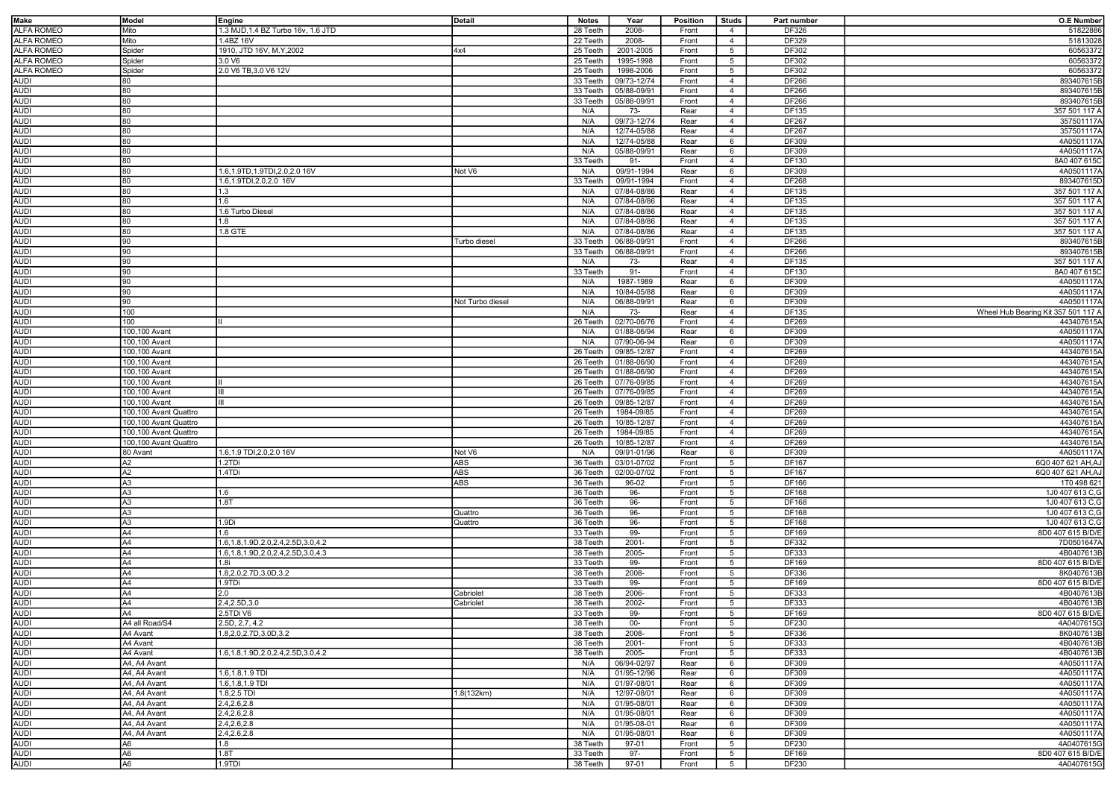| Make              | Model                 | Engine                                   | Detail           | <b>Notes</b> | Year            | Position | <b>Studs</b>    | Part number | <b>O.E Number</b>                   |
|-------------------|-----------------------|------------------------------------------|------------------|--------------|-----------------|----------|-----------------|-------------|-------------------------------------|
| ALFA ROMEO        | Mito                  | 1.3 MJD, 1.4 BZ Turbo 16v, 1.6 JTD       |                  | 28 Teeth     | 2008-           | Front    | 4               | DF326       | 51822886                            |
|                   |                       |                                          |                  |              |                 |          |                 |             |                                     |
| ALFA ROMEO        | Mito                  | 1.4BZ 16V                                |                  | 22 Teeth     | 2008-           | Front    | $\overline{4}$  | DF329       | 51813028                            |
| <b>ALFA ROMEO</b> | Spider                | 1910, JTD 16V, M.Y, 2002                 | 4x4              | 25 Teeth     | 2001-2005       | Front    | $5\overline{5}$ | DF302       | 60563372                            |
| <b>ALFA ROMEO</b> | Spider                | 3.0 V6                                   |                  | 25 Teeth     | 1995-1998       | Front    | 5               | DF302       | 60563372                            |
| <b>ALFA ROMEO</b> | Spider                | 2.0 V6 TB, 3.0 V6 12V                    |                  | 25 Teeth     | 1998-2006       | Front    | 5               | DF302       | 60563372                            |
| <b>AUDI</b>       | 80                    |                                          |                  | 33 Teeth     | 09/73-12/74     | Front    | $\overline{4}$  | DF266       | 893407615B                          |
| <b>AUDI</b>       | 80                    |                                          |                  | 33 Teeth     | 05/88-09/91     | Front    | $\overline{4}$  | DF266       | 893407615B                          |
| <b>AUDI</b>       | 80                    |                                          |                  | 33 Teeth     | 05/88-09/91     | Front    | $\overline{4}$  | DF266       | 893407615B                          |
| <b>AUDI</b>       | 80                    |                                          |                  | N/A          | 73-             | Rear     | $\overline{4}$  | DF135       | 357 501 117 A                       |
| <b>AUDI</b>       |                       |                                          |                  |              |                 |          |                 |             |                                     |
|                   | 80                    |                                          |                  | N/A          | 09/73-12/74     | Rear     | $\overline{4}$  | DF267       | 357501117A                          |
| <b>AUDI</b>       | 80                    |                                          |                  | N/A          | $12/74 - 05/88$ | Rear     | $\overline{4}$  | DF267       | 357501117A                          |
| <b>AUDI</b>       | 80                    |                                          |                  | N/A          | 12/74-05/88     | Rear     | 6               | DF309       | 4A0501117A                          |
| <b>AUDI</b>       | 80                    |                                          |                  | N/A          | 05/88-09/91     | Rear     | 6               | DF309       | 4A0501117A                          |
| <b>AUDI</b>       | 80                    |                                          |                  | 33 Teeth     | $91 -$          | Front    | $\overline{4}$  | DF130       | 8A0 407 615C                        |
| <b>AUDI</b>       | 80                    | 1.6,1.9TD,1.9TDI,2.0,2.0 16V             | Not V6           | N/A          | 09/91-1994      | Rear     | 6               | DF309       | 4A0501117A                          |
| <b>AUDI</b>       | 80                    | 1.6,1.9TDI,2.0,2.0 16V                   |                  | 33 Teeth     | 09/91-1994      | Front    | $\overline{4}$  | DF268       | 893407615D                          |
| <b>AUDI</b>       | 80                    | 1.3                                      |                  | N/A          | 07/84-08/86     | Rear     | $\overline{4}$  | DF135       | 357 501 117 A                       |
| <b>AUDI</b>       | 80                    | 1.6                                      |                  | N/A          | 07/84-08/86     | Rear     | $\overline{4}$  | DF135       | 357 501 117 A                       |
|                   |                       |                                          |                  |              |                 |          |                 |             |                                     |
| <b>AUDI</b>       | 80                    | 1.6 Turbo Diesel                         |                  | N/A          | 07/84-08/86     | Rear     | $\overline{4}$  | DF135       | 357 501 117 A                       |
| <b>AUDI</b>       | 80                    | 1.8                                      |                  | N/A          | 07/84-08/86     | Rear     | $\overline{4}$  | DF135       | 357 501 117 A                       |
| <b>AUDI</b>       | 80                    | 1.8 GTE                                  |                  | N/A          | 07/84-08/86     | Rear     | $\overline{4}$  | DF135       | 357 501 117 A                       |
| <b>AUDI</b>       | 90                    |                                          | Turbo diesel     | 33 Teeth     | 06/88-09/91     | Front    | $\overline{4}$  | DF266       | 893407615B                          |
| <b>AUDI</b>       | 90                    |                                          |                  | 33 Teeth     | 06/88-09/91     | Front    | $\overline{4}$  | DF266       | 893407615B                          |
| <b>AUDI</b>       | 90                    |                                          |                  | N/A          | 73-             | Rear     | $\overline{4}$  | DF135       | 357 501 117 A                       |
| <b>AUDI</b>       | 90                    |                                          |                  | 33 Teeth     | $91 -$          | Front    | $\overline{4}$  | DF130       | 8A0 407 615C                        |
| <b>AUDI</b>       | 90                    |                                          |                  | N/A          | 1987-1989       | Rear     | 6               | DF309       | 4A0501117A                          |
|                   |                       |                                          |                  |              |                 |          |                 |             |                                     |
| <b>AUDI</b>       | 90                    |                                          |                  | N/A          | 10/84-05/88     | Rear     | 6               | DF309       | 4A0501117A                          |
| <b>AUDI</b>       | 90                    |                                          | Not Turbo diesel | N/A          | 06/88-09/91     | Rear     | 6               | DF309       | 4A0501117A                          |
| <b>AUDI</b>       | 100                   |                                          |                  | N/A          | $73-$           | Rear     | $\overline{4}$  | DF135       | Wheel Hub Bearing Kit 357 501 117 A |
| <b>AUDI</b>       | 100                   |                                          |                  | 26 Teeth     | 02/70-06/76     | Front    | $\overline{4}$  | DF269       | 443407615A                          |
| <b>AUDI</b>       | 100,100 Avant         |                                          |                  | N/A          | 01/88-06/94     | Rear     | 6               | DF309       | 4A0501117A                          |
| <b>AUDI</b>       | 100.100 Avant         |                                          |                  | N/A          | 07/90-06-94     | Rear     | 6               | DF309       | 4A0501117A                          |
| <b>AUDI</b>       | 100,100 Avant         |                                          |                  | 26 Teeth     | 09/85-12/87     | Front    | $\overline{4}$  | DF269       | 443407615A                          |
|                   | 100.100 Avant         |                                          |                  |              |                 |          | $\overline{4}$  |             | 443407615A                          |
| AUDI              |                       |                                          |                  | 26 Teeth     | 01/88-06/90     | Front    |                 | DF269       |                                     |
| <b>AUDI</b>       | 100,100 Avant         |                                          |                  | 26 Teeth     | 01/88-06/90     | Front    | $\overline{4}$  | DF269       | 443407615A                          |
| <b>AUDI</b>       | 100,100 Avant         |                                          |                  | 26 Teeth     | 07/76-09/85     | Front    | $\overline{4}$  | DF269       | 443407615A                          |
| <b>AUDI</b>       | 100,100 Avant         | Ш                                        |                  | 26 Teeth     | 07/76-09/85     | Front    | $\overline{4}$  | DF269       | 443407615A                          |
| <b>AUDI</b>       | 100,100 Avant         | Ш                                        |                  | 26 Teeth     | 09/85-12/87     | Front    | $\overline{4}$  | DF269       | 443407615A                          |
| <b>AUDI</b>       | 100,100 Avant Quattro |                                          |                  | 26 Teeth     | 1984-09/85      | Front    | $\overline{4}$  | DF269       | 443407615A                          |
| <b>AUDI</b>       | 100,100 Avant Quattro |                                          |                  | 26 Teeth     | 10/85-12/87     | Front    | $\overline{4}$  | DF269       | 443407615A                          |
| <b>AUDI</b>       | 100,100 Avant Quattro |                                          |                  | 26 Teeth     | 1984-09/85      | Front    | $\overline{4}$  | DF269       | 443407615A                          |
|                   |                       |                                          |                  |              |                 |          |                 |             |                                     |
| <b>AUDI</b>       | 100,100 Avant Quattro |                                          |                  | 26 Teeth     | 10/85-12/87     | Front    | $\overline{4}$  | DF269       | 443407615A                          |
| <b>AUDI</b>       | 80 Avant              | 1.6,1.9 TDI,2.0,2.0 16V                  | Not V6           | N/A          | 09/91-01/96     | Rear     | 6               | DF309       | 4A0501117A                          |
| <b>AUDI</b>       | A2                    | 1.2TDi                                   | ABS              | 36 Teeth     | 03/01-07/02     | Front    | $5\overline{5}$ | DF167       | 6Q0 407 621 AH, AJ                  |
| <b>AUDI</b>       | A2                    | 1.4TDi                                   | ABS              | 36 Teeth     | 02/00-07/02     | Front    | $5\overline{5}$ | DF167       | 6Q0 407 621 AH, AJ                  |
| <b>AUDI</b>       | A3                    |                                          | ABS              | 36 Teeth     | 96-02           | Front    | 5               | DF166       | 1T0 498 621                         |
| <b>AUDI</b>       | A3                    | 1.6                                      |                  | 36 Teeth     | 96-             | Front    | 5               | DF168       | 1J0 407 613 C,G                     |
| <b>AUDI</b>       | A3                    | 1.8T                                     |                  | 36 Teeth     | 96-             | Front    | 5               | DF168       | 1J0 407 613 C,G                     |
| <b>AUDI</b>       | A3                    |                                          | Quattro          | 36 Teeth     | 96-             | Front    | 5               | DF168       | 1J0 407 613 C,G                     |
|                   |                       |                                          |                  |              |                 |          |                 |             |                                     |
| <b>AUDI</b>       | A3                    | 1.9Di                                    | Quattro          | 36 Teeth     | 96-             | Front    | $5\overline{5}$ | DF168       | 1J0 407 613 C,G                     |
| <b>AUDI</b>       | A4                    | 1.6                                      |                  | 33 Teeth     | 99-             | Front    | 5               | DF169       | 8D0 407 615 B/D/E                   |
| <b>AUDI</b>       | A4                    | 1.6, 1.8, 1.9D, 2.0, 2.4, 2.5D, 3.0, 4.2 |                  | 38 Teeth     | $2001 -$        | Front    | $5\overline{5}$ | DF332       | 7D0501647A                          |
| <b>AUDI</b>       | A4                    | 1.6, 1.8, 1.9D, 2.0, 2.4, 2.5D, 3.0, 4.3 |                  | 38 Teeth     | $2005 -$        | Front    | 5               | DF333       | 4B0407613B                          |
| <b>AUDI</b>       | A4                    | 1.8i                                     |                  | 33 Teeth     | 99-             | Front    | $5\overline{5}$ | DF169       | 8D0 407 615 B/D/E                   |
| <b>AUDI</b>       | A4                    | 1.8,2.0,2.7D,3.0D,3.2                    |                  | 38 Teeth     | 2008-           | Front    | 5               | DF336       | 8K0407613B                          |
| <b>AUDI</b>       | A4                    | 1.9TDi                                   |                  | 33 Teeth     | 99-             | Front    | $5\overline{5}$ | DF169       | 8D0 407 615 B/D/E                   |
| <b>AUDI</b>       | A4                    | 2.0                                      | Cabriolet        | 38 Teeth     | 2006-           | Front    | 5               | DF333       | 4B0407613B                          |
|                   |                       |                                          |                  |              |                 |          |                 |             |                                     |
| <b>AUDI</b>       | A4                    | 2.4,2.5D,3.0                             | Cabriolet        | 38 Teeth     | 2002-           | Front    | $5^{\circ}$     | DF333       | 4B0407613B                          |
| <b>AUDI</b>       | A4                    | 2.5TDi V6                                |                  | 33 Teeth     | 99-             | Front    | 5               | DF169       | 8D0 407 615 B/D/E                   |
| <b>AUDI</b>       | A4 all Road/S4        | 2.5D, 2.7, 4.2                           |                  | 38 Teeth     | $00-$           | Front    | 5 <sup>5</sup>  | DF230       | 4A0407615G                          |
| <b>AUDI</b>       | A4 Avant              | 1.8, 2.0, 2.7 D, 3.0 D, 3.2              |                  | 38 Teeth     | 2008-           | Front    | 5               | DF336       | 8K0407613B                          |
| <b>AUDI</b>       | A4 Avant              |                                          |                  | 38 Teeth     | 2001-           | Front    | $5\overline{5}$ | DF333       | 4B0407613B                          |
| <b>AUDI</b>       | A4 Avant              | 1.6, 1.8, 1.9D, 2.0, 2.4, 2.5D, 3.0, 4.2 |                  | 38 Teeth     | 2005-           | Front    | $5\overline{5}$ | DF333       | 4B0407613B                          |
| <b>AUDI</b>       | A4, A4 Avant          |                                          |                  | N/A          | 06/94-02/97     | Rear     | 6               | DF309       | 4A0501117A                          |
| <b>AUDI</b>       | A4, A4 Avant          | 1.6, 1.8, 1.9 TDI                        |                  | N/A          | 01/95-12/96     | Rear     | 6               | DF309       | 4A0501117A                          |
| <b>AUDI</b>       | A4, A4 Avant          | $1.6.1.8.1.9$ TDI                        |                  | N/A          | 01/97-08/01     | Rear     | 6               | DF309       | 4A0501117A                          |
|                   |                       |                                          |                  |              |                 |          |                 |             |                                     |
| <b>AUDI</b>       | A4, A4 Avant          | 1.8,2.5 TDI                              | 1.8(132km)       | N/A          | 12/97-08/01     | Rear     | 6               | DF309       | 4A0501117A                          |
| <b>AUDI</b>       | A4, A4 Avant          | 2.4, 2.6, 2.8                            |                  | N/A          | 01/95-08/01     | Rear     | 6               | DF309       | 4A0501117A                          |
| <b>AUDI</b>       | A4, A4 Avant          | 2.4,2.6,2.8                              |                  | N/A          | 01/95-08/01     | Rear     | 6               | DF309       | 4A0501117A                          |
| <b>AUDI</b>       | A4, A4 Avant          | 2.4,2.6,2.8                              |                  | N/A          | 01/95-08-01     | Rear     | 6               | DF309       | 4A0501117A                          |
| <b>AUDI</b>       | A4, A4 Avant          | 2.4,2.6,2.8                              |                  | N/A          | 01/95-08/01     | Rear     | 6               | DF309       | 4A0501117A                          |
| <b>AUDI</b>       | A6                    | 1.8                                      |                  | 38 Teeth     | 97-01           | Front    | $5\overline{5}$ | DF230       | 4A0407615G                          |
| <b>AUDI</b>       | A <sub>6</sub>        | 1.8T                                     |                  | 33 Teeth     | $97 -$          | Front    | $5\overline{5}$ | DF169       | 8D0 407 615 B/D/E                   |
| <b>AUDI</b>       | A <sub>6</sub>        | 1.9TDI                                   |                  |              | 97-01           |          |                 | DF230       | 4A0407615G                          |
|                   |                       |                                          |                  | 38 Teeth     |                 | Front    | 5 <sub>5</sub>  |             |                                     |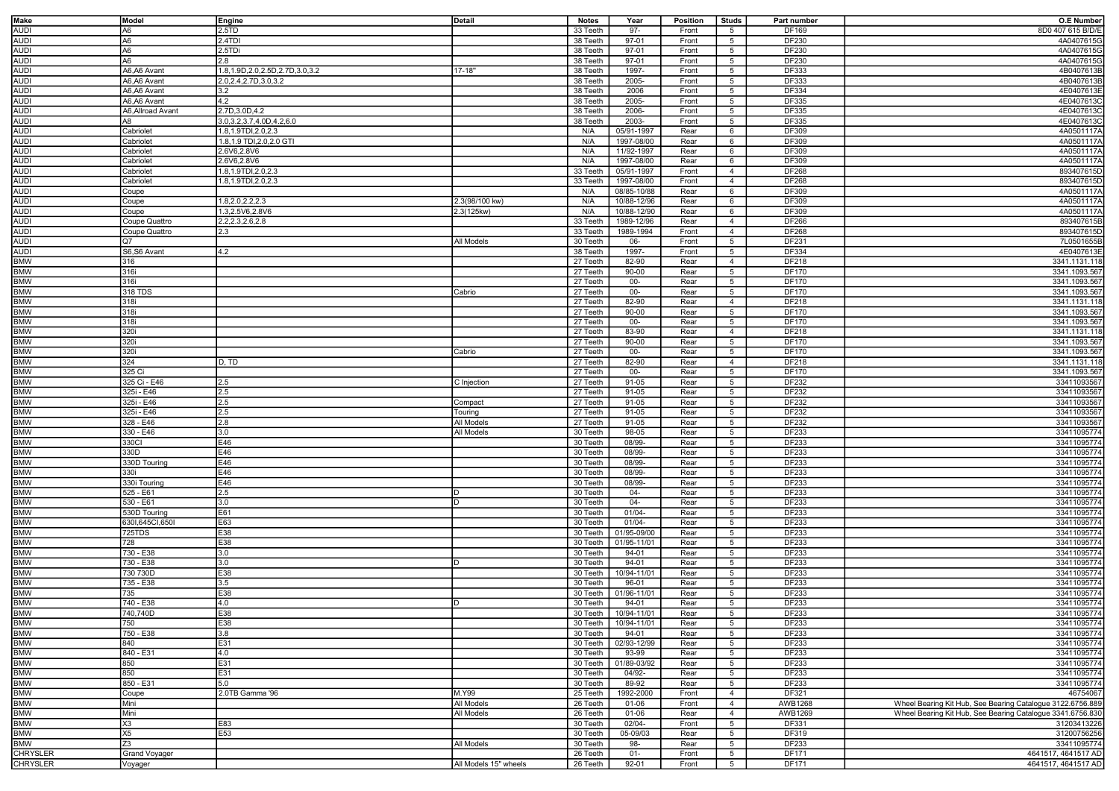| <b>Make</b>       | Model             | Engine                               | <b>Detail</b>         | <b>Notes</b> | Year                   | Position | Studs           | Part number  | <b>O.E Number</b>                                          |
|-------------------|-------------------|--------------------------------------|-----------------------|--------------|------------------------|----------|-----------------|--------------|------------------------------------------------------------|
| <b>AUDI</b>       | A6                | 2.5 <sub>TD</sub>                    |                       | 33 Teeth     | 97-                    | Front    | $5\overline{5}$ | DF169        | 8D0 407 615 B/D/E                                          |
| <b>AUDI</b>       | A <sub>6</sub>    | 2.4TDI                               |                       | 38 Teeth     | 97-01                  | Front    | $5\overline{5}$ | DF230        | 4A0407615G                                                 |
|                   |                   |                                      |                       |              |                        |          |                 |              |                                                            |
| <b>AUDI</b>       | A6                | 2.5TDi                               |                       | 38 Teeth     | 97-01                  | Front    | $5\overline{5}$ | DF230        | 4A0407615G                                                 |
| <b>AUDI</b>       | A6                | 2.8                                  |                       | 38 Teeth     | 97-01                  | Front    | 5               | DF230        | 4A0407615G                                                 |
| <b>AUDI</b>       | A6,A6 Avant       | 1.8, 1.9D, 2.0, 2.5D, 2.7D, 3.0, 3.2 | 17-18"                | 38 Teeth     | 1997-                  | Front    | 5               | DF333        | 4B0407613B                                                 |
|                   | A6,A6 Avant       | 2.0, 2.4, 2.7D, 3.0, 3.2             |                       | 38 Teeth     | 2005-                  | Front    | 5               | DF333        | 4B0407613B                                                 |
| AUDI<br>AUDI      | A6,A6 Avant       | 3.2                                  |                       | 38 Teeth     | 2006                   | Front    | 5               | DF334        | 4E0407613E                                                 |
| <b>AUDI</b>       | A6,A6 Avant       | 4.2                                  |                       | 38 Teeth     | 2005-                  | Front    | 5               | DF335        | 4E0407613C                                                 |
|                   |                   |                                      |                       |              |                        |          |                 |              |                                                            |
| <b>AUDI</b>       | A6, Allroad Avant | 2.7D, 3.0D, 4.2                      |                       | 38 Teeth     | 2006-                  | Front    | 5               | DF335        | 4E0407613C                                                 |
| <b>AUDI</b>       | A8                | 3.0, 3.2, 3.7, 4.0 D, 4.2, 6.0       |                       | 38 Teeth     | 2003-                  | Front    | $5\overline{5}$ | DF335        | 4E0407613C                                                 |
| <b>AUDI</b>       | Cabriolet         | 1.8,1.9TDI,2.0,2.3                   |                       | N/A          | 05/91-1997             | Rear     | 6               | DF309        | 4A0501117A                                                 |
| <b>AUDI</b>       | Cabriolet         | 1.8, 1.9 TDI, 2.0, 2.0 GTI           |                       | N/A          | 1997-08/00             | Rear     | 6               | DF309        | 4A0501117A                                                 |
| <b>AUDI</b>       | Cabriolet         | 2.6V6,2.8V6                          |                       | N/A          | 11/92-1997             | Rear     | 6               | DF309        | 4A0501117A                                                 |
| <b>AUDI</b>       | Cabriolet         | 2.6V6,2.8V6                          |                       | N/A          | 1997-08/00             | Rear     | 6               | DF309        | 4A0501117A                                                 |
| <b>AUDI</b>       | Cabriolet         | 1.8,1.9TDI,2.0,2.3                   |                       | 33 Teeth     | 05/91-1997             | Front    | $\overline{4}$  | DF268        | 893407615D                                                 |
| <b>AUDI</b>       | Cabriolet         | 1.8,1.9TDI,2.0,2.3                   |                       | 33 Teeth     | 1997-08/00             | Front    | $\overline{4}$  | DF268        | 893407615D                                                 |
| <b>AUDI</b>       |                   |                                      |                       |              |                        |          |                 |              |                                                            |
|                   | Coupe             |                                      |                       | N/A          | 08/85-10/88            | Rear     | 6               | DF309        | 4A0501117A                                                 |
| <b>AUDI</b>       | Coupe             | 1.8,2.0,2.2,2.3                      | 2.3(98/100 kw)        | N/A          | 10/88-12/96            | Rear     | 6               | DF309        | 4A0501117A                                                 |
| <b>AUDI</b>       | Coupe             | 1.3,2.5V6,2.8V6                      | 2.3(125kw)            | N/A          | 10/88-12/90            | Rear     | 6               | DF309        | 4A0501117A                                                 |
| <b>AUDI</b>       | Coupe Quattro     | 2.2,2.3,2.6,2.8                      |                       | 33 Teeth     | 1989-12/96             | Rear     | $\overline{4}$  | DF266        | 893407615B                                                 |
| <b>AUDI</b>       | Coupe Quattro     | 2.3                                  |                       | 33 Teeth     | 1989-1994              | Front    | $\overline{4}$  | DF268        | 893407615D                                                 |
| <b>AUDI</b>       | Q7                |                                      | All Models            | 30 Teeth     | 06-                    | Front    | 5               | DF231        | 7L0501655B                                                 |
| <b>AUDI</b>       | S6,S6 Avant       | 4.2                                  |                       | 38 Teeth     | 1997-                  | Front    | 5               | DF334        | 4E0407613E                                                 |
| <b>BMW</b>        | 316               |                                      |                       |              | 82-90                  | Rear     | $\overline{4}$  | DF218        | 3341.1131.118                                              |
|                   |                   |                                      |                       | 27 Teeth     |                        |          |                 |              |                                                            |
| <b>BMW</b>        | 316i              |                                      |                       | 27 Teeth     | 90-00                  | Rear     | $5\overline{5}$ | DF170        | 3341.1093.567                                              |
| <b>BMW</b>        | 316i              |                                      |                       | 27 Teeth     | $00-$                  | Rear     | 5               | DF170        | 3341.1093.567                                              |
| <b>BMW</b>        | 318 TDS           |                                      | Cabrio                | 27 Teeth     | $00-$                  | Rear     | $\sqrt{5}$      | DF170        | 3341.1093.567                                              |
| <b>BMW</b>        | 318i              |                                      |                       | 27 Teeth     | 82-90                  | Rear     | $\overline{4}$  | DF218        | 3341.1131.118                                              |
| <b>BMW</b>        | 318i              |                                      |                       | 27 Teeth     | 90-00                  | Rear     | 5               | DF170        | 3341.1093.567                                              |
| <b>BMW</b>        | 318i              |                                      |                       | 27 Teeth     | $00-$                  | Rear     | 5               | DF170        | 3341.1093.567                                              |
| <b>BMW</b>        | 320i              |                                      |                       | 27 Teeth     | 83-90                  | Rear     | $\overline{4}$  | DF218        | 3341.1131.118                                              |
| <b>BMW</b>        |                   |                                      |                       |              |                        |          |                 |              |                                                            |
|                   | 320i              |                                      |                       | 27 Teeth     | 90-00                  | Rear     | 5               | DF170        | 3341.1093.567                                              |
| <b>BMW</b>        | 320i              |                                      | Cabrio                | 27 Teeth     | $00-$                  | Rear     | 5               | DF170        | 3341.1093.567                                              |
| <b>BMW</b>        | 324               | D, TD                                |                       | 27 Teeth     | 82-90                  | Rear     | $\overline{4}$  | DF218        | 3341.1131.118                                              |
| <b>BMW</b>        | 325 Ci            |                                      |                       | 27 Teeth     | $00-$                  | Rear     | 5               | DF170        | 3341.1093.567                                              |
| <b>BMW</b>        | 325 Ci - E46      | 2.5                                  | C Injection           | 27 Teeth     | 91-05                  | Rear     | 5               | <b>DF232</b> | 33411093567                                                |
| <b>BMW</b>        | 325i - E46        | 2.5                                  |                       | 27 Teeth     | 91-05                  | Rear     | $5\overline{5}$ | <b>DF232</b> | 33411093567                                                |
| <b>BMW</b>        | 325i - E46        | 2.5                                  | Compact               | 27 Teeth     | 91-05                  | Rear     | 5               | DF232        | 33411093567                                                |
| <b>BMW</b>        |                   | 2.5                                  |                       |              |                        |          |                 |              |                                                            |
|                   | 325i - E46        |                                      | Touring               | 27 Teeth     | 91-05                  | Rear     | $5\overline{5}$ | DF232        | 33411093567                                                |
| <b>BMW</b>        | 328 - E46         | 2.8                                  | All Models            | 27 Teeth     | 91-05                  | Rear     | 5               | DF232        | 33411093567                                                |
| <b>BMW</b>        | 330 - E46         | 3.0                                  | All Models            | 30 Teeth     | 98-05                  | Rear     | $5\overline{5}$ | DF233        | 33411095774                                                |
| <b>BMW</b>        | 330CI             | E46                                  |                       | 30 Teeth     | 08/99-                 | Rear     | $5\overline{5}$ | DF233        | 33411095774                                                |
| <b>BMW</b>        | 330D              | E46                                  |                       | 30 Teeth     | 08/99-                 | Rear     | $5\overline{5}$ | DF233        | 33411095774                                                |
| <b>BMW</b>        | 330D Touring      | E46                                  |                       | 30 Teeth     | 08/99-                 | Rear     | 5               | DF233        | 33411095774                                                |
| <b>BMW</b>        | 330i              | E46                                  |                       | 30 Teeth     | 08/99-                 | Rear     | 5 <sup>5</sup>  | DF233        | 33411095774                                                |
| <b>BMW</b>        | 330i Touring      | E46                                  |                       | 30 Teeth     | 08/99-                 | Rear     | $5\overline{5}$ | DF233        | 33411095774                                                |
|                   |                   |                                      |                       |              |                        |          |                 |              |                                                            |
| <b>BMW</b>        | 525 - E61         | 2.5                                  |                       | 30 Teeth     | 04-                    | Rear     | 5               | DF233        | 33411095774                                                |
| <b>BMW</b>        | 530 - E61         | 3.0                                  | D                     | 30 Teeth     | $04 -$                 | Rear     | $5\overline{5}$ | DF233        | 33411095774                                                |
| <b>BMW</b>        | 530D Touring      | E61                                  |                       | 30 Teeth     | $01/04 -$              | Rear     | $5\overline{5}$ | DF233        | 33411095774                                                |
| <b>BMW</b>        | 6301,645C1,6501   | E63                                  |                       | 30 Teeth     | $01/04 -$              | Rear     | $5\overline{5}$ | DF233        | 33411095774                                                |
| <b>BMW</b>        | 725TDS            | E38                                  |                       | 30 Teeth     | 01/95-09/00            | Rear     | $5\overline{5}$ | DF233        | 33411095774                                                |
| <b>BMW</b>        | 728               | E38                                  |                       | 30 Teeth     | 01/95-11/01            | Rear     | 5               | DF233        | 33411095774                                                |
| <b>BMW</b>        | 730 - E38         | 3.0                                  |                       | 30 Teeth     | 94-01                  | Rear     | $5\overline{5}$ | DF233        | 33411095774                                                |
|                   |                   |                                      |                       |              | 94-01                  |          |                 |              |                                                            |
| <b>BMW</b>        | 730 - E38         | 3.0                                  |                       | 30 Teeth     |                        | Rear     | $5\overline{5}$ | DF233        | 33411095774                                                |
| <b>BMW</b>        | 730 730D          | E38                                  |                       | 30 Teeth     | 10/94-11/01            | Rear     | 5               | DF233        | 33411095774                                                |
| <b>BMW</b>        | 735 - E38         | 3.5                                  |                       | 30 Teeth     | 96-01                  | Rear     | 5               | DF233        | 33411095774                                                |
| <b>BMW</b>        | 735               | E38                                  |                       | 30 Teeth     | 01/96-11/01            | Rear     | $5\overline{5}$ | DF233        | 33411095774                                                |
| BMW<br>BMW<br>BMW | 740 - E38         | 4.0                                  |                       | 30 Teeth     | 94-01                  | Rear     | $5\overline{5}$ | DF233        | 33411095774                                                |
|                   | 740,740D          | E38                                  |                       |              | 30 Teeth   10/94-11/01 | Rear     | 5               | DF233        | 33411095774                                                |
|                   | 750               | E38                                  |                       | 30 Teeth     | 10/94-11/01            | Rear     | $5\overline{5}$ | DF233        | 33411095774                                                |
| <b>BMW</b>        | 750 - E38         | 3.8                                  |                       | 30 Teeth     | 94-01                  | Rear     | $5\overline{5}$ | DF233        | 33411095774                                                |
| <b>BMW</b>        | 840               | E31                                  |                       | 30 Teeth     | 02/93-12/99            | Rear     | $5\overline{5}$ | DF233        | 33411095774                                                |
|                   |                   |                                      |                       |              |                        |          |                 |              |                                                            |
| <b>BMW</b>        | 840 - E31         | 4.0                                  |                       | 30 Teeth     | 93-99                  | Rear     | 5               | DF233        | 33411095774                                                |
| <b>BMW</b>        | 850               | E31                                  |                       | 30 Teeth     | 01/89-03/92            | Rear     | $5\overline{5}$ | DF233        | 33411095774                                                |
| <b>BMW</b>        | 850               | E31                                  |                       | 30 Teeth     | 04/92-                 | Rear     | 5               | DF233        | 33411095774                                                |
| <b>BMW</b>        | 850 - E31         | 5.0                                  |                       | 30 Teeth     | 89-92                  | Rear     | $5\overline{5}$ | DF233        | 33411095774                                                |
| <b>BMW</b>        | Coupe             | 2.0TB Gamma '96                      | M.Y99                 | 25 Teeth     | 1992-2000              | Front    | $\overline{4}$  | DF321        | 46754067                                                   |
| <b>BMW</b>        | Mini              |                                      | All Models            | 26 Teeth     | 01-06                  | Front    | $\overline{4}$  | AWB1268      | Wheel Bearing Kit Hub, See Bearing Catalogue 3122.6756.889 |
| <b>BMW</b>        | Mini              |                                      | All Models            | 26 Teeth     | 01-06                  | Rear     | $\overline{4}$  | AWB1269      | Wheel Bearing Kit Hub, See Bearing Catalogue 3341.6756.830 |
| <b>BMW</b>        | X3                | E83                                  |                       | 30 Teeth     | 02/04-                 | Front    | 5               | DF331        | 31203413226                                                |
|                   |                   |                                      |                       |              |                        |          |                 |              |                                                            |
| <b>BMW</b>        | X5                | E53                                  |                       | 30 Teeth     | 05-09/03               | Rear     | $5\overline{5}$ | DF319        | 31200756256                                                |
| <b>BMW</b>        | Z <sub>3</sub>    |                                      | All Models            | 30 Teeth     | 98-                    | Rear     | $5\overline{5}$ | DF233        | 33411095774                                                |
| <b>CHRYSLER</b>   | Grand Voyager     |                                      |                       | 26 Teeth     | $01 -$                 | Front    | $5\overline{5}$ | DF171        | 4641517, 4641517 AD                                        |
| <b>CHRYSLER</b>   | Voyager           |                                      | All Models 15" wheels | 26 Teeth     | 92-01                  | Front    | $5^{\circ}$     | DF171        | 4641517, 4641517 AD                                        |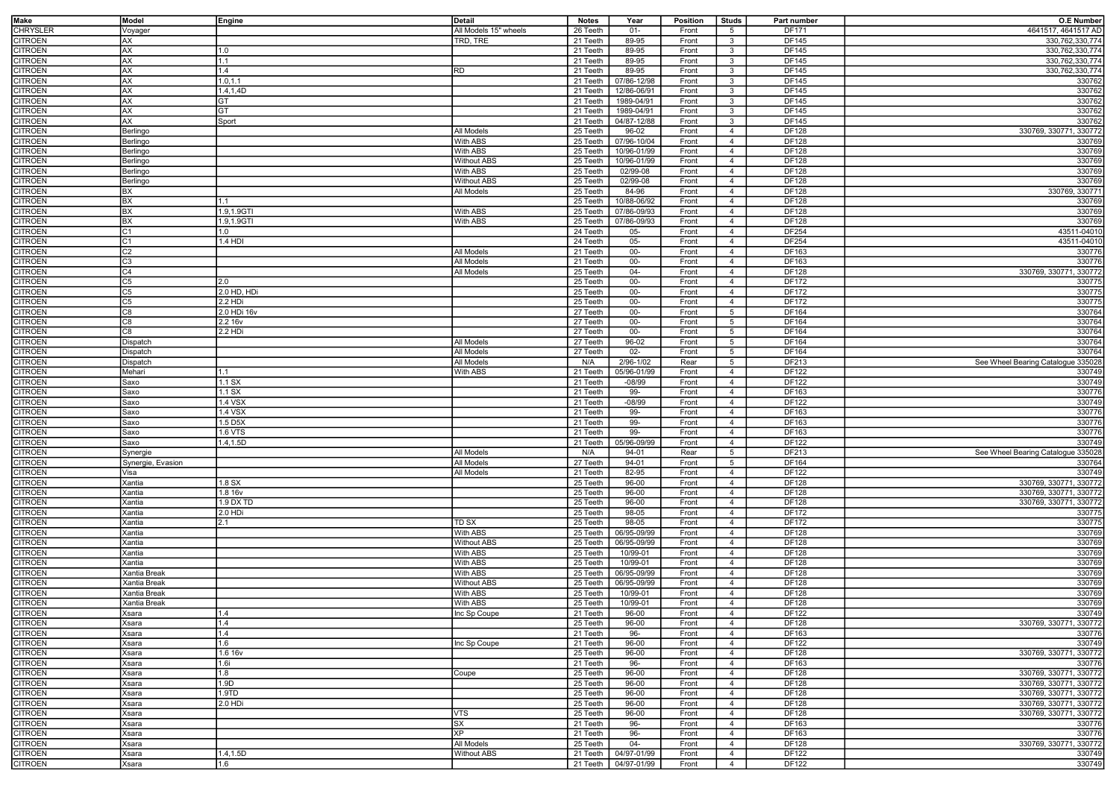| Make           | Model             | Engine      | Detail                | <b>Notes</b> | Year                   | Position | Studs           | Part number | <b>O.E Number</b>                  |
|----------------|-------------------|-------------|-----------------------|--------------|------------------------|----------|-----------------|-------------|------------------------------------|
| CHRYSLER       | √oyager           |             | All Models 15" wheels | 26 Teeth     | $01 -$                 | Front    | $5\overline{5}$ | DF171       | 4641517, 4641517 AD                |
| <b>CITROEN</b> | AX                |             | TRD, TRE              | 21 Teeth     | 89-95                  | Front    | $\mathbf{3}$    | DF145       | 330,762,330,774                    |
|                |                   |             |                       |              |                        |          |                 |             |                                    |
| CITROEN        | AX                | 1.0         |                       | 21 Teeth     | 89-95                  | Front    | $\mathbf{3}$    | DF145       | 330,762,330,774                    |
| CITROEN        | AX                | 1.1         |                       | 21 Teeth     | 89-95                  | Front    | $\mathbf{3}$    | DF145       | 330,762,330,774                    |
| CITROEN        | AX                | 1.4         | RD                    | 21 Teeth     | 89-95                  | Front    | 3               | DF145       | 330,762,330,774                    |
| CITROEN        | AX                | 1.0, 1.1    |                       | 21 Teeth     | 07/86-12/98            | Front    | $\mathbf{3}$    | DF145       | 330762                             |
| CITROEN        | AX                | 1.4,1,4D    |                       | 21 Teeth     | 12/86-06/91            | Front    | 3               | DF145       | 330762                             |
| CITROEN        | AX                | GT          |                       | 21 Teeth     | 1989-04/91             | Front    | 3               | DF145       | 330762                             |
| CITROEN        | AX                | GT          |                       | 21 Teeth     | 1989-04/91             | Front    | 3               | DF145       | 330762                             |
| CITROEN        | AX                | Sport       |                       | 21 Teeth     | 04/87-12/88            | Front    | $\mathbf{3}$    | DF145       | 330762                             |
|                |                   |             |                       |              |                        |          |                 |             |                                    |
| CITROEN        | Berlingo          |             | All Models            | 25 Teeth     | 96-02                  | Front    | $\overline{4}$  | DF128       | 330769, 330771, 330772             |
| <b>CITROEN</b> | Berlingo          |             | <b>With ABS</b>       | 25 Teeth     | 07/96-10/04            | Front    | $\overline{4}$  | DF128       | 330769                             |
| CITROEN        | Berlingo          |             | With ABS              | 25 Teeth     | 10/96-01/99            | Front    | $\overline{4}$  | DF128       | 330769                             |
| CITROEN        | Berlingo          |             | <b>Without ABS</b>    | 25 Teeth     | 10/96-01/99            | Front    | $\overline{4}$  | DF128       | 330769                             |
| CITROEN        | <b>Berlingo</b>   |             | With ABS              | 25 Teeth     | 02/99-08               | Front    | $\overline{4}$  | DF128       | 330769                             |
| CITROEN        | Berlingo          |             | <b>Without ABS</b>    | 25 Teeth     | 02/99-08               | Front    | $\overline{4}$  | DF128       | 330769                             |
| CITROEN        | BX                |             | All Models            | 25 Teeth     | 84-96                  | Front    | $\overline{4}$  | DF128       | 330769, 330771                     |
|                | ВX                |             |                       | 25 Teeth     |                        |          |                 |             | 330769                             |
| CITROEN        |                   | 1.1         |                       |              | 10/88-06/92            | Front    | $\overline{4}$  | DF128       |                                    |
| CITROEN        | ВX                | 1.9,1.9GTI  | With ABS              | 25 Teeth     | 07/86-09/93            | Front    | $\overline{4}$  | DF128       | 330769                             |
| CITROEN        | ВX                | 1.9,1.9GTI  | With ABS              | 25 Teeth     | 07/86-09/93            | Front    | $\overline{4}$  | DF128       | 330769                             |
| <b>CITROEN</b> | C1                | 1.0         |                       | 24 Teeth     | $05 -$                 | Front    | $\overline{4}$  | DF254       | 43511-04010                        |
| CITROEN        | ٥1                | 1.4 HDI     |                       | 24 Teeth     | $05 -$                 | Front    | $\overline{4}$  | DF254       | 43511-04010                        |
| CITROEN        | C2                |             | All Models            | 21 Teeth     | $00-$                  | Front    | $\overline{4}$  | DF163       | 330776                             |
| CITROEN        | C3                |             | All Models            | 21 Teeth     | $00 -$                 | Front    | $\overline{4}$  | DF163       | 330776                             |
|                | C4                |             | All Models            | 25 Teeth     | $04 -$                 | Front    | $\overline{4}$  | DF128       | 330769, 330771, 330772             |
| <b>CITROEN</b> |                   |             |                       |              |                        |          |                 |             |                                    |
| CITROEN        | C5                | 2.0         |                       | 25 Teeth     | $00-$                  | Front    | $\overline{4}$  | DF172       | 330775                             |
| CITROEN        | C5                | 2.0 HD, HDi |                       | 25 Teeth     | $00-$                  | Front    | $\overline{4}$  | DF172       | 330775                             |
| CITROEN        | 35                | 2.2 HDi     |                       | 25 Teeth     | $00 -$                 | Front    | $\overline{4}$  | DF172       | 330775                             |
| CITROEN        | C8                | 2.0 HDi 16v |                       | 27 Teeth     | $00-$                  | Front    | $5\overline{5}$ | DF164       | 330764                             |
| CITROEN        | 80                | 2.2 16v     |                       | 27 Teeth     | $00 -$                 | Front    | $5\overline{5}$ | DF164       | 330764                             |
| CITROEN        | C8                | 2.2 HDi     |                       | 27 Teeth     | $00-$                  | Front    | 5               | DF164       | 330764                             |
|                |                   |             |                       |              |                        |          |                 |             |                                    |
| CITROEN        | Dispatch          |             | All Models            | 27 Teeth     | 96-02                  | Front    | 5               | DF164       | 330764                             |
| <b>CITROEN</b> | Dispatch          |             | All Models            | 27 Teeth     | $02 -$                 | Front    | $5\overline{5}$ | DF164       | 330764                             |
| CITROEN        | Dispatch          |             | All Models            | N/A          | 2/96-1/02              | Rear     | $5\overline{5}$ | DF213       | See Wheel Bearing Catalogue 335028 |
| <b>CITROEN</b> | Mehari            | 1.1         | With ABS              | 21 Teeth     | 05/96-01/99            | Front    | $\overline{4}$  | DF122       | 330749                             |
| CITROEN        | Saxo              | $1.1$ SX    |                       | 21 Teeth     | $-08/99$               | Front    | $\overline{4}$  | DF122       | 330749                             |
| CITROEN        | Saxo              | $1.1$ SX    |                       | 21 Teeth     | 99-                    | Front    | $\overline{4}$  | DF163       | 330776                             |
| CITROEN        | Saxo              | 1.4 VSX     |                       | 21 Teeth     | $-08/99$               | Front    | $\overline{4}$  | DF122       | 330749                             |
|                |                   |             |                       |              |                        |          |                 |             |                                    |
| CITROEN        | Saxo              | 1.4 VSX     |                       | 21 Teeth     | 99-                    | Front    | $\overline{4}$  | DF163       | 330776                             |
| CITROEN        | Saxo              | 1.5 D5X     |                       | 21 Teeth     | 99-                    | Front    | $\overline{4}$  | DF163       | 330776                             |
| CITROEN        | Saxo              | 1.6 VTS     |                       | 21 Teeth     | 99-                    | Front    | $\overline{4}$  | DF163       | 330776                             |
| CITROEN        | Saxo              | 1.4,1.5D    |                       | 21 Teeth     | 05/96-09/99            | Front    | $\overline{4}$  | DF122       | 330749                             |
| CITROEN        | Synergie          |             | All Models            | N/A          | 94-01                  | Rear     | $5\overline{5}$ | DF213       | See Wheel Bearing Catalogue 335028 |
| CITROEN        | Synergie, Evasion |             | All Models            | 27 Teeth     | 94-01                  | Front    | $5\overline{5}$ | DF164       | 330764                             |
|                |                   |             |                       |              |                        |          |                 |             |                                    |
| CITROEN        | Visa              |             | All Models            | 21 Teeth     | 82-95                  | Front    | $\overline{4}$  | DF122       | 330749                             |
| CITROEN        | Xantia            | 1.8 SX      |                       | 25 Teeth     | 96-00                  | Front    | $\overline{4}$  | DF128       | 330769, 330771, 330772             |
| CITROEN        | Xantia            | 1.8 16v     |                       | 25 Teeth     | 96-00                  | Front    | $\overline{4}$  | DF128       | 330769, 330771, 330772             |
| <b>CITROEN</b> | Xantia            | 1.9 DX TD   |                       | 25 Teeth     | 96-00                  | Front    | $\overline{4}$  | DF128       | 330769, 330771, 330772             |
| CITROEN        | Xantia            | 2.0 HDi     |                       | 25 Teeth     | 98-05                  | Front    | $\overline{4}$  | DF172       | 330775                             |
| CITROEN        | Xantia            | 2.1         | TD SX                 | 25 Teeth     | 98-05                  | Front    | $\overline{4}$  | DF172       | 330775                             |
| CITROEN        | Xantia            |             | With ABS              | 25 Teeth     | 06/95-09/99            | Front    | $\overline{4}$  | DF128       | 330769                             |
|                |                   |             |                       |              |                        |          |                 |             |                                    |
| CITROEN        | Xantia            |             | <b>Without ABS</b>    | 25 Teeth     | 06/95-09/99            | Front    | $\overline{4}$  | DF128       | 330769                             |
| CITROEN        | Xantia            |             | With ABS              | 25 Teeth     | 10/99-01               | Front    | $\overline{4}$  | DF128       | 330769                             |
| CITROEN        | Xantia            |             | With ABS              | 25 Teeth     | 10/99-01               | Front    | $\overline{4}$  | DF128       | 330769                             |
| CITROEN        | Kantia Break      |             | With ABS              | 25 Teeth     | 06/95-09/99            | Front    | 4               | DF128       | 330769                             |
| CITROEN        | Xantia Break      |             | <b>Without ABS</b>    | 25 Teeth     | 06/95-09/99            | Front    | $\overline{4}$  | DF128       | 330769                             |
| CITROEN        | Xantia Break      |             | With ABS              | 25 Teeth     | 10/99-01               | Front    | $\overline{4}$  | DF128       | 330769                             |
| CITROEN        | Xantia Break      |             | With ABS              | 25 Teeth     | 10/99-01               | Front    | $\overline{4}$  | DF128       | 330769                             |
|                |                   |             |                       |              |                        |          |                 |             |                                    |
| CITROEN        | Xsara             |             | nc Sp Coupe           | 21 Teeth     | 96-00                  | Front    | -4              | DF122       | 330749                             |
| CITROEN        | Xsara             | 1.4         |                       | 25 Teeth     | 96-00                  | Front    | $\overline{4}$  | DF128       | 330769, 330771, 330772             |
| CITROEN        | Xsara             | 1.4         |                       | 21 Teeth     | 96-                    | Front    | $\overline{4}$  | DF163       | 330776                             |
| CITROEN        | Xsara             | 1.6         | Inc Sp Coupe          | 21 Teeth     | 96-00                  | Front    | $\overline{4}$  | DF122       | 330749                             |
| CITROEN        | Xsara             | 1.6 16v     |                       | 25 Teeth     | 96-00                  | Front    | $\overline{4}$  | DF128       | 330769, 330771, 330772             |
| CITROEN        | Xsara             | 1.6i        |                       | 21 Teeth     | 96-                    | Front    | $\overline{4}$  | DF163       | 330776                             |
| CITROEN        | Xsara             | 11.8        | Coupe                 | 25 Teeth     | 96-00                  | Front    | $\overline{4}$  | DF128       | 330769, 330771, 330772             |
| CITROEN        | Xsara             | 1.9D        |                       | 25 Teeth     | 96-00                  | Front    | $\overline{4}$  | DF128       | 330769, 330771, 330772             |
|                |                   |             |                       |              |                        |          |                 |             |                                    |
| CITROEN        | Xsara             | 1.9TD       |                       | 25 Teeth     | 96-00                  | Front    | $\overline{4}$  | DF128       | 330769, 330771, 330772             |
| CITROEN        | Xsara             | 2.0 HDi     |                       | 25 Teeth     | 96-00                  | Front    | $\overline{4}$  | DF128       | 330769, 330771, 330772             |
| CITROEN        | Xsara             |             | VTS                   | 25 Teeth     | 96-00                  | Front    | $\overline{4}$  | DF128       | 330769, 330771, 330772             |
| CITROEN        | Xsara             |             | SX                    | 21 Teeth     | 96-                    | Front    | $\overline{4}$  | DF163       | 330776                             |
| <b>CITROEN</b> | Xsara             |             | <b>XP</b>             | 21 Teeth     | 96-                    | Front    | $\overline{4}$  | DF163       | 330776                             |
| CITROEN        | Xsara             |             | All Models            | 25 Teeth     | $04 -$                 | Front    | $\overline{4}$  | DF128       | 330769, 330771, 330772             |
| CITROEN        | Xsara             | 1.4,1.5D    | <b>Without ABS</b>    |              | 21 Teeth   04/97-01/99 | Front    | $\overline{4}$  | DF122       | 330749                             |
|                |                   |             |                       |              | 21 Teeth 04/97-01/99   |          |                 |             |                                    |
| CITROEN        | Xsara             | 1.6         |                       |              |                        | Front    | $\overline{4}$  | DF122       | 330749                             |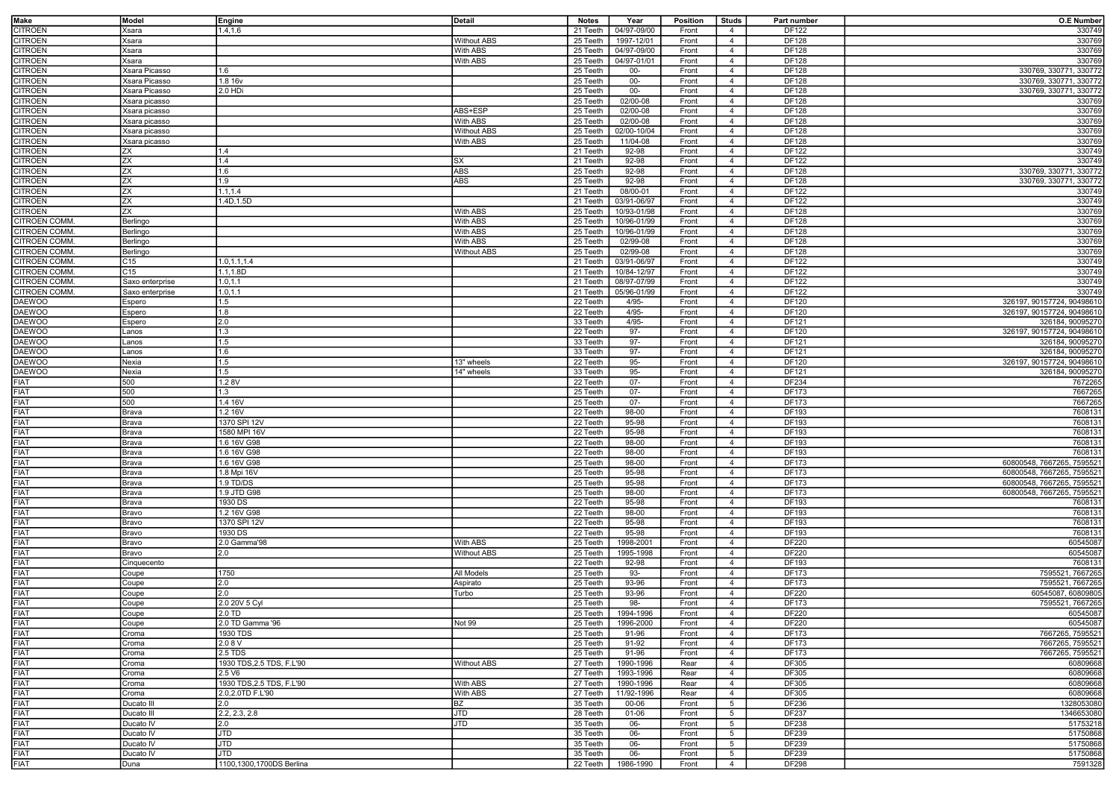| Make                | Model           | Engine                    | Detail             | <b>Notes</b> | Year        | <b>Position</b> | <b>Studs</b>    | Part number  | <b>O.E Number</b>          |
|---------------------|-----------------|---------------------------|--------------------|--------------|-------------|-----------------|-----------------|--------------|----------------------------|
| CITROEN             | (sara           | 1.4, 1.6                  |                    | 21 Teeth     | 04/97-09/00 | Front           | 4               | DF122        | 330749                     |
|                     |                 |                           |                    |              |             |                 |                 |              |                            |
| CITROEN             | Ksara           |                           | <b>Without ABS</b> | 25 Teeth     | 1997-12/01  | Front           | $\overline{4}$  | DF128        | 330769                     |
| CITROEN             | Ksara           |                           | With ABS           | 25 Teeth     | 04/97-09/00 | Front           | $\overline{4}$  | DF128        | 330769                     |
| <b>CITROEN</b>      | Ksara           |                           | With ABS           | 25 Teeth     | 04/97-01/01 | Front           | $\overline{4}$  | DF128        | 330769                     |
| <b>CITROEN</b>      | Xsara Picasso   | 1.6                       |                    | 25 Teeth     | $00-$       | Front           | $\overline{4}$  | <b>DF128</b> | 330769, 330771, 330772     |
| <b>CITROEN</b>      | Xsara Picasso   | 1.8 16v                   |                    | 25 Teeth     | $00 -$      | Front           | $\overline{4}$  | <b>DF128</b> | 330769, 330771, 330772     |
| <b>CITROEN</b>      | Xsara Picasso   | 2.0 HDi                   |                    | 25 Teeth     | $00 -$      | Front           | $\overline{4}$  | DF128        | 330769, 330771, 330772     |
| CITROEN             | Xsara picasso   |                           |                    | 25 Teeth     | 02/00-08    | Front           | $\overline{4}$  | DF128        | 330769                     |
|                     |                 |                           |                    |              |             |                 |                 |              |                            |
| CITROEN             | Ksara picasso   |                           | ABS+ESP            | 25 Teeth     | 02/00-08    | Front           | $\overline{4}$  | DF128        | 330769                     |
| CITROEN             | Xsara picasso   |                           | With ABS           | 25 Teeth     | 02/00-08    | Front           | $\overline{4}$  | DF128        | 330769                     |
| CITROEN             | Xsara picasso   |                           | <b>Without ABS</b> | 25 Teeth     | 02/00-10/04 | Front           | $\overline{4}$  | <b>DF128</b> | 330769                     |
| CITROEN             | Xsara picasso   |                           | With ABS           | 25 Teeth     | 11/04-08    | Front           | $\overline{4}$  | DF128        | 330769                     |
| CITROEN             | ZΧ              | 1.4                       |                    | 21 Teeth     | 92-98       | Front           | $\overline{4}$  | DF122        | 330749                     |
| CITROEN             | ΖX              | 1.4                       | SX                 | 21 Teeth     | 92-98       | Front           | $\overline{4}$  | DF122        | 330749                     |
| CITROEN             | ΖX              | 1.6                       | ABS                | 25 Teeth     | 92-98       | Front           | $\overline{4}$  | DF128        | 330769, 330771, 330772     |
| CITROEN             | ΖX              | 1.9                       | ABS                | 25 Teeth     | 92-98       | Front           | $\overline{4}$  | DF128        | 330769, 330771, 330772     |
|                     |                 |                           |                    |              |             |                 |                 |              |                            |
| <b>CITROEN</b>      | ΖX              | 1.1, 1.4                  |                    | 21 Teeth     | 08/00-01    | Front           | $\overline{4}$  | DF122        | 330749                     |
| CITROEN             | ΖX              | 1.4D, 1.5D                |                    | 21 Teeth     | 03/91-06/97 | Front           | $\overline{4}$  | DF122        | 330749                     |
| CITROEN             | ΖX              |                           | With ABS           | 25 Teeth     | 10/93-01/98 | Front           | $\overline{4}$  | DF128        | 330769                     |
| CITROEN COMM        | <b>Berlingo</b> |                           | With ABS           | 25 Teeth     | 10/96-01/99 | Front           | $\overline{4}$  | DF128        | 330769                     |
| CITROEN COMM        | Berlingo        |                           | With ABS           | 25 Teeth     | 10/96-01/99 | Front           | $\overline{4}$  | DF128        | 330769                     |
| CITROEN COMM        | Berlingo        |                           | With ABS           | 25 Teeth     | 02/99-08    | Front           | $\overline{4}$  | DF128        | 330769                     |
| CITROEN COMM        | <b>Berlingo</b> |                           | <b>Without ABS</b> | 25 Teeth     | 02/99-08    | Front           | $\overline{4}$  | DF128        | 330769                     |
|                     |                 |                           |                    |              |             |                 |                 |              |                            |
| CITROEN COMM        | C15             | 1.0, 1.1, 1.4             |                    | 21 Teeth     | 03/91-06/97 | Front           | $\overline{4}$  | DF122        | 330749                     |
| <b>CITROEN COMM</b> | C15             | 1.1,1.8D                  |                    | 21 Teeth     | 10/84-12/97 | Front           | $\overline{4}$  | DF122        | 330749                     |
| CITROEN COMM        | Saxo enterprise | 1.0, 1.1                  |                    | 21 Teeth     | 08/97-07/99 | Front           | $\overline{4}$  | DF122        | 330749                     |
| CITROEN COMM        | Saxo enterprise | 1.0, 1.1                  |                    | 21 Teeth     | 05/96-01/99 | Front           | $\overline{4}$  | <b>DF122</b> | 330749                     |
| <b>DAEWOO</b>       | Espero          | 1.5                       |                    | 22 Teeth     | $4/95 -$    | Front           | $\overline{4}$  | <b>DF120</b> | 326197, 90157724, 90498610 |
| <b>DAEWOO</b>       | Espero          | 1.8                       |                    | 22 Teeth     | $4/95 -$    | Front           | $\overline{4}$  | <b>DF120</b> | 326197, 90157724, 90498610 |
| <b>DAEWOO</b>       | Espero          | 2.0                       |                    | 33 Teeth     | $4/95 -$    | Front           | $\overline{4}$  | DF121        | 326184, 90095270           |
| <b>DAEWOO</b>       |                 | 1.3                       |                    | 22 Teeth     | 97-         | Front           | $\overline{4}$  | <b>DF120</b> | 326197, 90157724, 90498610 |
|                     | Lanos           |                           |                    |              |             |                 |                 |              |                            |
| <b>DAEWOO</b>       | Lanos           | 1.5                       |                    | 33 Teeth     | $97 -$      | Front           | $\overline{4}$  | DF121        | 326184, 90095270           |
| <b>DAEWOO</b>       | anos            | 1.6                       |                    | 33 Teeth     | $97 -$      | Front           | $\overline{4}$  | DF121        | 326184, 90095270           |
| <b>DAEWOO</b>       | Nexia           | 1.5                       | 13" wheels         | 22 Teeth     | $95 -$      | Front           | $\overline{4}$  | DF120        | 326197, 90157724, 90498610 |
| DAEWOO              | Nexia           | 1.5                       | 14" wheels         | 33 Teeth     | $95-$       | Front           | $\overline{4}$  | DF121        | 326184, 90095270           |
| FIAT                | 500             | 1.28V                     |                    | 22 Teeth     | $07 -$      | Front           | $\overline{4}$  | DF234        | 7672265                    |
| FIAT                | 500             | 1.3                       |                    | 25 Teeth     | $07 -$      | Front           | $\overline{4}$  | DF173        | 7667265                    |
| FIAT                | 500             | 1.4 16V                   |                    | 25 Teeth     | $07 -$      | Front           | $\overline{4}$  | DF173        | 7667265                    |
|                     |                 |                           |                    |              |             |                 |                 |              |                            |
| FIAT                | Brava           | 1.2 16V                   |                    | 22 Teeth     | 98-00       | Front           | $\overline{4}$  | DF193        | 7608131                    |
| FIAT                | Brava           | 1370 SPI 12V              |                    | 22 Teeth     | 95-98       | Front           | $\overline{4}$  | DF193        | 7608131                    |
| <b>FIAT</b>         | Brava           | 1580 MPI 16V              |                    | 22 Teeth     | 95-98       | Front           | $\overline{4}$  | DF193        | 7608131                    |
| <b>FIAT</b>         | Brava           | 1.6 16V G98               |                    | 22 Teeth     | 98-00       | Front           | $\overline{4}$  | DF193        | 7608131                    |
| <b>FIAT</b>         | Brava           | 1.6 16V G98               |                    | 22 Teeth     | 98-00       | Front           | $\overline{4}$  | DF193        | 7608131                    |
| <b>FIAT</b>         | Brava           | 1.6 16V G98               |                    | 25 Teeth     | 98-00       | Front           | $\overline{4}$  | DF173        | 60800548, 7667265, 759552  |
| FIAT                | Brava           | 1.8 Mpi 16V               |                    | 25 Teeth     | 95-98       | Front           | $\overline{4}$  | DF173        | 60800548, 7667265, 7595521 |
| <b>FIAT</b>         |                 | 1.9 TD/DS                 |                    | 25 Teeth     | 95-98       | Front           | $\overline{4}$  | DF173        | 60800548, 7667265, 759552  |
|                     | Brava           |                           |                    |              |             |                 |                 |              |                            |
| <b>FIAT</b>         | Brava           | 1.9 JTD G98               |                    | 25 Teeth     | 98-00       | Front           | $\overline{4}$  | DF173        | 60800548, 7667265, 7595521 |
| <b>FIAT</b>         | Brava           | 1930 DS                   |                    | 22 Teeth     | 95-98       | Front           | $\overline{4}$  | DF193        | 7608131                    |
| FIAT                | Bravo           | 1.2 16V G98               |                    | 22 Teeth     | 98-00       | Front           | $\overline{4}$  | DF193        | 7608131                    |
| <b>FIAT</b>         | Bravo           | 1370 SPI 12V              |                    | 22 Teeth     | 95-98       | Front           | $\overline{4}$  | DF193        | 7608131                    |
| FIAT                | Bravo           | 1930 DS                   |                    | 22 Teeth     | 95-98       | Front           | $\overline{4}$  | DF193        | 7608131                    |
| <b>FIAT</b>         | Bravo           | 2.0 Gamma'98              | With ABS           | 25 Teeth     | 1998-2001   | Front           | $\overline{4}$  | <b>DF220</b> | 60545087                   |
| FIAT                | Bravo           | 2.0                       | <b>Without ABS</b> | 25 Teeth     | 1995-1998   | Front           | $\overline{4}$  | DF220        | 60545087                   |
|                     |                 |                           |                    |              |             |                 |                 |              |                            |
| FIAT                | Cinquecento     |                           |                    | 22 Teeth     | $92 - 98$   | Front           | $\overline{4}$  | DF193        | 7608131                    |
| <b>FIAT</b>         | Coupe           | 1750                      | All Models         | 25 Teeth     | 93-         | Front           | $\overline{4}$  | DF173        | 7595521, 7667265           |
| FIAT                | Coupe           | 2.0                       | Aspirato           | 25 Teeth     | 93-96       | Front           | $\overline{4}$  | DF173        | 7595521, 7667265           |
| FIAT                | Coupe           | 2.0                       | Turbo              | 25 Teeth     | 93-96       | Front           | $\overline{4}$  | DF220        | 60545087, 60809805         |
| <b>FIAT</b>         | Coupe           | 2.0 20V 5 Cyl             |                    | 25 Teeth     | 98-         | Front           | $\overline{4}$  | DF173        | 7595521, 7667265           |
| <b>FIAT</b>         | Coupe           | 12.0 TD                   |                    | 25 Teeth     | 1994-1996   | Front           | $\overline{4}$  | DF220        | 60545087                   |
| <b>FIAT</b>         | Coupe           | 2.0 TD Gamma '96          | Not 99             | 25 Teeth     | 1996-2000   | Front           | $\overline{4}$  | <b>DF220</b> | 60545087                   |
| FIAT                |                 | 1930 TDS                  |                    |              |             |                 | $\overline{4}$  |              | 7667265, 7595521           |
|                     | Croma           |                           |                    | 25 Teeth     | 91-96       | Front           |                 | DF173        |                            |
| FIAT                | Croma           | 2.08V                     |                    | 25 Teeth     | 91-92       | Front           | $\overline{4}$  | DF173        | 7667265, 7595521           |
| <b>FIAT</b>         | Croma           | 2.5 TDS                   |                    | 25 Teeth     | 91-96       | Front           | $\overline{4}$  | DF173        | 7667265, 7595521           |
| FIAT                | Croma           | 1930 TDS, 2.5 TDS, F.L'90 | <b>Without ABS</b> | 27 Teeth     | 1990-1996   | Rear            | $\overline{4}$  | DF305        | 60809668                   |
| FIAT                | Croma           | 2.5 V6                    |                    | 27 Teeth     | 1993-1996   | Rear            | $\overline{4}$  | DF305        | 60809668                   |
| FIAT                | Croma           | 1930 TDS, 2.5 TDS, F.L'90 | With ABS           | 27 Teeth     | 1990-1996   | Rear            | $\overline{4}$  | DF305        | 60809668                   |
| <b>FIAT</b>         | Croma           | 2.0,2.0TD F.L'90          | With ABS           | 27 Teeth     | 11/92-1996  | Rear            | $\overline{4}$  | DF305        | 60809668                   |
| FIAT                | Ducato III      | 2.0                       | ΒZ                 | 35 Teeth     | 00-06       | Front           | $5\overline{5}$ | DF236        | 1328053080                 |
|                     |                 |                           |                    |              |             |                 |                 |              |                            |
| <b>FIAT</b>         | Ducato III      | 2.2, 2.3, 2.8             | JTD                | 28 Teeth     | 01-06       | Front           | 5               | DF237        | 1346653080                 |
| FIAT                | Ducato IV       | 2.0                       | JTD                | 35 Teeth     | 06-         | Front           | $5\overline{5}$ | DF238        | 51753218                   |
| <b>FIAT</b>         | Ducato IV       | JTD                       |                    | 35 Teeth     | 06-         | Front           | 5               | DF239        | 51750868                   |
| FIAT                | Ducato IV       | <b>JTD</b>                |                    | 35 Teeth     | 06-         | Front           | 5               | DF239        | 51750868                   |
| FIAT                | Ducato IV       | JTD                       |                    | 35 Teeth     | 06-         | Front           | 5               | DF239        | 51750868                   |
| FIAT                | Duna            | 1100,1300,1700DS Berlina  |                    | 22 Teeth     | 1986-1990   | Front           | $\overline{4}$  | <b>DF298</b> | 7591328                    |
|                     |                 |                           |                    |              |             |                 |                 |              |                            |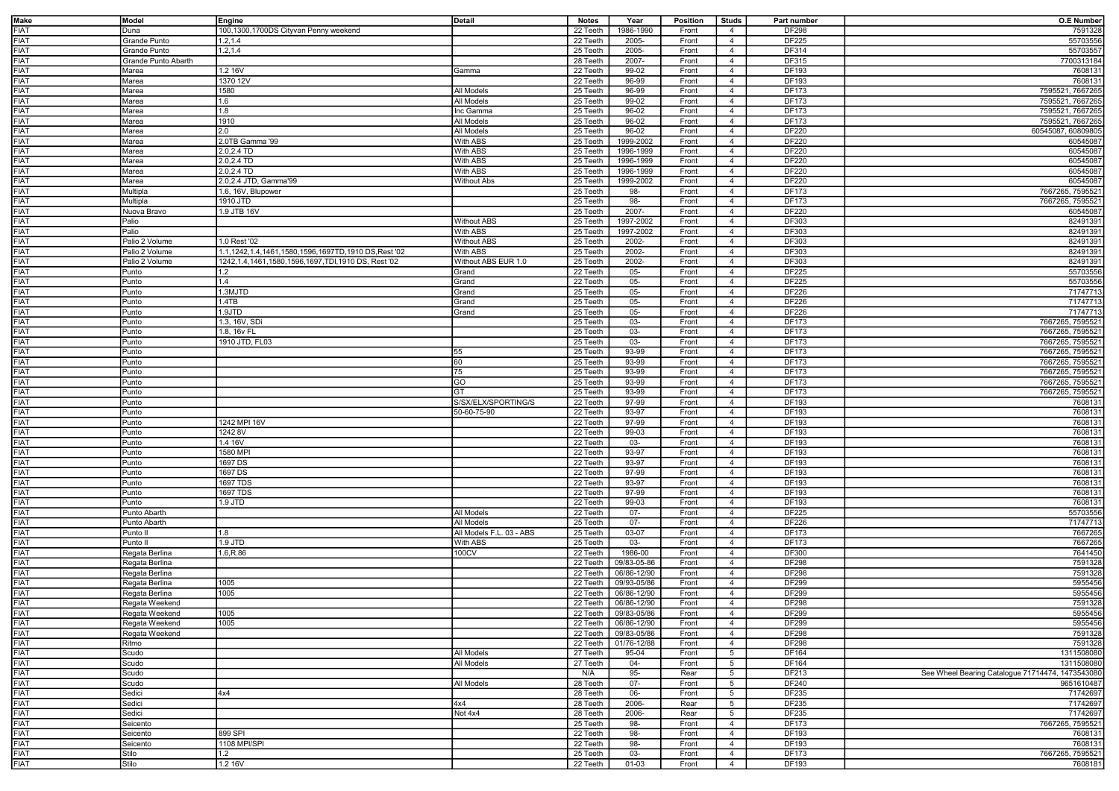| Make        | Model               | Engine                                                    | Detail                   | <b>Notes</b>         | Year                   | <b>Position</b> | <b>Studs</b>                     | Part number  | <b>O.E Number</b>                                |
|-------------|---------------------|-----------------------------------------------------------|--------------------------|----------------------|------------------------|-----------------|----------------------------------|--------------|--------------------------------------------------|
| <b>FIAT</b> | Duna                | 100,1300,1700DS Cityvan Penny weekend                     |                          | 22 Teeth             | 1986-1990              | Front           | 4                                | DF298        | 7591328                                          |
| <b>FIAT</b> | Grande Punto        | 1.2, 1.4                                                  |                          | 22 Teeth             | 2005-                  |                 | $\overline{4}$                   | DF225        |                                                  |
|             |                     |                                                           |                          |                      |                        | Front           |                                  |              | 55703556                                         |
| <b>FIAT</b> | Grande Punto        | 1.2, 1.4                                                  |                          | 25 Teeth             | 2005-                  | Front           | $\overline{4}$                   | DF314        | 55703557                                         |
| <b>FIAT</b> | Grande Punto Abarth |                                                           |                          | 28 Teeth             | 2007-                  | Front           | $\overline{4}$                   | DF315        | 7700313184                                       |
| <b>FIAT</b> | Marea               | 1.2 16V                                                   | Gamma                    | 22 Teeth             | $99-02$                | Front           | $\overline{4}$                   | DF193        | 7608131                                          |
| <b>FIAT</b> | Marea               | 1370 12V                                                  |                          | 22 Teeth             | $96 - 99$              | Front           | $\overline{4}$                   | DF193        | 7608131                                          |
| <b>FIAT</b> | Marea               | 1580                                                      | All Models               | 25 Teeth             | 96-99                  | Front           | $\overline{4}$                   | DF173        | 7595521, 7667265                                 |
| <b>FIAT</b> | Marea               | 1.6                                                       | All Models               | 25 Teeth             | $99-02$                | Front           | $\overline{4}$                   | DF173        | 7595521, 7667265                                 |
| <b>FIAT</b> | Marea               | 1.8                                                       | Inc Gamma                | 25 Teeth             | 96-02                  | Front           | $\overline{4}$                   | DF173        | 7595521, 7667265                                 |
| <b>FIAT</b> | Marea               | 1910                                                      | All Models               | 25 Teeth             | $96 - 02$              | Front           | $\overline{4}$                   | DF173        | 7595521, 7667265                                 |
|             |                     |                                                           |                          |                      |                        |                 |                                  |              |                                                  |
| <b>FIAT</b> | Marea               | 2.0                                                       | All Models               | 25 Teeth             | 96-02                  | Front           | $\overline{4}$                   | DF220        | 60545087, 60809805                               |
| <b>FIAT</b> | Marea               | 2.0TB Gamma '99                                           | With ABS                 | 25 Teeth             | 1999-2002              | Front           | $\overline{4}$                   | DF220        | 60545087                                         |
| <b>FIAT</b> | Marea               | 2.0,2.4 TD                                                | With ABS                 | 25 Teeth             | 1996-1999              | Front           | $\overline{4}$                   | DF220        | 60545087                                         |
| <b>FIAT</b> | Marea               | 2.0,2.4 TD                                                | With ABS                 | 25 Teeth             | 1996-1999              | Front           | $\overline{4}$                   | DF220        | 60545087                                         |
| <b>FIAT</b> | Marea               | 2.0.2.4 TD                                                | With ABS                 | 25 Teeth             | 1996-1999              | Front           | $\overline{4}$                   | DF220        | 60545087                                         |
| <b>FIAT</b> | Marea               | 2.0,2.4 JTD, Gamma'99                                     | <b>Without Abs</b>       | 25 Teeth             | 1999-2002              | Front           | $\overline{4}$                   | DF220        | 60545087                                         |
| <b>FIAT</b> | Multipla            | 1.6, 16V, Blupower                                        |                          | 25 Teeth             | 98-                    | Front           | $\overline{4}$                   | DF173        | 7667265, 7595521                                 |
| <b>FIAT</b> | Multipla            | 1910 JTD                                                  |                          | 25 Teeth             | 98-                    | Front           | $\overline{4}$                   | DF173        | 7667265, 7595521                                 |
| FIAT        | Nuova Bravo         | 1.9 JTB 16V                                               |                          | 25 Teeth             | 2007-                  | Front           | $\overline{4}$                   | DF220        | 60545087                                         |
|             |                     |                                                           |                          |                      |                        |                 |                                  |              |                                                  |
| <b>FIAT</b> | Palio               |                                                           | <b>Without ABS</b>       | 25 Teeth             | 1997-2002              | Front           | $\overline{4}$                   | DF303        | 82491391                                         |
| <b>FIAT</b> | Palio               |                                                           | With ABS                 | 25 Teeth             | 1997-2002              | Front           | $\overline{4}$                   | DF303        | 82491391                                         |
| <b>FIAT</b> | Palio 2 Volume      | 1.0 Rest '02                                              | <b>Without ABS</b>       | 25 Teeth             | 2002-                  | Front           | $\overline{4}$                   | DF303        | 82491391                                         |
| <b>FIAT</b> | Palio 2 Volume      | 1.1,1242,1.4,1461,1580,1596,1697TD,1910 DS,Rest '02       | With ABS                 | 25 Teeth             | 2002-                  | Front           | $\overline{4}$                   | DF303        | 82491391                                         |
| <b>FIAT</b> | Palio 2 Volume      | 1242, 1.4, 1461, 1580, 1596, 1697, TDI, 1910 DS, Rest '02 | Without ABS EUR 1.0      | 25 Teeth             | 2002-                  | Front           | $\overline{4}$                   | DF303        | 82491391                                         |
| <b>FIAT</b> | Punto               | 1.2                                                       | Grand                    | 22 Teeth             | $05 -$                 | Front           | $\overline{4}$                   | DF225        | 55703556                                         |
| <b>FIAT</b> | Punto               | 1.4                                                       | Grand                    | 22 Teeth             | $05 -$                 | Front           | $\overline{4}$                   | DF225        | 55703556                                         |
| <b>FIAT</b> |                     | 1.3MJTD                                                   |                          |                      |                        |                 | $\overline{4}$                   | <b>DF226</b> | 71747713                                         |
|             | Punto               |                                                           | Grand                    | 25 Teeth             | $05 -$                 | Front           |                                  |              |                                                  |
| <b>FIAT</b> | Punto               | 1.4TB                                                     | Grand                    | 25 Teeth             | $05 -$                 | Front           | $\overline{4}$                   | DF226        | 71747713                                         |
| <b>FIAT</b> | Punto               | 1.9JTD                                                    | Grand                    | 25 Teeth             | $05 -$                 | Front           | $\overline{4}$                   | <b>DF226</b> | 71747713                                         |
| <b>FIAT</b> | Punto               | 1.3, 16V, SDi                                             |                          | 25 Teeth             | $03 -$                 | Front           | $\overline{4}$                   | DF173        | 7667265, 7595521                                 |
| <b>FIAT</b> | Punto               | 1.8, 16v FL                                               |                          | 25 Teeth             | 03-                    | Front           | $\overline{4}$                   | DF173        | 7667265, 7595521                                 |
| <b>FIAT</b> | Punto               | 1910 JTD, FL03                                            |                          | 25 Teeth             | $03 -$                 | Front           | $\overline{4}$                   | DF173        | 7667265, 7595521                                 |
| <b>FIAT</b> | Punto               |                                                           | 55                       | 25 Teeth             | 93-99                  | Front           | $\overline{4}$                   | DF173        | 7667265, 7595521                                 |
| <b>FIAT</b> | Punto               |                                                           | 60                       | 25 Teeth             | 93-99                  | Front           | $\overline{4}$                   | DF173        | 7667265, 7595521                                 |
| <b>FIAT</b> |                     |                                                           |                          |                      | 93-99                  |                 | $\overline{4}$                   | <b>DF173</b> | 7667265, 7595521                                 |
|             | Punto               |                                                           | 75                       | 25 Teeth             |                        | Front           |                                  |              |                                                  |
| <b>FIAT</b> | Punto               |                                                           | GO                       | 25 Teeth             | 93-99                  | Front           | $\overline{4}$                   | DF173        | 7667265, 7595521                                 |
| <b>FIAT</b> | Punto               |                                                           | GT                       | 25 Teeth             | 93-99                  | Front           | $\overline{4}$                   | DF173        | 7667265, 7595521                                 |
| <b>FIAT</b> | Punto               |                                                           | S/SX/ELX/SPORTING/S      | 22 Teeth             | 97-99                  | Front           | $\overline{4}$                   | DF193        | 7608131                                          |
| <b>FIAT</b> | Punto               |                                                           | 50-60-75-90              | 22 Teeth             | 93-97                  | Front           | $\overline{4}$                   | DF193        | 7608131                                          |
| <b>FIAT</b> | Punto               | 1242 MPI 16V                                              |                          | 22 Teeth             | 97-99                  | Front           | $\overline{4}$                   | DF193        | 7608131                                          |
| <b>FIAT</b> | Punto               | 1242 8V                                                   |                          | 22 Teeth             | 99-03                  | Front           | $\overline{4}$                   | DF193        | 7608131                                          |
| <b>FIAT</b> | Punto               | 1.4 16V                                                   |                          | 22 Teeth             | $03 -$                 | Front           | $\overline{4}$                   | DF193        | 7608131                                          |
| <b>FIAT</b> | Punto               | 1580 MPI                                                  |                          | 22 Teeth             | 93-97                  | Front           | $\overline{4}$                   | DF193        | 7608131                                          |
|             |                     |                                                           |                          |                      |                        |                 |                                  |              |                                                  |
| <b>FIAT</b> | Punto               | 1697 DS                                                   |                          | 22 Teeth             | 93-97                  | Front           | $\overline{4}$                   | DF193        | 7608131                                          |
| <b>FIAT</b> | Punto               | 1697 DS                                                   |                          | 22 Teeth             | 97-99                  | Front           | $\overline{4}$                   | DF193        | 7608131                                          |
| <b>FIAT</b> | Punto               | 1697 TDS                                                  |                          | 22 Teeth             | 93-97                  | Front           | $\overline{4}$                   | DF193        | 7608131                                          |
| <b>FIAT</b> | Punto               | 1697 TDS                                                  |                          | 22 Teeth             | 97-99                  | Front           | $\overline{4}$                   | DF193        | 7608131                                          |
| <b>FIAT</b> | Punto               | 1.9 JTD                                                   |                          | 22 Teeth             | 99-03                  | Front           | $\overline{4}$                   | DF193        | 7608131                                          |
| <b>FIAT</b> | Punto Abarth        |                                                           | All Models               | 22 Teeth             | $07 -$                 | Front           | $\overline{4}$                   | DF225        | 55703556                                         |
| <b>FIAT</b> | Punto Abarth        |                                                           | All Models               | 25 Teeth             | $07 -$                 | Front           | $\overline{4}$                   | DF226        | 71747713                                         |
| <b>FIAT</b> |                     |                                                           |                          |                      | 03-07                  |                 |                                  |              |                                                  |
| <b>FIAT</b> | Punto II            | 1.8<br>$1.9$ JTD                                          | All Models F.L. 03 - ABS | 25 Teeth<br>25 Teeth | $03 -$                 | Front           | $\overline{4}$<br>$\overline{4}$ | DF173        | 7667265<br>7667265                               |
|             | Punto II            |                                                           | With ABS                 |                      |                        | Front           |                                  | DF173        |                                                  |
| <b>FIAT</b> | Regata Berlina      | 1.6, R.86                                                 | 100CV                    | 22 Teeth             | 1986-00                | Front           | $\overline{4}$                   | DF300        | 7641450                                          |
| <b>FIAT</b> | Regata Berlina      |                                                           |                          | 22 Teeth             | 09/83-05-86            | Front           | $\overline{4}$                   | <b>DF298</b> | 7591328                                          |
| <b>FIAT</b> | Regata Berlina      |                                                           |                          | 22 Teeth             | 06/86-12/90            | Front           | $\overline{4}$                   | DF298        | 7591328                                          |
| <b>FIAT</b> | Regata Berlina      | 1005                                                      |                          | 22 Teeth             | 09/93-05/86            | Front           | $\overline{4}$                   | <b>DF299</b> | 5955456                                          |
| <b>FIAT</b> | Regata Berlina      | 1005                                                      |                          | 22 Teeth             | 06/86-12/90            | Front           | $\overline{4}$                   | DF299        | 5955456                                          |
| <b>FIAT</b> | Regata Weekend      |                                                           |                          | 22 Teeth             | 06/86-12/90            | Front           | $\overline{4}$                   | <b>DF298</b> | 7591328                                          |
| <b>FIAT</b> | Regata Weekend      | 1005                                                      |                          |                      | 22 Teeth   09/83-05/86 | Front           | $\overline{4}$                   | DF299        | 5955456                                          |
| <b>FIAT</b> |                     |                                                           |                          |                      | 06/86-12/90            |                 |                                  |              |                                                  |
|             | Regata Weekend      | 1005                                                      |                          | 22 Teeth             |                        | Front           | $\overline{4}$                   | DF299        | 5955456                                          |
| <b>FIAT</b> | Regata Weekend      |                                                           |                          | 22 Teeth             | 09/83-05/86            | Front           | $\overline{4}$                   | DF298        | 7591328                                          |
| <b>FIAT</b> | Ritmo               |                                                           |                          | 22 Teeth             | 01/76-12/88            | Front           | $\overline{4}$                   | <b>DF298</b> | 7591328                                          |
| <b>FIAT</b> | Scudo               |                                                           | All Models               | 27 Teeth             | 95-04                  | Front           | $5\overline{5}$                  | DF164        | 1311508080                                       |
| <b>FIAT</b> | Scudo               |                                                           | All Models               | 27 Teeth             | $04 -$                 | Front           | 5 <sup>5</sup>                   | DF164        | 1311508080                                       |
| <b>FIAT</b> | Scudo               |                                                           |                          | N/A                  | $95 -$                 | Rear            | $5\overline{5}$                  | DF213        | See Wheel Bearing Catalogue 71714474, 1473543080 |
| <b>FIAT</b> | Scudo               |                                                           | All Models               | 28 Teeth             | $07 -$                 | Front           | $5\overline{5}$                  | DF240        | 9651610487                                       |
| <b>FIAT</b> | Sedici              | 4x4                                                       |                          | 28 Teeth             | 06-                    | Front           | 5 <sup>5</sup>                   | DF235        | 71742697                                         |
| <b>FIAT</b> | Sedici              |                                                           | 4x4                      | 28 Teeth             | 2006-                  | Rear            | $5\overline{5}$                  | DF235        | 71742697                                         |
|             |                     |                                                           |                          |                      |                        |                 |                                  |              |                                                  |
| <b>FIAT</b> | Sedici              |                                                           | Not 4x4                  | 28 Teeth             | 2006-                  | Rear            | 5                                | DF235        | 71742697                                         |
| <b>FIAT</b> | Seicento            |                                                           |                          | 25 Teeth             | 98-                    | Front           | $\overline{4}$                   | DF173        | 7667265, 7595521                                 |
| <b>FIAT</b> | Seicento            | 899 SPI                                                   |                          | 22 Teeth             | 98-                    | Front           | $\overline{4}$                   | DF193        | 7608131                                          |
| <b>FIAT</b> | Seicento            | 1108 MPI/SPI                                              |                          | 22 Teeth             | 98-                    | Front           | $\overline{4}$                   | DF193        | 7608131                                          |
| <b>FIAT</b> | Stilo               | 1.2                                                       |                          | 25 Teeth             | 03-                    | Front           | $\overline{4}$                   | DF173        | 7667265, 7595521                                 |
| <b>FIAT</b> | Stilo               | 1.2 16V                                                   |                          | 22 Teeth             | 01-03                  | Front           | $\overline{4}$                   | DF193        | 7608181                                          |
|             |                     |                                                           |                          |                      |                        |                 |                                  |              |                                                  |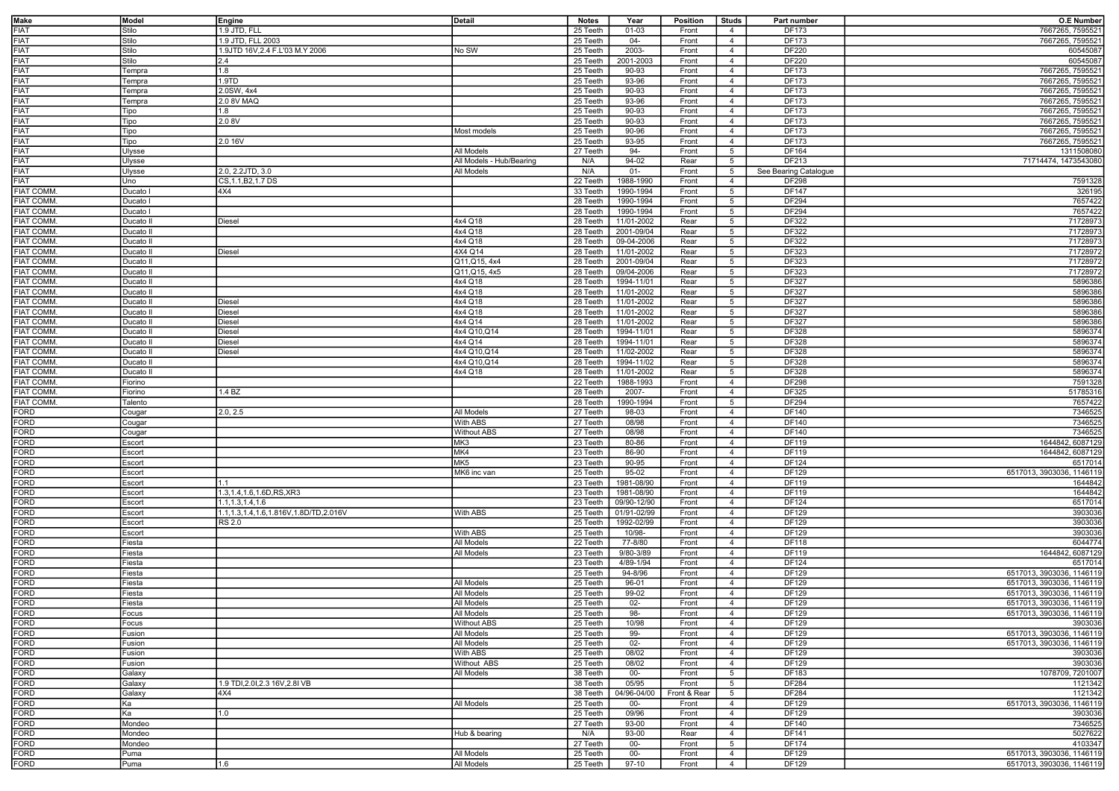| <b>Make</b>         | Model     | Engine                                | <b>Detail</b>            | <b>Notes</b> | Year           | Position     | <b>Studs</b>    | Part number           | <b>O.E Number</b>         |
|---------------------|-----------|---------------------------------------|--------------------------|--------------|----------------|--------------|-----------------|-----------------------|---------------------------|
| FIAT                |           |                                       |                          |              |                |              |                 |                       |                           |
|                     | Stilo     | 1.9 JTD, FLL                          |                          | 25 Teeth     | $01 - 03$      | Front        | $\overline{4}$  | DF173                 | 7667265, 7595521          |
| <b>FIAT</b>         | Stilo     | 1.9 JTD, FLL 2003                     |                          | 25 Teeth     | $04 -$         | Front        | $\overline{4}$  | DF173                 | 7667265, 7595521          |
| <b>FIAT</b>         | Stilo     | 1.9JTD 16V.2.4 F.L'03 M.Y 2006        | No SW                    | 25 Teeth     | 2003-          | Front        | $\overline{4}$  | DF220                 | 60545087                  |
| <b>FIAT</b>         | Stilo     | 2.4                                   |                          | 25 Teeth     | 2001-2003      | Front        | $\overline{4}$  | DF220                 | 60545087                  |
| <b>FIAT</b>         | Tempra    | 1.8                                   |                          | 25 Teeth     | 90-93          | Front        | $\overline{4}$  | DF173                 | 7667265, 7595521          |
|                     |           |                                       |                          |              |                |              |                 |                       |                           |
| <b>FIAT</b>         | Tempra    | 1.9TD                                 |                          | 25 Teeth     | 93-96          | Front        | $\overline{4}$  | DF173                 | 7667265, 7595521          |
| <b>FIAT</b>         | Tempra    | 2.0SW, 4x4                            |                          | 25 Teeth     | 90-93          | Front        | $\overline{4}$  | <b>DF173</b>          | 7667265, 7595521          |
| <b>FIAT</b>         | Tempra    | 2.0 8V MAQ                            |                          | 25 Teeth     | 93-96          | Front        | $\overline{4}$  | DF173                 | 7667265, 7595521          |
| <b>FIAT</b>         | Tipo      | 1.8                                   |                          | 25 Teeth     | 90-93          | Front        | $\overline{4}$  | DF173                 | 7667265, 7595521          |
|                     |           |                                       |                          |              |                |              |                 |                       |                           |
| <b>FIAT</b>         | Tipo      | 2.08V                                 |                          | 25 Teeth     | 90-93          | Front        | $\overline{4}$  | DF173                 | 7667265, 7595521          |
| <b>FIAT</b>         | Tipo      |                                       | Most models              | 25 Teeth     | 90-96          | Front        | $\overline{4}$  | DF173                 | 7667265, 7595521          |
| <b>FIAT</b>         | Tipo      | 2.0 16V                               |                          | 25 Teeth     | 93-95          | Front        | $\overline{4}$  | DF173                 | 7667265, 7595521          |
| <b>FIAT</b>         | Ulysse    |                                       | All Models               | 27 Teeth     | 94-            | Front        | $5\phantom{.0}$ | DF164                 | 1311508080                |
| <b>FIAT</b>         |           |                                       |                          |              |                |              |                 | DF213                 |                           |
|                     | Jlysse    |                                       | All Models - Hub/Bearing | N/A          | 94-02          | Rear         | 5               |                       | 71714474, 1473543080      |
| <b>FIAT</b>         | Jlysse    | 2.0, 2.2JTD, 3.0                      | All Models               | N/A          | $01 -$         | Front        | 5               | See Bearing Catalogue |                           |
| <b>FIAT</b>         | Jno       | CS, 1.1, B2, 1.7 DS                   |                          | 22 Teeth     | 1988-1990      | Front        | $\overline{4}$  | DF298                 | 7591328                   |
| <b>FIAT COMM</b>    | Ducato I  | 4X4                                   |                          | 33 Teeth     | 1990-1994      | Front        | 5               | DF147                 | 326195                    |
| <b>FIAT COMM</b>    |           |                                       |                          | 28 Teeth     | 1990-1994      |              | $5\overline{5}$ | DF294                 | 7657422                   |
|                     | Ducato I  |                                       |                          |              |                | Front        |                 |                       |                           |
| <b>FIAT COMM</b>    | Ducato I  |                                       |                          | 28 Teeth     | 1990-1994      | Front        | 5               | DF294                 | 7657422                   |
| <b>FIAT COMM</b>    | Ducato II | Diesel                                | 4x4 Q18                  | 28 Teeth     | 11/01-2002     | Rear         | 5               | DF322                 | 71728973                  |
| <b>FIAT COMM</b>    | Ducato II |                                       | 4x4 Q18                  | 28 Teeth     | 2001-09/04     | Rear         | 5               | DF322                 | 71728973                  |
| <b>FIAT COMM</b>    | Ducato II |                                       | 4x4 Q18                  | 28 Teeth     | 09-04-2006     | Rear         | $5\overline{5}$ | DF322                 | 71728973                  |
|                     |           |                                       |                          |              |                |              |                 |                       |                           |
| <b>FIAT COMM</b>    | Ducato II | Diesel                                | 4X4 Q14                  | 28 Teeth     | 11/01-2002     | Rear         | 5               | DF323                 | 71728972                  |
| <b>FIAT COMM</b>    | Ducato II |                                       | Q11, Q15, 4x4            | 28 Teeth     | 2001-09/04     | Rear         | $5\overline{5}$ | DF323                 | 71728972                  |
| <b>FIAT COMM</b>    | Ducato II |                                       | Q11, Q15, 4x5            | 28 Teeth     | 09/04-2006     | Rear         | 5               | DF323                 | 71728972                  |
| <b>FIAT COMM</b>    | Ducato II |                                       | 4x4 Q18                  | 28 Teeth     | 1994-11/01     | Rear         | 5               | DF327                 | 5896386                   |
|                     |           |                                       |                          |              |                |              |                 |                       |                           |
| <b>FIAT COMM</b>    | Ducato II |                                       | 4x4 Q18                  | 28 Teeth     | 11/01-2002     | Rear         | 5               | <b>DF327</b>          | 5896386                   |
| <b>FIAT COMM</b>    | Ducato II | <b>Diesel</b>                         | 4x4 Q18                  | 28 Teeth     | 11/01-2002     | Rear         | 5               | DF327                 | 5896386                   |
| <b>FIAT COMM</b>    | Ducato II | <b>Diesel</b>                         | 4x4 Q18                  | 28 Teeth     | $11/01 - 2002$ | Rear         | 5               | DF327                 | 5896386                   |
| <b>FIAT COMM</b>    | Ducato II | Diesel                                | 4x4 Q14                  | 28 Teeth     | 11/01-2002     | Rear         | 5               | DF327                 | 5896386                   |
|                     |           |                                       |                          |              |                |              |                 |                       |                           |
| <b>FIAT COMM</b>    | Ducato II | <b>Diesel</b>                         | 4x4 Q10, Q14             | 28 Teeth     | 1994-11/01     | Rear         | 5               | DF328                 | 5896374                   |
| <b>FIAT COMM</b>    | Ducato II | Diesel                                | 4x4 Q14                  | 28 Teeth     | 1994-11/01     | Rear         | 5               | DF328                 | 5896374                   |
| <b>FIAT COMM</b>    | Ducato II | Diesel                                | 4x4 Q10, Q14             | 28 Teeth     | 11/02-2002     | Rear         | 5               | DF328                 | 5896374                   |
| <b>FIAT COMM</b>    | Ducato II |                                       | 4x4 Q10, Q14             | 28 Teeth     | 1994-11/02     | Rear         | $5\overline{5}$ | DF328                 | 5896374                   |
|                     |           |                                       |                          |              |                |              |                 |                       |                           |
| <b>FIAT COMM</b>    | Ducato II |                                       | 4x4 Q18                  | 28 Teeth     | 11/01-2002     | Rear         | 5               | DF328                 | 5896374                   |
| <b>FIAT COMM</b>    | Fiorino   |                                       |                          | 22 Teeth     | 1988-1993      | Front        | $\overline{4}$  | DF298                 | 7591328                   |
| <b>FIAT COMM</b>    | Fiorino   | 1.4 BZ                                |                          | 28 Teeth     | 2007-          | Front        | $\overline{4}$  | DF325                 | 51785316                  |
| <b>FIAT COMM</b>    | Talento   |                                       |                          | 28 Teeth     | 1990-1994      | Front        | 5               | DF294                 | 7657422                   |
|                     |           |                                       |                          |              |                |              |                 |                       |                           |
| FORD                | Cougar    | 2.0, 2.5                              | All Models               | 27 Teeth     | 98-03          | Front        | $\overline{4}$  | DF140                 | 7346525                   |
| <b>FORD</b>         | Cougar    |                                       | With ABS                 | 27 Teeth     | 08/98          | Front        | $\overline{4}$  | DF140                 | 7346525                   |
| <b>FORD</b>         | Cougar    |                                       | <b>Without ABS</b>       | 27 Teeth     | 08/98          | Front        | $\overline{4}$  | DF140                 | 7346525                   |
| <b>FORD</b>         | Escort    |                                       | MK3                      | 23 Teeth     | 80-86          | Front        | $\overline{4}$  | DF119                 | 1644842, 6087129          |
| FORD                |           |                                       | MK4                      |              |                |              |                 | DF119                 | 1644842, 6087129          |
|                     | Escort    |                                       |                          | 23 Teeth     | 86-90          | Front        | $\overline{4}$  |                       |                           |
| <b>FORD</b>         | Escort    |                                       | MK5                      | 23 Teeth     | 90-95          | Front        | $\overline{4}$  | DF124                 | 6517014                   |
| <b>FORD</b>         | Escort    |                                       | MK6 inc van              | 25 Teeth     | 95-02          | Front        | $\overline{4}$  | DF129                 | 6517013, 3903036, 1146119 |
| <b>FORD</b>         | Escort    | 1.1                                   |                          | 23 Teeth     | 1981-08/90     | Front        | $\overline{4}$  | DF119                 | 1644842                   |
|                     |           |                                       |                          |              |                |              |                 |                       |                           |
| <b>FORD</b>         | Escort    | 1.3, 1.4, 1.6, 1.6D, RS, XR3          |                          | 23 Teeth     | 1981-08/90     | Front        | $\overline{4}$  | DF119                 | 1644842                   |
| <b>FORD</b>         | Escort    | 1.1, 1.3, 1.4, 1.6                    |                          | 23 Teeth     | 09/90-12/90    | Front        | $\overline{4}$  | DF124                 | 6517014                   |
| <b>FORD</b>         | Escort    | 1.1,1.3,1.4,1.6,1.816V,1.8D/TD,2.016V | With ABS                 | 25 Teeth     | 01/91-02/99    | Front        | $\overline{4}$  | DF129                 | 3903036                   |
| <b>FORD</b>         | Escort    | <b>RS 2.0</b>                         |                          | 25 Teeth     | 1992-02/99     | Front        | $\overline{4}$  | DF129                 | 3903036                   |
| <b>FORD</b>         |           |                                       |                          |              | 10/98-         |              | $\overline{4}$  | DF129                 |                           |
|                     | Escort    |                                       | With ABS                 | 25 Teeth     |                | Front        |                 |                       | 3903036                   |
| <b>FORD</b>         | Fiesta    |                                       | All Models               | 22 Teeth     | 77-8/80        | Front        | $\overline{4}$  | DF118                 | 6044774                   |
| <b>FORD</b>         | Fiesta    |                                       | All Models               | 23 Teeth     | 9/80-3/89      | Front        | $\overline{4}$  | DF119                 | 1644842, 6087129          |
| <b>FORD</b>         | Fiesta    |                                       |                          | 23 Teeth     | 4/89-1/94      | Front        | $\overline{4}$  | DF124                 | 6517014                   |
| <b>FORD</b>         | Fiesta    |                                       |                          | 25 Teeth     | 94-8/96        | Front        | $\overline{4}$  | DF129                 | 6517013, 3903036, 1146119 |
|                     |           |                                       |                          |              |                |              |                 |                       |                           |
| <b>FORD</b>         | Fiesta    |                                       | All Models               | 25 Teeth     | 96-01          | Front        | $\overline{4}$  | DF129                 | 6517013, 3903036, 1146119 |
| <b>FORD</b>         | Fiesta    |                                       | All Models               | 25 Teeth     | 99-02          | Front        | $\overline{4}$  | DF129                 | 6517013, 3903036, 1146119 |
| <b>FORD</b>         | Fiesta    |                                       | All Models               | 25 Teeth     | $02 -$         | Front        | $\overline{4}$  | DF129                 | 6517013, 3903036, 1146119 |
|                     | Focus     |                                       | All Models               | 25 Teeth     | 98-            | Front        | $\overline{4}$  | DF129                 | 6517013, 3903036, 1146119 |
| <b>FORD</b><br>FORD |           |                                       |                          |              |                |              |                 |                       |                           |
|                     | Focus     |                                       | <b>Without ABS</b>       | 25 Teeth     | 10/98          | Front        | $\overline{4}$  | DF129                 | 3903036                   |
| <b>FORD</b>         | Fusion    |                                       | All Models               | 25 Teeth     | 99-            | Front        | $\overline{4}$  | DF129                 | 6517013, 3903036, 1146119 |
| <b>FORD</b>         | Fusion    |                                       | All Models               | 25 Teeth     | $02 -$         | Front        | $\overline{4}$  | DF129                 | 6517013, 3903036, 1146119 |
| <b>FORD</b>         | Fusion    |                                       | With ABS                 | 25 Teeth     | 08/02          | Front        | $\overline{4}$  | DF129                 | 3903036                   |
|                     |           |                                       |                          |              |                |              |                 |                       |                           |
| FORD                | Fusion    |                                       | Without ABS              | 25 Teeth     | 08/02          | Front        | $\overline{4}$  | DF129                 | 3903036                   |
| <b>FORD</b>         | Galaxy    |                                       | All Models               | 38 Teeth     | $00-$          | Front        | 5               | DF183                 | 1078709, 7201007          |
| <b>FORD</b>         | Galaxy    | 1.9 TDI, 2.01, 2.3 16 V, 2.81 VB      |                          | 38 Teeth     | 05/95          | Front        | $5\overline{5}$ | DF284                 | 1121342                   |
|                     | Galaxy    | 4X4                                   |                          | 38 Teeth     | 04/96-04/00    | Front & Rear | 5               | DF284                 | 1121342                   |
| FORD<br>FORD        |           |                                       |                          |              |                |              |                 |                       |                           |
|                     | Ka        |                                       | All Models               | 25 Teeth     | $00-$          | Front        | $\overline{4}$  | DF129                 | 6517013, 3903036, 1146119 |
| <b>FORD</b>         | Ka        | 1.0                                   |                          | 25 Teeth     | 09/96          | Front        | $\overline{4}$  | DF129                 | 3903036                   |
| <b>FORD</b>         | Mondeo    |                                       |                          | 27 Teeth     | 93-00          | Front        | $\overline{4}$  | DF140                 | 7346525                   |
| <b>FORD</b>         | Mondeo    |                                       | Hub & bearing            | N/A          | $93 - 00$      | Rear         | $\overline{4}$  | DF141                 | 5027622                   |
| <b>FORD</b>         |           |                                       |                          |              |                |              |                 |                       |                           |
|                     | Mondeo    |                                       |                          | 27 Teeth     | $00 -$         | Front        | $5\overline{5}$ | DF174                 | 4103347                   |
| <b>FORD</b>         | Puma      |                                       | All Models               | 25 Teeth     | $00-$          | Front        | $\overline{4}$  | DF129                 | 6517013, 3903036, 1146119 |
| <b>FORD</b>         | Puma      | 1.6                                   | All Models               | 25 Teeth     | 97-10          | Front        | $\overline{4}$  | DF129                 | 6517013, 3903036, 1146119 |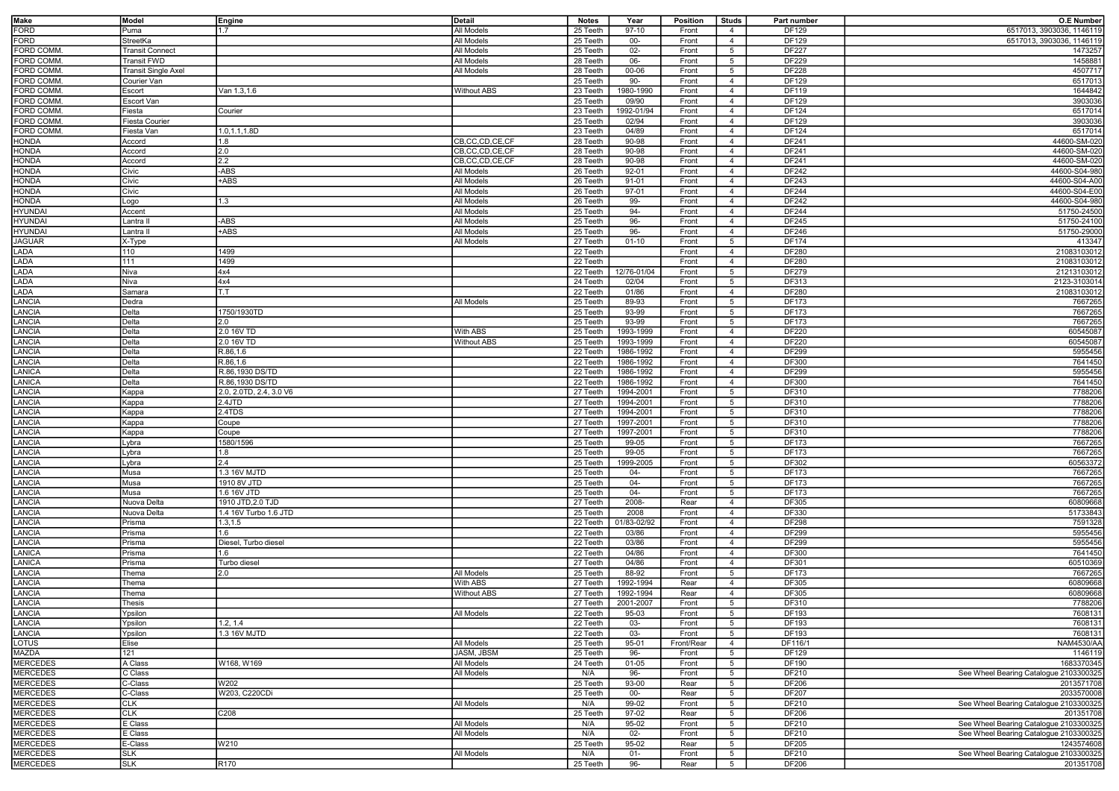| Make             | Model                      | Engine                  | Detail             | Notes    | Year        | Position   | Studs           | Part number  | <b>O.E Number</b>                      |
|------------------|----------------------------|-------------------------|--------------------|----------|-------------|------------|-----------------|--------------|----------------------------------------|
| <b>FORD</b>      | Puma                       | 1.7                     | All Models         | 25 Teeth | 97-10       | Front      | $\overline{4}$  | DF129        | 6517013, 3903036, 1146119              |
| <b>FORD</b>      | StreetKa                   |                         | All Models         | 25 Teeth | $00 -$      | Front      | $\overline{4}$  | DF129        | 6517013, 3903036, 1146119              |
| <b>FORD COMM</b> | <b>Transit Connect</b>     |                         | All Models         | 25 Teeth | $02-$       | Front      | 5               | <b>DF227</b> | 1473257                                |
| FORD COMM        | Transit FWD                |                         | All Models         | 28 Teeth | 06-         | Front      | 5               | DF229        | 1458881                                |
| <b>FORD COMM</b> | <b>Transit Single Axel</b> |                         | All Models         | 28 Teeth | 00-06       | Front      | $5\overline{5}$ | <b>DF228</b> | 4507717                                |
| FORD COMM        | Courier Van                |                         |                    |          | 90-         | Front      | $\overline{4}$  | DF129        | 6517013                                |
|                  |                            |                         |                    | 25 Teeth |             |            |                 |              |                                        |
| <b>FORD COMM</b> | Escort                     | Van 1.3,1.6             | <b>Without ABS</b> | 23 Teeth | 1980-1990   | Front      | $\overline{4}$  | DF119        | 1644842                                |
| FORD COMM        | Escort Van                 |                         |                    | 25 Teeth | 09/90       | Front      | $\overline{4}$  | DF129        | 3903036                                |
| <b>FORD COMM</b> | iesta                      | Courier                 |                    | 23 Teeth | 992-01/94   | Front      | $\overline{4}$  | DF124        | 6517014                                |
| <b>FORD COMM</b> | iesta Courier <sup>-</sup> |                         |                    | 25 Teeth | 02/94       | Front      | $\overline{4}$  | DF129        | 3903036                                |
| FORD COMM.       | Fiesta Van                 | 1.0,1.1,1.8D            |                    | 23 Teeth | 04/89       | Front      | $\overline{4}$  | DF124        | 6517014                                |
| <b>HONDA</b>     | Accord                     | 1.8                     | CB,CC,CD,CE,CF     | 28 Teeth | 90-98       | Front      | $\overline{4}$  | DF241        | 44600-SM-020                           |
| <b>HONDA</b>     | Accord                     | 2.0                     | CB,CC,CD,CE,CF     | 28 Teeth | 90-98       | Front      | $\overline{4}$  | DF241        | 44600-SM-020                           |
| <b>HONDA</b>     | Accord                     | $2.2\,$                 | CB,CC,CD,CE,CF     | 28 Teeth | 90-98       | Front      | $\overline{4}$  | DF241        | 44600-SM-020                           |
| <b>HONDA</b>     | Civic                      | -ABS                    | All Models         | 26 Teeth | 92-01       | Front      | $\overline{4}$  | DF242        | 44600-S04-980                          |
| <b>HONDA</b>     | Civic                      | +ABS                    | All Models         | 26 Teeth | 91-01       | Front      | $\overline{4}$  | DF243        | 44600-S04-A00                          |
| <b>HONDA</b>     | Civic                      |                         | All Models         | 26 Teeth | 97-01       | Front      | $\overline{4}$  | DF244        | 44600-S04-E00                          |
| <b>HONDA</b>     | Logo                       | 1.3                     | All Models         | 26 Teeth | 99-         | Front      | $\overline{4}$  | DF242        | 44600-S04-980                          |
| <b>HYUNDAI</b>   | Accent                     |                         | All Models         | 25 Teeth | 94-         | Front      | $\overline{4}$  | DF244        | 51750-24500                            |
| <b>HYUNDAI</b>   | Lantra II                  | -ABS                    | All Models         | 25 Teeth | 96-         | Front      | $\overline{4}$  | DF245        | 51750-24100                            |
|                  | Lantra II                  | +ABS                    | All Models         | 25 Teeth | 96-         | Front      | $\overline{4}$  | DF246        |                                        |
| <b>HYUNDAI</b>   |                            |                         |                    |          |             |            |                 |              | 51750-29000                            |
| <b>JAGUAR</b>    | X-Type                     |                         | All Models         | 27 Teeth | $01 - 10$   | Front      | 5               | DF174        | 413347                                 |
| LADA             | 110                        | 1499                    |                    | 22 Teeth |             | Front      | $\overline{4}$  | DF280        | 21083103012                            |
| LADA             | 111                        | 1499                    |                    | 22 Teeth |             | Front      | $\overline{4}$  | DF280        | 21083103012                            |
| LADA             | Niva                       | 4x4                     |                    | 22 Teeth | 12/76-01/04 | Front      | 5               | DF279        | 21213103012                            |
| LADA             | Niva                       | 4x4                     |                    | 24 Teeth | 02/04       | Front      | $5\overline{5}$ | DF313        | 2123-3103014                           |
| LADA             | Samara                     | T.T                     |                    | 22 Teeth | 01/86       | Front      | $\overline{4}$  | DF280        | 21083103012                            |
| <b>LANCIA</b>    | Dedra                      |                         | All Models         | 25 Teeth | 89-93       | Front      | $5\overline{5}$ | DF173        | 7667265                                |
| LANCIA           | Delta                      | 1750/1930TD             |                    | 25 Teeth | 93-99       | Front      | $5\overline{5}$ | DF173        | 7667265                                |
| LANCIA           | Delta                      | 2.0                     |                    | 25 Teeth | 93-99       | Front      | $5\overline{5}$ | DF173        | 7667265                                |
| LANCIA           | Delta                      | 2.0 16V TD              | With ABS           | 25 Teeth | 1993-1999   | Front      | $\overline{4}$  | DF220        | 60545087                               |
| LANCIA           | Delta                      | 2.0 16V TD              | <b>Without ABS</b> | 25 Teeth | 1993-1999   | Front      | $\overline{4}$  | DF220        | 60545087                               |
| LANCIA           | elta                       | R.86,1.6                |                    | 22 Teeth | 1986-1992   | Front      | $\overline{4}$  | DF299        | 5955456                                |
| <b>LANCIA</b>    | elta                       | R.86,1.6                |                    | 22 Teeth | 1986-1992   | Front      | $\overline{4}$  | DF300        | 7641450                                |
|                  |                            | R.86,1930 DS/TD         |                    |          |             |            | $\overline{4}$  | DF299        |                                        |
| LANICA           | elta                       |                         |                    | 22 Teeth | 1986-1992   | Front      |                 |              | 5955456                                |
| LANICA           | <b>Delta</b>               | R.86,1930 DS/TD         |                    | 22 Teeth | 1986-1992   | Front      | $\overline{4}$  | DF300        | 7641450                                |
| LANCIA           | ≺appa                      | 2.0, 2.0TD, 2.4, 3.0 V6 |                    | 27 Teeth | 1994-2001   | Front      | $5\overline{5}$ | DF310        | 7788206                                |
| <b>LANCIA</b>    | Kappa                      | 2.4JTD                  |                    | 27 Teeth | 1994-2001   | Front      | 5               | DF310        | 7788206                                |
| <b>LANCIA</b>    | <b>Kappa</b>               | 2.4TDS                  |                    | 27 Teeth | 1994-2001   | Front      | $5\overline{5}$ | DF310        | 7788206                                |
| <b>LANCIA</b>    | Kappa                      | Coupe                   |                    | 27 Teeth | 1997-2001   | Front      | 5               | DF310        | 7788206                                |
| <b>LANCIA</b>    | Kappa                      | Coupe                   |                    | 27 Teeth | 1997-2001   | Front      | $5\overline{5}$ | DF310        | 7788206                                |
| <b>LANCIA</b>    | Lybra                      | 1580/1596               |                    | 25 Teeth | 99-05       | Front      | 5 <sup>5</sup>  | DF173        | 7667265                                |
| <b>LANCIA</b>    | Lybra                      | 1.8                     |                    | 25 Teeth | 99-05       | Front      | $5\overline{5}$ | DF173        | 7667265                                |
| <b>LANCIA</b>    | Lybra                      | 2.4                     |                    | 25 Teeth | 1999-2005   | Front      | 5               | DF302        | 60563372                               |
| <b>LANCIA</b>    | Musa                       | 1.3 16V MJTD            |                    | 25 Teeth | $04 -$      | Front      | 5               | DF173        | 7667265                                |
| <b>LANCIA</b>    | Musa                       | 1910 8V JTD             |                    | 25 Teeth | 04-         | Front      | 5               | DF173        | 7667265                                |
| <b>LANCIA</b>    | Musa                       | 1.6 16V JTD             |                    | 25 Teeth | $04-$       | Front      | 5               | DF173        | 7667265                                |
| LANCIA           | Nuova Delta                | 1910 JTD, 2.0 TJD       |                    | 27 Teeth | 2008-       | Rear       | $\overline{4}$  | DF305        | 60809668                               |
| <b>LANCIA</b>    | Nuova Delta                | 1.4 16V Turbo 1.6 JTD   |                    | 25 Teeth | 2008        | Front      | $\overline{4}$  | DF330        | 51733843                               |
| <b>LANCIA</b>    | Prisma                     | 1.3, 1.5                |                    | 22 Teeth | 01/83-02/92 | Front      | $\overline{4}$  | <b>DF298</b> | 7591328                                |
|                  |                            | 1.6                     |                    |          |             |            |                 |              |                                        |
| <b>LANCIA</b>    | Prisma                     |                         |                    | 22 Teeth | 03/86       | Front      | $\overline{4}$  | DF299        | 5955456                                |
| LANCIA           | Prisma                     | Diesel, Turbo diesel    |                    | 22 Teeth | 03/86       | Front      | $\overline{4}$  | DF299        | 5955456                                |
| <b>LANICA</b>    | Prisma                     | 1.6                     |                    | 22 Teeth | 04/86       | Front      | $\overline{4}$  | DF300        | 7641450                                |
| LANICA           | Prisma                     | Turbo diesel            |                    | 27 Teeth | 04/86       | Front      | $\overline{4}$  | DF301        | 60510369                               |
| LANCIA           | Thema                      | 2.0                     | All Models         | 25 Teeth | 88-92       | Front      | 5               | DF173        | 7667265                                |
| LANCIA           | Thema                      |                         | With ABS           | 27 Teeth | 1992-1994   | Rear       | $\overline{4}$  | DF305        | 60809668                               |
| <b>LANCIA</b>    | Thema                      |                         | <b>Without ABS</b> | 27 Teeth | 1992-1994   | Rear       | $\overline{4}$  | DF305        | 60809668                               |
| LANCIA           | Thesis                     |                         |                    | 27 Teeth | 2001-2007   | Front      | $5\overline{5}$ | DF310        | 7788206                                |
| LANCIA           | Ypsilon                    |                         | I All Models       | 22 Teeth | 95-03       | Front      | -5              | DF193        | 7608131                                |
| LANCIA           | Ypsilon                    | 1.2, 1.4                |                    | 22 Teeth | 03-         | Front      | $5\overline{5}$ | DF193        | 7608131                                |
| <b>LANCIA</b>    | Ypsilon                    | 1.3 16V MJTD            |                    | 22 Teeth | 03-         | Front      | 5 <sup>5</sup>  | DF193        | 7608131                                |
| LOTUS            | Elise                      |                         | All Models         | 25 Teeth | 95-01       | Front/Rear | $\overline{4}$  | DF116/1      | <b>NAM4530/AA</b>                      |
| <b>MAZDA</b>     | 121                        |                         | JASM, JBSM         | 25 Teeth | 96-         | Front      | 5               | DF129        | 1146119                                |
| <b>MERCEDES</b>  | A Class                    | W168, W169              | All Models         | 24 Teeth | $01 - 05$   | Front      | $5\overline{5}$ | DF190        | 1683370345                             |
| <b>MERCEDES</b>  | C Class                    |                         | All Models         | N/A      | 96-         | Front      | 5 <sup>5</sup>  | DF210        | See Wheel Bearing Catalogue 2103300325 |
| <b>MERCEDES</b>  | C-Class                    | W202                    |                    | 25 Teeth | 93-00       | Rear       | $5^{\circ}$     | DF206        | 2013571708                             |
| <b>MERCEDES</b>  | C-Class                    | W203, C220CDi           |                    |          | $00 -$      | Rear       |                 | <b>DF207</b> | 2033570008                             |
|                  |                            |                         |                    | 25 Teeth | $99-02$     |            | 5               |              |                                        |
| <b>MERCEDES</b>  | <b>CLK</b>                 |                         | All Models         | N/A      |             | Front      | $5\overline{5}$ | DF210        | See Wheel Bearing Catalogue 2103300325 |
| <b>MERCEDES</b>  | <b>CLK</b>                 | C208                    |                    | 25 Teeth | 97-02       | Rear       | 5               | <b>DF206</b> | 201351708                              |
| <b>MERCEDES</b>  | E Class                    |                         | All Models         | N/A      | 95-02       | Front      | 5               | DF210        | See Wheel Bearing Catalogue 2103300325 |
| <b>MERCEDES</b>  | E Class                    |                         | All Models         | N/A      | $02 -$      | Front      | 5 <sup>5</sup>  | DF210        | See Wheel Bearing Catalogue 2103300325 |
| <b>MERCEDES</b>  | E-Class                    | W210                    |                    | 25 Teeth | 95-02       | Rear       | $5^{\circ}$     | DF205        | 1243574608                             |
| <b>MERCEDES</b>  | <b>SLK</b>                 |                         | All Models         | N/A      | $01 -$      | Front      | 5 <sup>5</sup>  | DF210        | See Wheel Bearing Catalogue 2103300325 |
| <b>MERCEDES</b>  | <b>SLK</b>                 | R170                    |                    | 25 Teeth | 96-         | Rear       | 5 <sub>5</sub>  | DF206        | 201351708                              |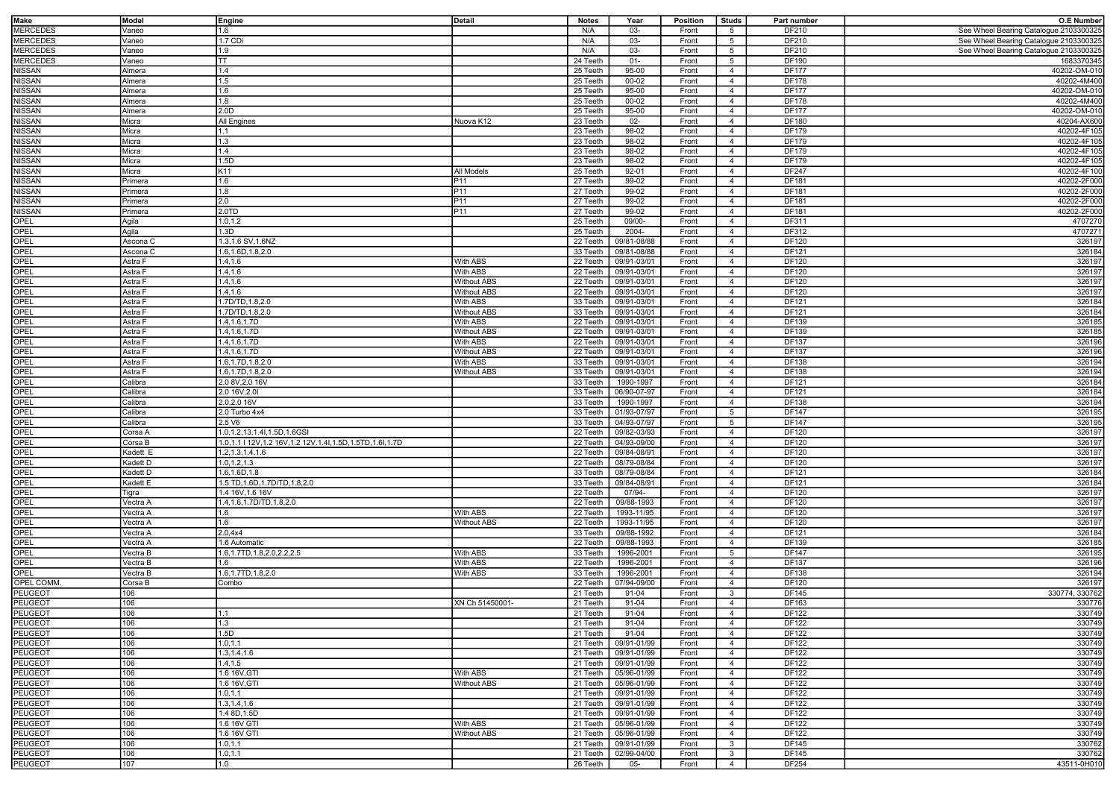| Make            | Model    |                                                         | Detail             | <b>Notes</b> | Year        | Position | Studs           | Part number  | <b>O.E Number</b>                      |
|-----------------|----------|---------------------------------------------------------|--------------------|--------------|-------------|----------|-----------------|--------------|----------------------------------------|
|                 |          | Engine                                                  |                    |              |             |          |                 |              |                                        |
| <b>MERCEDES</b> | Vaneo    | 1.6                                                     |                    | N/A          | 03-         | Front    | 5               | DF210        | See Wheel Bearing Catalogue 2103300325 |
| <b>MERCEDES</b> | Vaneo    | 1.7 CDi                                                 |                    | N/A          | $03 -$      | Front    | $5\overline{5}$ | DF210        | See Wheel Bearing Catalogue 2103300325 |
| <b>MERCEDES</b> | /aneo    | 1.9                                                     |                    | N/A          | 03-         | Front    | 5               | DF210        | See Wheel Bearing Catalogue 2103300325 |
|                 |          |                                                         |                    |              |             |          |                 |              |                                        |
| <b>MERCEDES</b> | Vaneo    | TT                                                      |                    | 24 Teeth     | $01 -$      | Front    | 5               | DF190        | 1683370345                             |
| NISSAN          | Almera   | 1.4                                                     |                    | 25 Teeth     | $95 - 00$   | Front    | $\overline{4}$  | <b>DF177</b> | 40202-OM-010                           |
| NISSAN          | Almera   | 1.5                                                     |                    | 25 Teeth     | $00 - 02$   | Front    | $\overline{4}$  | <b>DF178</b> | 40202-4M400                            |
| NISSAN          | Almera   | 1.6                                                     |                    | 25 Teeth     | 95-00       | Front    | $\overline{4}$  | <b>DF177</b> | 40202-OM-010                           |
| <b>VISSAN</b>   |          | 1.8                                                     |                    | 25 Teeth     | 00-02       |          |                 | <b>DF178</b> | 40202-4M400                            |
|                 | Almera   |                                                         |                    |              |             | Front    | $\overline{4}$  |              |                                        |
| NISSAN          | Almera   | 2.0D                                                    |                    | 25 Teeth     | 95-00       | Front    | $\overline{4}$  | <b>DF177</b> | 40202-OM-010                           |
| NISSAN          | Micra    | All Engines                                             | Nuova K12          | 23 Teeth     | $02 -$      | Front    | $\overline{4}$  | DF180        | 40204-AX600                            |
| <b>VISSAN</b>   | Micra    | 11.1                                                    |                    | 23 Teeth     | 98-02       | Front    | $\overline{4}$  | DF179        | 40202-4F105                            |
|                 |          |                                                         |                    |              |             |          |                 |              |                                        |
| <b>VISSAN</b>   | Micra    | 1.3                                                     |                    | 23 Teeth     | 98-02       | Front    | $\overline{4}$  | DF179        | 40202-4F105                            |
| NISSAN          | Micra    | 1.4                                                     |                    | 23 Teeth     | 98-02       | Front    | $\overline{4}$  | DF179        | 40202-4F105                            |
| NISSAN          | Micra    | 1.5D                                                    |                    | 23 Teeth     | 98-02       | Front    | $\overline{4}$  | <b>DF179</b> | 40202-4F105                            |
| <b>VISSAN</b>   | Micra    | K11                                                     | All Models         | 25 Teeth     | 92-01       | Front    | $\overline{4}$  | DF247        | 40202-4F100                            |
|                 |          |                                                         |                    |              |             |          |                 |              |                                        |
| <b>JISSAN</b>   | Primera  | 1.6                                                     | P11                | 27 Teeth     | 99-02       | Front    | $\overline{4}$  | DF181        | 40202-2F000                            |
| NISSAN          | Primera  | 1.8                                                     | P11                | 27 Teeth     | 99-02       | Front    | $\overline{4}$  | DF181        | 40202-2F000                            |
| <b>JISSAN</b>   | Primera  | 2.0                                                     | P11                | 27 Teeth     | 99-02       | Front    | $\overline{4}$  | DF181        | 40202-2F000                            |
|                 |          |                                                         | P11                | 27 Teeth     | 99-02       |          | $\overline{4}$  | DF181        | 40202-2F000                            |
| <b>VISSAN</b>   | Primera  | 2.0TD                                                   |                    |              |             | Front    |                 |              |                                        |
| <b>OPEL</b>     | Agila    | 1.0, 1.2                                                |                    | 25 Teeth     | 09/00-      | Front    | $\overline{4}$  | DF311        | 4707270                                |
| OPEL            | Agila    | 1.3D                                                    |                    | 25 Teeth     | 2004-       | Front    | $\overline{4}$  | DF312        | 4707271                                |
| OPEL            | Ascona C | 1.3,1.6 SV,1.6NZ                                        |                    | 22 Teeth     | 09/81-08/88 | Front    | $\overline{4}$  | DF120        | 326197                                 |
|                 |          |                                                         |                    |              |             |          |                 |              |                                        |
| OPEL            | Ascona C | 1.6,1.6D,1.8,2.0                                        |                    | 33 Teeth     | 09/81-08/88 | Front    | $\overline{4}$  | DF121        | 326184                                 |
| OPEL            | Astra F  | 1.4,1.6                                                 | With ABS           | 22 Teeth     | 09/91-03/01 | Front    | $\overline{4}$  | DF120        | 326197                                 |
| OPEL            | Astra F  | 1.4,1.6                                                 | With ABS           | 22 Teeth     | 09/91-03/01 | Front    | $\overline{4}$  | DF120        | 326197                                 |
|                 |          | 1.4, 1.6                                                |                    |              |             |          |                 |              |                                        |
| OPEL            | Astra F  |                                                         | <b>Without ABS</b> | 22 Teeth     | 09/91-03/01 | Front    | $\overline{4}$  | DF120        | 326197                                 |
| OPEL            | Astra F  | 1.4.1.6                                                 | <b>Without ABS</b> | 22 Teeth     | 09/91-03/01 | Front    | $\overline{4}$  | DF120        | 326197                                 |
| OPEL            | Astra F  | 1.7D/TD, 1.8, 2.0                                       | With ABS           | 33 Teeth     | 09/91-03/01 | Front    | $\overline{4}$  | DF121        | 326184                                 |
| OPEL            | Astra F  | 1.7D/TD, 1.8, 2.0                                       | <b>Without ABS</b> | 33 Teeth     | 09/91-03/01 | Front    | $\overline{4}$  | DF121        | 326184                                 |
|                 |          |                                                         |                    |              |             |          |                 |              |                                        |
| OPEL            | Astra F  | 1.4, 1.6, 1.7D                                          | With ABS           | 22 Teeth     | 09/91-03/01 | Front    | $\overline{4}$  | DF139        | 326185                                 |
| OPEL            | Astra F  | 1.4, 1.6, 1.7D                                          | <b>Without ABS</b> | 22 Teeth     | 09/91-03/01 | Front    | $\overline{4}$  | DF139        | 326185                                 |
| OPEL            | Astra F  | 1.4, 1.6, 1.7D                                          | With ABS           | 22 Teeth     | 09/91-03/01 | Front    | $\overline{4}$  | DF137        | 326196                                 |
|                 |          |                                                         |                    | 22 Teeth     |             | Front    |                 |              |                                        |
| OPEL            | Astra F  | 1.4, 1.6, 1.7D                                          | <b>Without ABS</b> |              | 09/91-03/01 |          | $\overline{4}$  | DF137        | 326196                                 |
| OPEL            | Astra F  | 1.6,1.7D,1.8,2.0                                        | With ABS           | 33 Teeth     | 09/91-03/01 | Front    | $\overline{4}$  | DF138        | 326194                                 |
| OPEL            | Astra F  | 1.6, 1.7D, 1.8, 2.0                                     | Without ABS        | 33 Teeth     | 09/91-03/01 | Front    | $\overline{4}$  | DF138        | 326194                                 |
| OPEL            | Calibra  | 2.0 8V, 2.0 16V                                         |                    | 33 Teeth     | 1990-1997   | Front    | $\overline{4}$  | DF121        | 326184                                 |
|                 |          |                                                         |                    |              |             |          |                 |              |                                        |
| OPEL            | Calibra  | 2.0 16V, 2.0I                                           |                    | 33 Teeth     | 06/90-07-97 | Front    | $\overline{4}$  | DF121        | 326184                                 |
| OPEL            | Calibra  | 2.0,2.0 16V                                             |                    | 33 Teeth     | 1990-1997   | Front    | $\overline{4}$  | DF138        | 326194                                 |
| OPEL            | Calibra  | 2.0 Turbo 4x4                                           |                    | 33 Teeth     | 01/93-07/97 | Front    | $5\overline{5}$ | DF147        | 326195                                 |
| OPEL            | Calibra  | 2.5 V6                                                  |                    | 33 Teeth     | 04/93-07/97 | Front    | $5\overline{5}$ | DF147        | 326195                                 |
|                 |          |                                                         |                    |              |             |          |                 |              |                                        |
| OPEL            | Corsa A  | 1.0, 1.2, 13, 1.4I, 1.5D, 1.6GSI                        |                    | 22 Teeth     | 09/82-03/93 | Front    | $\overline{4}$  | DF120        | 326197                                 |
| OPEL            | Corsa B  | 1.0,1.1   12V,1.2 16V,1.2 12V.1.4l,1.5D,1.5TD,1.6l,1.7D |                    | 22 Teeth     | 04/93-09/00 | Front    | $\overline{4}$  | DF120        | 326197                                 |
| OPEL            | Kadett E | 1.2, 1.3, 1.4, 1.6                                      |                    | 22 Teeth     | 09/84-08/91 | Front    | $\overline{4}$  | DF120        | 326197                                 |
|                 |          |                                                         |                    |              |             |          |                 |              |                                        |
| OPEL            | Kadett D | 1.0, 1.2, 1.3                                           |                    | 22 Teeth     | 08/79-08/84 | Front    | $\overline{4}$  | DF120        | 326197                                 |
| OPEL            | adett D  | 1.6,1.6D,1.8                                            |                    | 33 Teeth     | 08/79-08/84 | Front    | $\overline{4}$  | DF121        | 326184                                 |
| OPEL            | adett E  | 1.5 TD, 1.6D, 1.7D/TD, 1.8, 2.0                         |                    | 33 Teeth     | 09/84-08/9  | Front    | $\overline{4}$  | DF121        | 326184                                 |
| OPEL            | Γigra    | 1.4 16V, 1.6 16V                                        |                    | 22 Teeth     | 07/94-      | Front    | $\overline{4}$  | DF120        | 326197                                 |
|                 |          |                                                         |                    |              |             |          |                 |              |                                        |
| OPEL            | Vectra A | 1.4, 1.6, 1.7D/TD, 1.8, 2.0                             |                    | 22 Teeth     | 09/88-1993  | Front    | $\overline{4}$  | DF120        | 326197                                 |
| OPEL            | /ectra A | 1.6                                                     | With ABS           | 22 Teeth     | 1993-11/95  | Front    | $\overline{4}$  | DF120        | 326197                                 |
| OPEL            | Vectra A | 1.6                                                     | <b>Without ABS</b> | 22 Teeth     | 1993-11/95  | Front    | $\overline{4}$  | DF120        | 326197                                 |
|                 |          |                                                         |                    |              |             |          |                 |              |                                        |
| OPEL            | Vectra A | 2.0,4x4                                                 |                    | 33 Teeth     | 09/88-1992  | Front    | $\overline{4}$  | DF121        | 326184                                 |
| OPEL            | Vectra A | 1.6 Automatic                                           |                    | 22 Teeth     | 09/88-1993  | Front    | $\overline{4}$  | DF139        | 326185                                 |
| OPEL            | Vectra B | 1.6, 1.7TD, 1.8, 2.0, 2.2, 2.5                          | With ABS           | 33 Teeth     | 1996-2001   | Front    | $5\overline{5}$ | DF147        | 326195                                 |
| OPEL            | Vectra B | 1.6                                                     | With ABS           | 22 Teeth     | 1996-2001   | Front    | $\overline{4}$  | DF137        | 326196                                 |
| OPEL            | Vectra B | 1.6,1.7TD,1.8,2.0                                       | With ABS           | 33 Teeth     | 1996-2001   | Front    | $\overline{4}$  | DF138        | 326194                                 |
|                 |          |                                                         |                    |              |             |          |                 |              |                                        |
| OPEL COMM       | Corsa B  | Combo                                                   |                    | 22 Teeth     | 07/94-09/00 | Front    | $\overline{4}$  | DF120        | 326197                                 |
| PEUGEOT         | 106      |                                                         |                    | 21 Teeth     | 91-04       | Front    | $\mathbf{3}$    | DF145        | 330774, 330762                         |
| PEUGEOT         | 106      |                                                         | XN Ch 51450001-    | 21 Teeth     | 91-04       | Front    | $\overline{4}$  | DF163        | 330776                                 |
|                 |          |                                                         |                    |              |             |          |                 |              |                                        |
| PEUGEOT         | 106      | 11.1                                                    |                    | 21 Teeth     | 91-04       | Front    | $\overline{4}$  | DF122        | 330749                                 |
| PEUGEOT         | 106      | 1.3                                                     |                    | 21 Teeth     | 91-04       | Front    | $\overline{4}$  | DF122        | 330749                                 |
| PEUGEOT         | 106      | 1.5D                                                    |                    | 21 Teeth     | 91-04       | Front    | $\overline{4}$  | DF122        | 330749                                 |
| PEUGEOT         | 106      | 1.0, 1.1                                                |                    | 21 Teeth     | 09/91-01/99 | Front    | $\overline{4}$  | DF122        | 330749                                 |
|                 |          |                                                         |                    |              |             |          |                 |              |                                        |
| PEUGEOT         | 106      | 1.3, 1.4, 1.6                                           |                    | 21 Teeth     | 09/91-01/99 | Front    | $\overline{4}$  | DF122        | 330749                                 |
| PEUGEOT         | 106      | 1.4, 1.5                                                |                    | 21 Teeth     | 09/91-01/99 | Front    | $\overline{4}$  | DF122        | 330749                                 |
| PEUGEOT         | 106      | 1.6 16V, GTI                                            | With ABS           | 21 Teeth     | 05/96-01/99 | Front    | $\overline{4}$  | DF122        | 330749                                 |
| PEUGEOT         | 106      | 1.6 16V, GTI                                            | <b>Without ABS</b> | 21 Teeth     | 05/96-01/99 | Front    | $\overline{4}$  | DF122        | 330749                                 |
|                 |          |                                                         |                    |              |             |          |                 |              |                                        |
| PEUGEOT         | 106      | 1.0, 1.1                                                |                    | 21 Teeth     | 09/91-01/99 | Front    | $\overline{4}$  | DF122        | 330749                                 |
| PEUGEOT         | 106      | 1.3, 1.4, 1.6                                           |                    | 21 Teeth     | 09/91-01/99 | Front    | $\overline{4}$  | DF122        | 330749                                 |
| PEUGEOT         | 106      | 1.4 8D, 1.5D                                            |                    | 21 Teeth     | 09/91-01/99 | Front    | $\overline{4}$  | DF122        | 330749                                 |
|                 | 106      | 1.6 16V GTI                                             | With ABS           | 21 Teeth     | 05/96-01/99 |          |                 | DF122        |                                        |
| PEUGEOT         |          |                                                         |                    |              |             | Front    | $\overline{4}$  |              | 330749                                 |
| PEUGEOT         | 106      | 1.6 16V GTI                                             | <b>Without ABS</b> | 21 Teeth     | 05/96-01/99 | Front    | $\overline{4}$  | DF122        | 330749                                 |
| PEUGEOT         | 106      | 1.0, 1.1                                                |                    | 21 Teeth     | 09/91-01/99 | Front    | 3               | <b>DF145</b> | 330762                                 |
| PEUGEOT         | 106      | 1.0, 1.1                                                |                    | 21 Teeth     | 02/99-04/00 | Front    | 3               | DF145        | 330762                                 |
| PEUGEOT         | 107      | 1.0                                                     |                    | 26 Teeth     | 05-         | Front    | $\overline{4}$  | DF254        | 43511-0H010                            |
|                 |          |                                                         |                    |              |             |          |                 |              |                                        |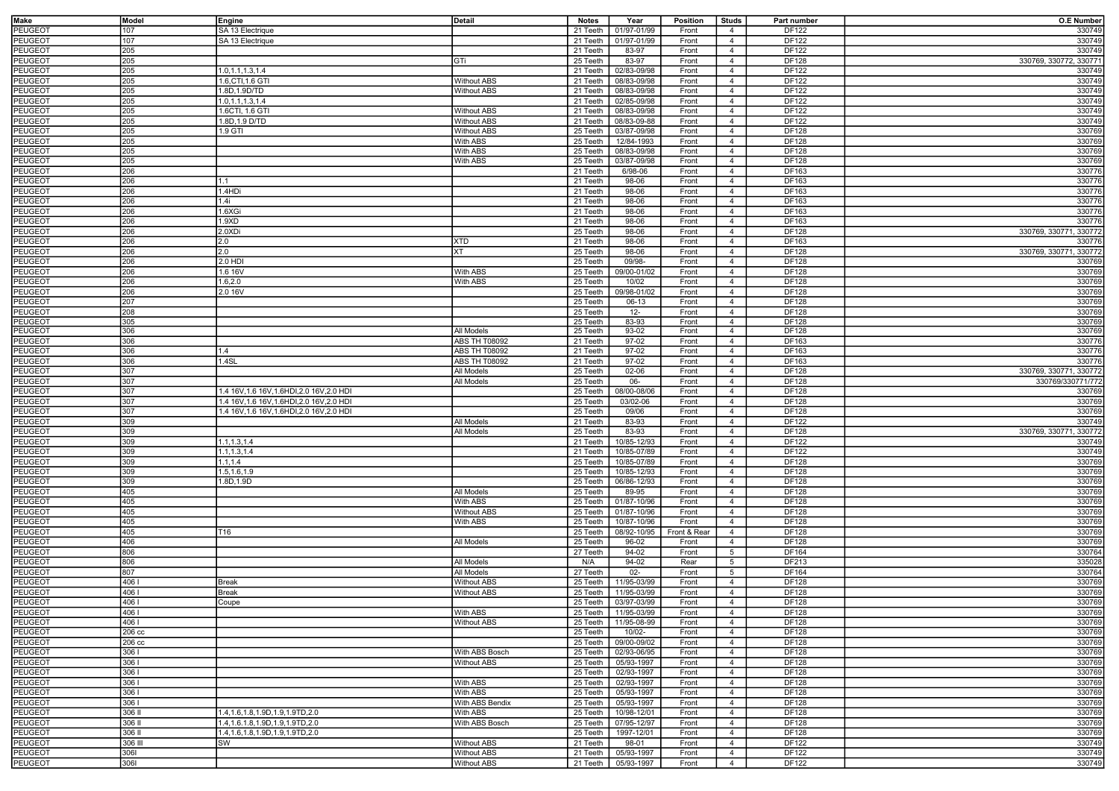| Make           | Model   | Engine                                     | Detail               | <b>Notes</b> | Year                   | Position     | <b>Studs</b>    | Part number  | <b>O.E Number</b>      |
|----------------|---------|--------------------------------------------|----------------------|--------------|------------------------|--------------|-----------------|--------------|------------------------|
| <b>PEUGEOT</b> | 107     | SA 13 Electrique                           |                      | 21 Teeth     | 01/97-01/99            | Front        | 4               | DF122        | 330749                 |
| <b>PEUGEOT</b> | 107     | SA 13 Electrique                           |                      |              | 01/97-01/99            |              | $\overline{4}$  | DF122        | 330749                 |
|                |         |                                            |                      | 21 Teeth     |                        | Front        |                 |              |                        |
| <b>PEUGEOT</b> | 205     |                                            |                      | 21 Teeth     | 83-97                  | Front        | $\overline{4}$  | DF122        | 330749                 |
| PEUGEOT        | 205     |                                            | GTi                  | 25 Teeth     | 83-97                  | Front        | $\overline{4}$  | DF128        | 330769, 330772, 330771 |
| <b>PEUGEOT</b> | 205     | 1.0, 1.1, 1.3, 1.4                         |                      | 21 Teeth     | 02/83-09/98            | Front        | $\overline{4}$  | DF122        | 330749                 |
| <b>PEUGEOT</b> | 205     | 1.6, CTI, 1.6 GTI                          | <b>Without ABS</b>   | 21 Teeth     | 08/83-09/98            | Front        | $\overline{4}$  | <b>DF122</b> | 330749                 |
| PEUGEOT        | 205     | 1.8D, 1.9D/TD                              | <b>Without ABS</b>   | 21 Teeth     | 08/83-09/98            | Front        | $\overline{4}$  | DF122        | 330749                 |
| PEUGEOT        | 205     | 1.0, 1.1, 1.3, 1.4                         |                      | 21 Teeth     | 02/85-09/98            | Front        | $\overline{4}$  | DF122        | 330749                 |
| <b>PEUGEOT</b> | 205     | 1.6CTI, 1.6 GTI                            | <b>Without ABS</b>   | 21 Teeth     | 08/83-09/98            | Front        | $\overline{4}$  | DF122        | 330749                 |
|                |         |                                            |                      | 21 Teeth     |                        |              | $\overline{4}$  |              |                        |
| <b>PEUGEOT</b> | 205     | 1.8D, 1.9 D/TD                             | <b>Without ABS</b>   |              | 08/83-09-88            | Front        |                 | DF122        | 330749                 |
| PEUGEOT        | 205     | 1.9 GTI                                    | <b>Without ABS</b>   | 25 Teeth     | 03/87-09/98            | Front        | $\overline{4}$  | DF128        | 330769                 |
| PEUGEOT        | 205     |                                            | With ABS             | 25 Teeth     | 12/84-1993             | Front        | $\overline{4}$  | DF128        | 330769                 |
| PEUGEOT        | 205     |                                            | With ABS             | 25 Teeth     | 08/83-09/98            | Front        | $\overline{4}$  | DF128        | 330769                 |
| PEUGEOT        | 205     |                                            | With ABS             | 25 Teeth     | 03/87-09/98            | Front        | $\overline{4}$  | DF128        | 330769                 |
| <b>PEUGEOT</b> | 206     |                                            |                      | 21 Teeth     | 6/98-06                | Front        | $\overline{4}$  | DF163        | 330776                 |
| <b>PEUGEOT</b> | 206     | 1.1                                        |                      | 21 Teeth     | 98-06                  | Front        | $\overline{4}$  | DF163        | 330776                 |
| PEUGEOT        | 206     | 1.4HDi                                     |                      | 21 Teeth     | 98-06                  | Front        | $\overline{4}$  | DF163        | 330776                 |
|                |         |                                            |                      |              |                        |              |                 |              |                        |
| <b>PEUGEOT</b> | 206     | 1.4i                                       |                      | 21 Teeth     | 98-06                  | Front        | $\overline{4}$  | DF163        | 330776                 |
| PEUGEOT        | 206     | 1.6XGi                                     |                      | 21 Teeth     | 98-06                  | Front        | $\overline{4}$  | DF163        | 330776                 |
| <b>PEUGEOT</b> | 206     | 1.9 <sub>xD</sub>                          |                      | 21 Teeth     | 98-06                  | Front        | $\overline{4}$  | DF163        | 330776                 |
| PEUGEOT        | 206     | 2.0XDi                                     |                      | 25 Teeth     | 98-06                  | Front        | $\overline{4}$  | DF128        | 330769, 330771, 330772 |
| <b>PEUGEOT</b> | 206     | 2.0                                        | XTD                  | 21 Teeth     | 98-06                  | Front        | $\overline{4}$  | DF163        | 330776                 |
| <b>PEUGEOT</b> | 206     | 2.0                                        | ХT                   | 25 Teeth     | 98-06                  | Front        | $\overline{4}$  | DF128        | 330769, 330771, 330772 |
| <b>PEUGEOT</b> | 206     | 2.0 HDI                                    |                      | 25 Teeth     | 09/98-                 | Front        | $\overline{4}$  | DF128        | 330769                 |
|                |         |                                            |                      |              |                        |              |                 |              |                        |
| <b>PEUGEOT</b> | 206     | 1.6 16V                                    | With ABS             | 25 Teeth     | 09/00-01/02            | Front        | $\overline{4}$  | DF128        | 330769                 |
| PEUGEOT        | 206     | 1.6, 2.0                                   | With ABS             | 25 Teeth     | 10/02                  | Front        | $\overline{4}$  | DF128        | 330769                 |
| PEUGEOT        | 206     | 2.0 16V                                    |                      | 25 Teeth     | 09/98-01/02            | Front        | $\overline{4}$  | DF128        | 330769                 |
| <b>PEUGEOT</b> | 207     |                                            |                      | 25 Teeth     | 06-13                  | Front        | $\overline{4}$  | DF128        | 330769                 |
| <b>PEUGEOT</b> | 208     |                                            |                      | 25 Teeth     | $12 -$                 | Front        | $\overline{4}$  | DF128        | 330769                 |
| <b>PEUGEOT</b> | 305     |                                            |                      | 25 Teeth     | 83-93                  | Front        | $\overline{4}$  | DF128        | 330769                 |
| PEUGEOT        | 306     |                                            | All Models           | 25 Teeth     | 93-02                  | Front        | $\overline{4}$  | DF128        | 330769                 |
|                |         |                                            |                      |              |                        |              |                 |              |                        |
| PEUGEOT        | 306     |                                            | <b>ABS TH T08092</b> | 21 Teeth     | 97-02                  | Front        | $\overline{4}$  | DF163        | 330776                 |
| PEUGEOT        | 306     | 1.4                                        | <b>ABS TH T08092</b> | 21 Teeth     | 97-02                  | Front        | $\overline{4}$  | DF163        | 330776                 |
| <b>PEUGEOT</b> | 306     | 1.4SL                                      | <b>ABS TH T08092</b> | 21 Teeth     | 97-02                  | Front        | $\overline{4}$  | DF163        | 330776                 |
| <b>PEUGEOT</b> | 307     |                                            | All Models           | 25 Teeth     | 02-06                  | Front        | $\overline{4}$  | DF128        | 330769, 330771, 330772 |
| PEUGEOT        | 307     |                                            | All Models           | 25 Teeth     | 06-                    | Front        | $\overline{4}$  | DF128        | 330769/330771/772      |
| <b>PEUGEOT</b> | 307     | 1.4 16V.1.6 16V.1.6HDI.2.0 16V.2.0 HDI     |                      | 25 Teeth     | 08/00-08/06            | Front        | $\overline{4}$  | <b>DF128</b> | 330769                 |
| <b>PEUGEOT</b> | 307     | 1.4 16V, 1.6 16V, 1.6HDI, 2.0 16V, 2.0 HDI |                      | 25 Teeth     | 03/02-06               | Front        | $\overline{4}$  | DF128        | 330769                 |
|                |         |                                            |                      |              |                        |              |                 |              |                        |
| PEUGEOT        | 307     | 1.4 16V, 1.6 16V, 1.6HDI, 2.0 16V, 2.0 HDI |                      | 25 Teeth     | 09/06                  | Front        | $\overline{4}$  | DF128        | 330769                 |
| <b>PEUGEOT</b> | 309     |                                            | All Models           | 21 Teeth     | 83-93                  | Front        | $\overline{4}$  | DF122        | 330749                 |
| PEUGEOT        | 309     |                                            | <b>All Models</b>    | 25 Teeth     | 83-93                  | Front        | $\overline{4}$  | DF128        | 330769, 330771, 330772 |
| PEUGEOT        | 309     | 1.1, 1.3, 1.4                              |                      | 21 Teeth     | 10/85-12/93            | Front        | $\overline{4}$  | DF122        | 330749                 |
| PEUGEOT        | 309     | 1.1, 1.3, 1.4                              |                      | 21 Teeth     | 10/85-07/89            | Front        | $\overline{4}$  | DF122        | 330749                 |
| PEUGEOT        | 309     | 1.1, 1.4                                   |                      | 25 Teeth     | 10/85-07/89            | Front        | $\overline{4}$  | DF128        | 330769                 |
| <b>PEUGEOT</b> | 309     | 1.5,1.6,1.9                                |                      | 25 Teeth     | 10/85-12/93            | Front        | $\overline{4}$  | DF128        | 330769                 |
|                |         |                                            |                      |              |                        |              |                 |              |                        |
| PEUGEOT        | 309     | 1.8D, 1.9D                                 |                      | 25 Teeth     | 06/86-12/93            | Front        | $\overline{4}$  | DF128        | 330769                 |
| PEUGEOT        | 405     |                                            | All Models           | 25 Teeth     | 89-95                  | Front        | $\overline{4}$  | DF128        | 330769                 |
| PEUGEOT        | 405     |                                            | With ABS             | 25 Teeth     | 01/87-10/96            | Front        | $\overline{4}$  | DF128        | 330769                 |
| <b>PEUGEOT</b> | 405     |                                            | <b>Without ABS</b>   | 25 Teeth     | 01/87-10/96            | Front        | $\overline{4}$  | DF128        | 330769                 |
| <b>PEUGEOT</b> | 405     |                                            | With ABS             | 25 Teeth     | 10/87-10/96            | Front        | $\overline{4}$  | DF128        | 330769                 |
| <b>PEUGEOT</b> | 405     | T16                                        |                      | 25 Teeth     | 08/92-10/95            | Front & Rear | $\overline{4}$  | DF128        | 330769                 |
| PEUGEOT        | 406     |                                            | All Models           | 25 Teeth     | 96-02                  | Front        | $\overline{4}$  | DF128        | 330769                 |
|                |         |                                            |                      |              |                        | Front        |                 |              |                        |
| <b>PEUGEOT</b> | 806     |                                            |                      | 27 Teeth     | 94-02                  |              | $5\overline{5}$ | DF164        | 330764                 |
| PEUGEOT        | 806     |                                            | All Models           | N/A          | 94-02                  | Rear         | 5               | DF213        | 335028                 |
| PEUGEOT        | 807     |                                            | All Models           | 27 Teeth     | $02 -$                 | Front        | $5\overline{5}$ | DF164        | 330764                 |
| PEUGEOT        | 406     | <b>Break</b>                               | <b>Without ABS</b>   | 25 Teeth     | 11/95-03/99            | Front        | $\overline{4}$  | DF128        | 330769                 |
| <b>PEUGEOT</b> | 4061    | <b>Break</b>                               | <b>Without ABS</b>   | 25 Teeth     | 11/95-03/99            | Front        | $\overline{4}$  | DF128        | 330769                 |
| PEUGEOT        | 4061    | Coupe                                      |                      | 25 Teeth     | 03/97-03/99            | Front        | $\overline{4}$  | DF128        | 330769                 |
| PEUGEOT        | 406 I   |                                            | With ABS             |              | 25 Teeth   11/95-03/99 | Front        | -4              | DF128        | 330769                 |
| <b>PEUGEOT</b> | 4061    |                                            | <b>Without ABS</b>   |              | 25 Teeth   11/95-08-99 |              | $\overline{4}$  | DF128        | 330769                 |
|                |         |                                            |                      |              |                        | Front        |                 |              |                        |
| <b>PEUGEOT</b> | 206 cc  |                                            |                      | 25 Teeth     | 10/02-                 | Front        | $\overline{4}$  | DF128        | 330769                 |
| <b>PEUGEOT</b> | 206 cc  |                                            |                      | 25 Teeth     | 09/00-09/02            | Front        | $\overline{4}$  | DF128        | 330769                 |
| <b>PEUGEOT</b> | 3061    |                                            | With ABS Bosch       | 25 Teeth     | 02/93-06/95            | Front        | $\overline{4}$  | DF128        | 330769                 |
| <b>PEUGEOT</b> | 3061    |                                            | <b>Without ABS</b>   | 25 Teeth     | 05/93-1997             | Front        | $\overline{4}$  | DF128        | 330769                 |
| <b>PEUGEOT</b> | 3061    |                                            |                      | 25 Teeth     | 02/93-1997             | Front        | $\overline{4}$  | DF128        | 330769                 |
| PEUGEOT        | 3061    |                                            | With ABS             | 25 Teeth     | 02/93-1997             | Front        | $\overline{4}$  | DF128        | 330769                 |
|                | 3061    |                                            | With ABS             |              |                        |              | $\overline{4}$  |              |                        |
| PEUGEOT        |         |                                            |                      | 25 Teeth     | 05/93-1997             | Front        |                 | DF128        | 330769                 |
| PEUGEOT        | 3061    |                                            | With ABS Bendix      | 25 Teeth     | 05/93-1997             | Front        | $\overline{4}$  | DF128        | 330769                 |
| PEUGEOT        | 306 II  | 1.4, 1.6, 1.8, 1.9D, 1.9, 1.9TD, 2.0       | With ABS             | 25 Teeth     | 10/98-12/01            | Front        | $\overline{4}$  | DF128        | 330769                 |
| <b>PEUGEOT</b> | 306 II  | 1.4.1.6.1.8.1.9D.1.9.1.9TD.2.0             | With ABS Bosch       | 25 Teeth     | 07/95-12/97            | Front        | $\overline{4}$  | DF128        | 330769                 |
| PEUGEOT        | 306 II  | 1.4, 1.6, 1.8, 1.9D, 1.9, 1.9TD, 2.0       |                      | 25 Teeth     | 1997-12/01             | Front        | $\overline{4}$  | DF128        | 330769                 |
| <b>PEUGEOT</b> | 306 III | <b>SW</b>                                  | <b>Without ABS</b>   | 21 Teeth     | 98-01                  | Front        | $\overline{4}$  | DF122        | 330749                 |
| PEUGEOT        | 3061    |                                            | <b>Without ABS</b>   | 21 Teeth     | 05/93-1997             | Front        | $\overline{4}$  | DF122        | 330749                 |
| PEUGEOT        | 3061    |                                            | <b>Without ABS</b>   |              | 21 Teeth   05/93-1997  | Front        | $\overline{4}$  | DF122        | 330749                 |
|                |         |                                            |                      |              |                        |              |                 |              |                        |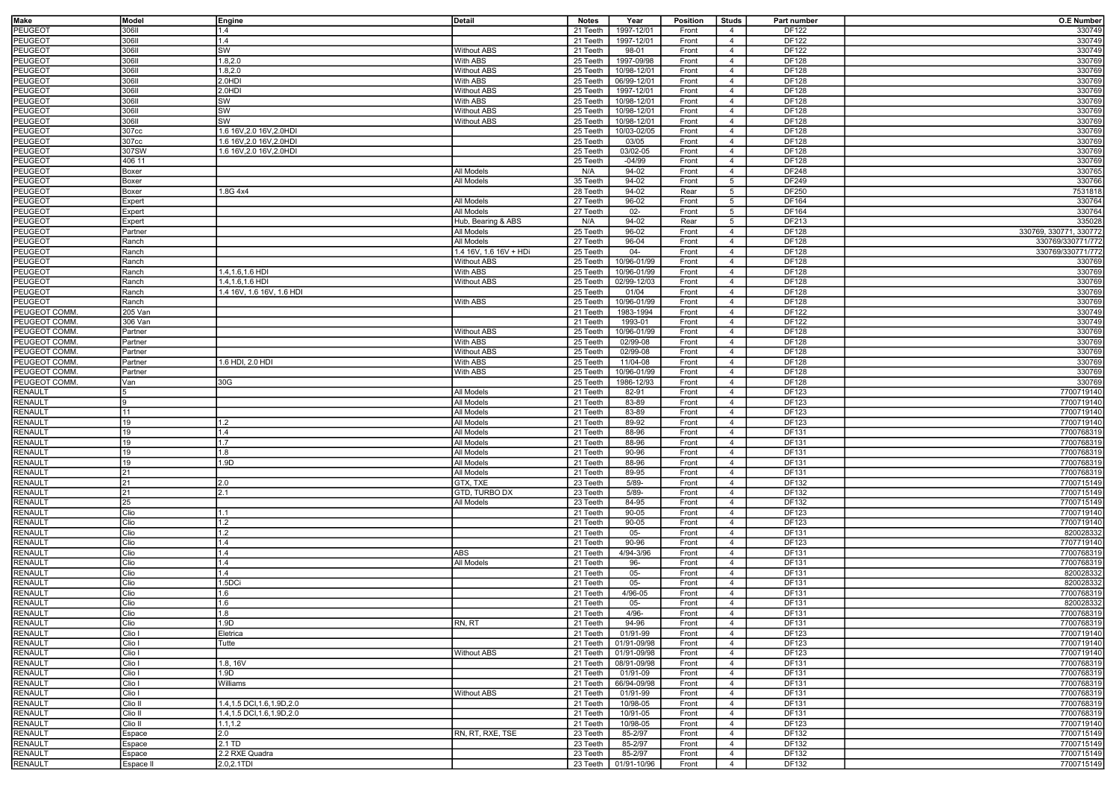| Make           | Model     | Engine                       | Detail                 | <b>Notes</b> | Year        | <b>Position</b> | <b>Studs</b>   | Part number  | <b>O.E Number</b>      |
|----------------|-----------|------------------------------|------------------------|--------------|-------------|-----------------|----------------|--------------|------------------------|
|                | 30611     |                              |                        |              |             |                 |                |              |                        |
| PEUGEOT        |           | 1.4                          |                        | 21 Teeth     | 1997-12/01  | Front           | $\overline{4}$ | DF122        | 330749                 |
| PEUGEOT        | 306II     | 1.4                          |                        | 21 Teeth     | 1997-12/01  | Front           | $\overline{4}$ | DF122        | 330749                 |
| PEUGEOT        | 306II     | <b>SW</b>                    | <b>Without ABS</b>     | 21 Teeth     | 98-01       | Front           | $\overline{4}$ | DF122        | 330749                 |
| <b>PEUGEOT</b> | 30611     | 1.8, 2.0                     | With ABS               | 25 Teeth     | 1997-09/98  | Front           | $\overline{4}$ | DF128        | 330769                 |
| PEUGEOT        | 30611     | 1.8,2.0                      | <b>Without ABS</b>     | 25 Teeth     | 10/98-12/01 | Front           | $\overline{4}$ | DF128        | 330769                 |
| PEUGEOT        | 30611     | 2.0HDI                       | With ABS               | 25 Teeth     | 06/99-12/01 | Front           | $\overline{4}$ | DF128        | 330769                 |
| PEUGEOT        | 306II     | 2.0HDI                       | <b>Without ABS</b>     | 25 Teeth     | 1997-12/01  | Front           | $\overline{4}$ | <b>DF128</b> | 330769                 |
| <b>PEUGEOT</b> | 30611     | <b>SW</b>                    | With ABS               | 25 Teeth     | 10/98-12/01 | Front           | $\overline{4}$ | DF128        | 330769                 |
| PEUGEOT        | 30611     | <b>SW</b>                    | <b>Without ABS</b>     | 25 Teeth     | 10/98-12/01 | Front           | $\overline{4}$ | DF128        | 330769                 |
|                | 306II     |                              |                        |              |             |                 |                |              |                        |
| PEUGEOT        |           | <b>SW</b>                    | <b>Without ABS</b>     | 25 Teeth     | 10/98-12/01 | Front           | $\overline{4}$ | DF128        | 330769                 |
| PEUGEOT        | 307cc     | 1.6 16V, 2.0 16V, 2.0HDI     |                        | 25 Teeth     | 10/03-02/05 | Front           | $\overline{4}$ | DF128        | 330769                 |
| <b>PEUGEOT</b> | 307cc     | 1.6 16V, 2.0 16V, 2.0HDI     |                        | 25 Teeth     | 03/05       | Front           | $\overline{4}$ | DF128        | 330769                 |
| PEUGEOT        | 307SW     | 1.6 16V, 2.0 16V, 2.0HDI     |                        | 25 Teeth     | 03/02-05    | Front           | $\overline{4}$ | DF128        | 330769                 |
| <b>PEUGEOT</b> | 406 11    |                              |                        | 25 Teeth     | $-04/99$    | Front           | $\overline{4}$ | DF128        | 330769                 |
| PEUGEOT        | Boxer     |                              | All Models             | N/A          | 94-02       | Front           | $\overline{4}$ | DF248        | 330765                 |
| PEUGEOT        | Boxer     |                              | <b>All Models</b>      | 35 Teeth     | 94-02       | Front           | 5              | DF249        | 330766                 |
| PEUGEOT        | Boxer     | 1.8G 4x4                     |                        | 28 Teeth     | 94-02       | Rear            | 5              | DF250        | 7531818                |
| PEUGEOT        | Expert    |                              | All Models             | 27 Teeth     | 96-02       | Front           | 5              | DF164        | 330764                 |
| PEUGEOT        | Expert    |                              | All Models             | 27 Teeth     | $02 -$      | Front           | 5              | DF164        | 330764                 |
| PEUGEOT        |           |                              | Hub, Bearing & ABS     | N/A          | 94-02       | Rear            |                | DF213        | 335028                 |
|                | Expert    |                              |                        |              |             |                 | 5              |              |                        |
| PEUGEOT        | Partner   |                              | All Models             | 25 Teeth     | 96-02       | Front           | $\overline{4}$ | DF128        | 330769, 330771, 330772 |
| PEUGEOT        | Ranch     |                              | All Models             | 27 Teeth     | 96-04       | Front           | $\overline{4}$ | DF128        | 330769/330771/772      |
| PEUGEOT        | Ranch     |                              | 1.4 16V, 1.6 16V + HDi | 25 Teeth     | $04 -$      | Front           | $\overline{4}$ | DF128        | 330769/330771/772      |
| PEUGEOT        | Ranch     |                              | <b>Without ABS</b>     | 25 Teeth     | 10/96-01/99 | Front           | $\overline{4}$ | DF128        | 330769                 |
| PEUGEOT        | Ranch     | 1.4, 1.6, 1.6 HDI            | <b>With ABS</b>        | 25 Teeth     | 10/96-01/99 | Front           | $\overline{4}$ | DF128        | 330769                 |
| PEUGEOT        | Ranch     | 1.4, 1.6, 1.6 HDI            | <b>Without ABS</b>     | 25 Teeth     | 02/99-12/03 | Front           | $\overline{4}$ | DF128        | 330769                 |
| PEUGEOT        | Ranch     | 1.4 16V, 1.6 16V, 1.6 HDI    |                        | 25 Teeth     | 01/04       | Front           | $\overline{4}$ | DF128        | 330769                 |
| PEUGEOT        | Ranch     |                              | With ABS               | 25 Teeth     | 10/96-01/99 | Front           | $\overline{4}$ | DF128        | 330769                 |
|                |           |                              |                        |              |             |                 |                |              |                        |
| PEUGEOT COMM.  | 205 Van   |                              |                        | 21 Teeth     | 1983-1994   | Front           | $\overline{4}$ | DF122        | 330749                 |
| PEUGEOT COMM.  | 306 Van   |                              |                        | 21 Teeth     | 1993-01     | Front           | $\overline{4}$ | DF122        | 330749                 |
| PEUGEOT COMM.  | Partner   |                              | <b>Without ABS</b>     | 25 Teeth     | 10/96-01/99 | Front           | $\overline{4}$ | DF128        | 330769                 |
| PEUGEOT COMM.  | Partner   |                              | With ABS               | 25 Teeth     | 02/99-08    | Front           | $\overline{4}$ | DF128        | 330769                 |
| PEUGEOT COMM.  | Partner   |                              | <b>Without ABS</b>     | 25 Teeth     | 02/99-08    | Front           | $\overline{4}$ | DF128        | 330769                 |
| PEUGEOT COMM.  | Partner   | 1.6 HDI, 2.0 HDI             | With ABS               | 25 Teeth     | 11/04-08    | Front           | $\overline{4}$ | DF128        | 330769                 |
| PEUGEOT COMM.  | Partner   |                              | With ABS               | 25 Teeth     | 10/96-01/99 | Front           | $\overline{4}$ | DF128        | 330769                 |
| PEUGEOT COMM.  | Van       | 30G                          |                        | 25 Teeth     | 1986-12/93  | Front           | $\overline{4}$ | DF128        | 330769                 |
| RENAULT        |           |                              | All Models             | 21 Teeth     | 82-91       | Front           | $\overline{4}$ | DF123        | 7700719140             |
|                |           |                              | All Models             | 21 Teeth     | 83-89       | Front           | $\overline{4}$ | DF123        | 7700719140             |
| RENAULT        |           |                              |                        |              |             |                 |                |              |                        |
| RENAULT        |           |                              | All Models             | 21 Teeth     | 83-89       | Front           | $\overline{4}$ | DF123        | 7700719140             |
| RENAULT        | 19        | 1.2                          | All Models             | 21 Teeth     | 89-92       | Front           | $\overline{4}$ | DF123        | 7700719140             |
| RENAULT        | ۱9        | 1.4                          | All Models             | 21 Teeth     | 88-96       | Front           | $\overline{4}$ | DF131        | 7700768319             |
| RENAULT        | 19        | 1.7                          | All Models             | 21 Teeth     | 88-96       | Front           | $\overline{4}$ | DF131        | 7700768319             |
| RENAULT        | ۱9        | 1.8                          | All Models             | 21 Teeth     | 90-96       | Front           | $\overline{4}$ | DF131        | 7700768319             |
| RENAULT        | 19        | 1.9D                         | All Models             | 21 Teeth     | 88-96       | Front           | $\overline{4}$ | DF131        | 7700768319             |
| RENAULT        | 21        |                              | All Models             | 21 Teeth     | 89-95       | Front           | $\overline{4}$ | DF131        | 7700768319             |
| RENAULT        | 21        | 2.0                          | GTX, TXE               | 23 Teeth     | $5/89 -$    | Front           | $\overline{4}$ | DF132        | 7700715149             |
| RENAULT        | 21        | 2.1                          | GTD, TURBO DX          | 23 Teeth     | $5/89 -$    | Front           | $\overline{4}$ | DF132        | 7700715149             |
|                |           |                              |                        |              | 84-95       |                 |                |              |                        |
| RENAULT        | 25        |                              | All Models             | 23 Teeth     |             | Front           | $\overline{4}$ | DF132        | 7700715149             |
| RENAULT        | Clio      | 11.1                         |                        | 21 Teeth     | 90-05       | Front           | $\overline{4}$ | DF123        | 7700719140             |
| RENAULT        | Clio      | 1.2                          |                        | 21 Teeth     | 90-05       | Front           | $\overline{4}$ | DF123        | 7700719140             |
| RENAULT        | Clio      | 1.2                          |                        | 21 Teeth     | $05 -$      | Front           | $\overline{4}$ | DF131        | 820028332              |
| RENAULT        | Clio      | 1.4                          |                        | 21 Teeth     | $90 - 96$   | Front           | $\overline{4}$ | DF123        | 7707719140             |
| RENAULT        | Clio      | 1.4                          | ABS                    | 21 Teeth     | 4/94-3/96   | Front           | $\overline{4}$ | DF131        | 7700768319             |
| RENAULT        | Clio      | 1.4                          | All Models             | 21 Teeth     | 96-         | Front           | $\overline{4}$ | DF131        | 7700768319             |
| RENAULT        | Clio      | 1.4                          |                        | 21 Teeth     | $05 -$      | Front           | $\overline{4}$ | DF131        | 820028332              |
| RENAULT        | Clio      | 1.5DCi                       |                        | 21 Teeth     | $05 -$      | Front           | $\overline{4}$ | DF131        | 820028332              |
| RENAULT        | Clio      | 1.6                          |                        | 21 Teeth     | 4/96-05     | Front           | $\overline{4}$ | DF131        | 7700768319             |
|                |           |                              |                        |              |             |                 |                |              |                        |
| RENAULT        | Clio      | 1.6                          |                        | 21 Teeth     | $05 -$      | Front           | $\overline{4}$ | DF131        | 820028332              |
| <b>RENAULT</b> | Clio      | 1.8                          |                        | 21 Teeth     | 4/96-       | Front           | $\overline{4}$ | DF131        | 7700768319             |
| <b>RENAULT</b> | Clio      | 1.9D                         | RN, RT                 | 21 Teeth     | 94-96       | Front           | $\overline{4}$ | DF131        | 7700768319             |
| <b>RENAULT</b> | Clio I    | Eletrica                     |                        | 21 Teeth     | 01/91-99    | Front           | $\overline{4}$ | DF123        | 7700719140             |
| RENAULT        | Clio I    | Tutte                        |                        | 21 Teeth     | 01/91-09/98 | Front           | $\overline{4}$ | DF123        | 7700719140             |
| <b>RENAULT</b> | Clio I    |                              | <b>Without ABS</b>     | 21 Teeth     | 01/91-09/98 | Front           | $\overline{4}$ | DF123        | 7700719140             |
| <b>RENAULT</b> | Clio I    | 1.8, 16V                     |                        | 21 Teeth     | 08/91-09/98 | Front           | $\overline{4}$ | DF131        | 7700768319             |
| <b>RENAULT</b> | Clio I    | 1.9D                         |                        | 21 Teeth     | 01/91-09    | Front           | $\overline{4}$ | DF131        | 7700768319             |
| RENAULT        | Clio I    | Williams                     |                        | 21 Teeth     | 66/94-09/98 | Front           | $\overline{4}$ | DF131        | 7700768319             |
| <b>RENAULT</b> | Clio I    |                              | <b>Without ABS</b>     | 21 Teeth     | 01/91-99    | Front           | $\overline{4}$ | DF131        | 7700768319             |
|                |           |                              |                        |              |             |                 |                |              |                        |
| RENAULT        | Clio II   | 1.4, 1.5 DCI, 1.6, 1.9D, 2.0 |                        | 21 Teeth     | 10/98-05    | Front           | $\overline{4}$ | DF131        | 7700768319             |
| RENAULT        | Clio II   | 1.4, 1.5 DCI, 1.6, 1.9D, 2.0 |                        | 21 Teeth     | 10/91-05    | Front           | $\overline{4}$ | DF131        | 7700768319             |
| <b>RENAULT</b> | Clio II   | 1.1, 1.2                     |                        | 21 Teeth     | 10/98-05    | Front           | $\overline{4}$ | DF123        | 7700719140             |
| RENAULT        | Espace    | 2.0                          | RN, RT, RXE, TSE       | 23 Teeth     | 85-2/97     | Front           | $\overline{4}$ | DF132        | 7700715149             |
| RENAULT        | Espace    | 2.1 TD                       |                        | 23 Teeth     | 85-2/97     | Front           | $\overline{4}$ | DF132        | 7700715149             |
| RENAULT        | Espace    | 2.2 RXE Quadra               |                        | 23 Teeth     | 85-2/97     | Front           | $\overline{4}$ | DF132        | 7700715149             |
| RENAULT        | Espace II | 2.0,2.1TDI                   |                        | 23 Teeth     | 01/91-10/96 | Front           | $\overline{4}$ | DF132        | 7700715149             |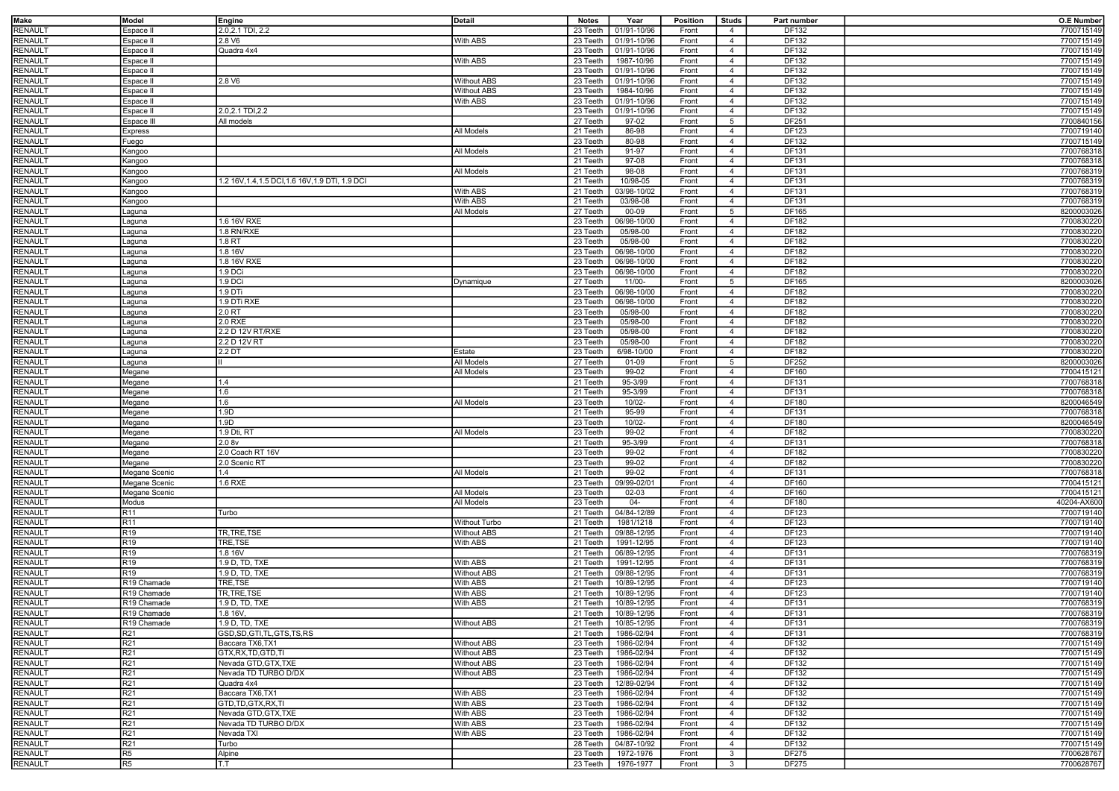| Make           | Model            | Engine                                           | <b>Detail</b>      | <b>Notes</b> | Year                   | Position | <b>Studs</b>    | Part number  | <b>O.E Number</b> |
|----------------|------------------|--------------------------------------------------|--------------------|--------------|------------------------|----------|-----------------|--------------|-------------------|
|                |                  |                                                  |                    |              |                        |          |                 |              |                   |
| RENAULT        | Espace II        | 2.0,2.1 TDI, 2.2                                 |                    | 23 Teeth     | 01/91-10/96            | Front    | $\overline{4}$  | DF132        | 7700715149        |
| RENAULT        | Espace II        | 2.8 V6                                           | With ABS           | 23 Teeth     | 01/91-10/96            | Front    | $\overline{4}$  | DF132        | 7700715149        |
|                |                  |                                                  |                    |              |                        |          |                 |              |                   |
| RENAULT        | Espace II        | Quadra 4x4                                       |                    | 23 Teeth     | 01/91-10/96            | Front    | $\overline{4}$  | DF132        | 7700715149        |
| RENAULT        | Espace II        |                                                  | With ABS           | 23 Teeth     | 1987-10/96             | Front    | $\overline{4}$  | <b>DF132</b> | 7700715149        |
| RENAULT        | Espace II        |                                                  |                    | 23 Teeth     | 01/91-10/96            | Front    | $\overline{4}$  | DF132        | 7700715149        |
| RENAULT        | Espace II        | 2.8 V6                                           | <b>Without ABS</b> | 23 Teeth     | 01/91-10/96            | Front    | $\overline{4}$  | <b>DF132</b> | 7700715149        |
|                |                  |                                                  |                    |              |                        |          |                 |              |                   |
| RENAULT        | Espace II        |                                                  | <b>Without ABS</b> | 23 Teeth     | 1984-10/96             | Front    | $\overline{4}$  | DF132        | 7700715149        |
| RENAULT        | Espace II        |                                                  | With ABS           | 23 Teeth     | 01/91-10/96            | Front    | $\overline{4}$  | <b>DF132</b> | 7700715149        |
|                |                  |                                                  |                    |              |                        |          |                 |              |                   |
| RENAULT        | Espace II        | 2.0,2.1 TDI,2.2                                  |                    | 23 Teeth     | 01/91-10/96            | Front    | $\overline{4}$  | DF132        | 7700715149        |
| RENAULT        | Espace III       | All models                                       |                    | 27 Teeth     | 97-02                  | Front    | $5\overline{5}$ | <b>DF251</b> | 7700840156        |
| RENAULT        | Express          |                                                  | All Models         | 21 Teeth     | 86-98                  | Front    | $\overline{4}$  | DF123        | 7700719140        |
|                |                  |                                                  |                    |              |                        |          |                 | DF132        | 7700715149        |
| RENAULT        | -uego            |                                                  |                    | 23 Teeth     | 80-98                  | Front    | $\overline{4}$  |              |                   |
| RENAULT        | Kangoo           |                                                  | All Models         | 21 Teeth     | 91-97                  | Front    | $\overline{4}$  | DF131        | 7700768318        |
| RENAULT        | Kangoo           |                                                  |                    | 21 Teeth     | 97-08                  | Front    | $\overline{4}$  | DF131        | 7700768318        |
|                |                  |                                                  |                    |              |                        |          |                 |              |                   |
| RENAULT        | Kangoo           |                                                  | All Models         | 21 Teeth     | 98-08                  | Front    | $\overline{4}$  | DF131        | 7700768319        |
| RENAULT        | Kangoo           | 1.2 16V, 1.4, 1.5 DCI, 1.6 16V, 1.9 DTI, 1.9 DCI |                    | 21 Teeth     | 10/98-05               | Front    | $\overline{4}$  | DF131        | 7700768319        |
| RENAULT        | Kangoo           |                                                  | With ABS           | 21 Teeth     | 03/98-10/02            | Front    | $\overline{4}$  | DF131        | 7700768319        |
|                |                  |                                                  |                    |              |                        |          |                 |              |                   |
| RENAULT        | Kangoo           |                                                  | With ABS           | 21 Teeth     | 03/98-08               | Front    | $\overline{4}$  | DF131        | 7700768319        |
| RENAULT        | Laguna           |                                                  | All Models         | 27 Teeth     | 00-09                  | Front    | $5\overline{5}$ | DF165        | 8200003026        |
| RENAULT        | Laguna           | 1.6 16V RXE                                      |                    | 23 Teeth     | 06/98-10/00            | Front    | $\overline{4}$  | DF182        | 7700830220        |
|                |                  |                                                  |                    |              |                        |          |                 |              |                   |
| RENAULT        | Laguna           | 1.8 RN/RXE                                       |                    | 23 Teeth     | 05/98-00               | Front    | $\overline{4}$  | DF182        | 7700830220        |
| RENAULT        | aguna            | 1.8 RT                                           |                    | 23 Teeth     | 05/98-00               | Front    | $\overline{4}$  | DF182        | 7700830220        |
|                |                  | 1.8 16V                                          |                    | 23 Teeth     | 06/98-10/00            |          | $\overline{4}$  |              |                   |
| RENAULT        | aguna            |                                                  |                    |              |                        | Front    |                 | DF182        | 7700830220        |
| RENAULT        | Laguna           | 1.8 16V RXE                                      |                    | 23 Teeth     | 06/98-10/00            | Front    | $\overline{4}$  | DF182        | 7700830220        |
| <b>RENAULT</b> | Laguna           | 1.9 DCi                                          |                    | 23 Teeth     | 06/98-10/00            | Front    | $\overline{4}$  | DF182        | 7700830220        |
|                |                  |                                                  |                    |              |                        |          |                 |              |                   |
| RENAULT        | Laguna           | 1.9 DCi                                          | Dynamique          | 27 Teeth     | 11/00-                 | Front    | 5               | DF165        | 8200003026        |
| RENAULT        | Laguna           | 1.9 DTi                                          |                    | 23 Teeth     | 06/98-10/00            | Front    | $\overline{4}$  | DF182        | 7700830220        |
| RENAULT        | Laguna           | 1.9 DTi RXE                                      |                    | 23 Teeth     | 06/98-10/00            | Front    | $\overline{4}$  | DF182        | 7700830220        |
|                |                  |                                                  |                    |              |                        |          |                 |              |                   |
| RENAULT        | Laguna           | 2.0 RT                                           |                    | 23 Teeth     | 05/98-00               | Front    | $\overline{4}$  | DF182        | 7700830220        |
| RENAULT        | Laguna           | 2.0 RXE                                          |                    | 23 Teeth     | 05/98-00               | Front    | $\overline{4}$  | DF182        | 7700830220        |
| RENAULT        | Laguna           | 2.2 D 12V RT/RXE                                 |                    | 23 Teeth     | 05/98-00               | Front    | $\overline{4}$  | DF182        | 7700830220        |
|                |                  |                                                  |                    |              |                        |          |                 |              |                   |
| RENAULT        | Laguna           | 2.2 D 12V RT                                     |                    | 23 Teeth     | 05/98-00               | Front    | $\overline{4}$  | DF182        | 7700830220        |
| RENAULT        | Laguna           | 2.2 <sub>DT</sub>                                | Estate             | 23 Teeth     | 6/98-10/00             | Front    | $\overline{4}$  | DF182        | 7700830220        |
|                |                  |                                                  | All Models         | 27 Teeth     | 01-09                  | Front    | 5               | DF252        | 8200003026        |
| RENAULT        | Laguna           |                                                  |                    |              |                        |          |                 |              |                   |
| RENAULT        | Megane           |                                                  | All Models         | 23 Teeth     | 99-02                  | Front    | $\overline{4}$  | DF160        | 7700415121        |
| RENAULT        | Megane           | 1.4                                              |                    | 21 Teeth     | 95-3/99                | Front    | $\overline{4}$  | DF131        | 7700768318        |
|                |                  | 1.6                                              |                    |              |                        |          |                 | DF131        | 7700768318        |
| RENAULT        | Megane           |                                                  |                    | 21 Teeth     | 95-3/99                | Front    | $\overline{4}$  |              |                   |
| RENAULT        | Megane           | 11.6                                             | All Models         | 23 Teeth     | 10/02-                 | Front    | $\overline{4}$  | DF180        | 8200046549        |
| RENAULT        | Megane           | 1.9D                                             |                    | 21 Teeth     | 95-99                  | Front    | $\overline{4}$  | DF131        | 7700768318        |
|                |                  |                                                  |                    |              |                        |          |                 |              |                   |
| RENAULT        | Megane           | 1.9D                                             |                    | 23 Teeth     | 10/02-                 | Front    | $\overline{4}$  | DF180        | 8200046549        |
| RENAULT        | Megane           | 1.9 Dti, RT                                      | All Models         | 23 Teeth     | 99-02                  | Front    | $\overline{4}$  | DF182        | 7700830220        |
| RENAULT        | Megane           | 2.08v                                            |                    | 21 Teeth     | 95-3/99                | Front    | $\overline{4}$  | DF131        | 7700768318        |
|                |                  |                                                  |                    |              |                        |          |                 |              |                   |
| RENAULT        | Megane           | 2.0 Coach RT 16V                                 |                    | 23 Teeth     | 99-02                  | Front    | $\overline{4}$  | DF182        | 7700830220        |
| RENAULT        | Megane           | 2.0 Scenic RT                                    |                    | 23 Teeth     | 99-02                  | Front    | $\overline{4}$  | DF182        | 7700830220        |
| RENAULT        | Megane Scenic    | 1.4                                              | All Models         | 21 Teeth     | 99-02                  | Front    | $\overline{4}$  | DF131        | 7700768318        |
|                |                  |                                                  |                    |              |                        |          |                 |              |                   |
| RENAULT        | Megane Scenic    | 1.6 RXE                                          |                    | 23 Teeth     | 09/99-02/01            | Front    | $\overline{4}$  | DF160        | 7700415121        |
| RENAULT        | Megane Scenic    |                                                  | All Models         | 23 Teeth     | 02-03                  | Front    | $\overline{4}$  | DF160        | 7700415121        |
| <b>RENAULT</b> | Modus            |                                                  | All Models         | 23 Teeth     | $04 -$                 | Front    | $\overline{4}$  | DF180        | 40204-AX600       |
|                |                  |                                                  |                    |              |                        |          |                 |              |                   |
| RENAULT        | R11              | Turbo                                            |                    | 21 Teeth     | 04/84-12/89            | Front    | $\overline{4}$  | DF123        | 7700719140        |
| RENAULT        | R11              |                                                  | Without Turbo      | 21 Teeth     | 1981/1218              | Front    | $\overline{4}$  | DF123        | 7700719140        |
|                | R19              | TR, TRE, TSE                                     | <b>Without ABS</b> | 21 Teeth     | 09/88-12/95            |          |                 | DF123        | 7700719140        |
| RENAULT        |                  |                                                  |                    |              |                        | Front    | $\overline{4}$  |              |                   |
| RENAULT        | R <sub>19</sub>  | TRE,TSE                                          | <b>With ABS</b>    | 21 Teeth     | 1991-12/95             | Front    | $\overline{4}$  | DF123        | 7700719140        |
| RENAULT        | R19              | 1.816V                                           |                    | 21 Teeth     | 06/89-12/95            | Front    | $\overline{4}$  | DF131        | 7700768319        |
| RENAULT        | $\overline{R19}$ | 1.9 D, TD, TXE                                   | With ABS           | 21 Teeth     | 1991-12/95             | Front    | $\overline{4}$  | DF131        | 7700768319        |
|                |                  |                                                  |                    |              |                        |          |                 |              |                   |
| RENAULT        | R19              | 1.9 D. TD. TXE                                   | <b>Without ABS</b> | 21 Teeth     | 09/88-12/95            | Front    | $\overline{4}$  | DF131        | 7700768319        |
| RENAULT        | R19 Chamade      | TRE,TSE                                          | With ABS           | 21 Teeth     | 10/89-12/95            | Front    | $\overline{4}$  | DF123        | 7700719140        |
| RENAULT        |                  | TR, TRE, TSE                                     | With ABS           | 21 Teeth     | 10/89-12/95            | Front    | $\overline{4}$  | DF123        | 7700719140        |
|                | R19 Chamade      |                                                  |                    |              |                        |          |                 |              |                   |
| RENAULT        | R19 Chamade      | 1.9 D, TD, TXE                                   | With ABS           | 21 Teeth     | 10/89-12/95            | Front    | $\overline{4}$  | DF131        | 7700768319        |
| RENAULT        | R19 Chamade      | 1.816V,                                          |                    |              | 21 Teeth   10/89-12/95 | Front    | $\overline{4}$  | DF131        | 7700768319        |
| <b>RENAULT</b> | R19 Chamade      | 1.9 D, TD, TXE                                   | Without ABS        |              | 21 Teeth   10/85-12/95 | Front    | $\overline{4}$  | DF131        | 7700768319        |
|                |                  |                                                  |                    |              |                        |          |                 |              |                   |
| RENAULT        | R21              | GSD, SD, GTI, TL, GTS, TS, RS                    |                    | 21 Teeth     | 1986-02/94             | Front    | $\overline{4}$  | DF131        | 7700768319        |
| RENAULT        | R21              | Baccara TX6, TX1                                 | <b>Without ABS</b> | 23 Teeth     | 1986-02/94             | Front    | $\overline{4}$  | DF132        | 7700715149        |
|                |                  |                                                  |                    |              |                        |          |                 |              |                   |
| <b>RENAULT</b> | R <sub>21</sub>  | GTX, RX, TD, GTD, TI                             | <b>Without ABS</b> | 23 Teeth     | 1986-02/94             | Front    | $\overline{4}$  | DF132        | 7700715149        |
| RENAULT        | R21              | Nevada GTD, GTX, TXE                             | <b>Without ABS</b> | 23 Teeth     | 1986-02/94             | Front    | $\overline{4}$  | DF132        | 7700715149        |
| RENAULT        | R <sub>21</sub>  | Nevada TD TURBO D/DX                             | <b>Without ABS</b> | 23 Teeth     | 1986-02/94             | Front    | $\overline{4}$  | DF132        | 7700715149        |
|                |                  | Quadra 4x4                                       |                    |              |                        |          |                 |              |                   |
| RENAULT        | R21              |                                                  |                    | 23 Teeth     | 12/89-02/94            | Front    | $\overline{4}$  | DF132        | 7700715149        |
| <b>RENAULT</b> | R21              | Baccara TX6, TX1                                 | With ABS           | 23 Teeth     | 1986-02/94             | Front    | $\overline{4}$  | DF132        | 7700715149        |
| RENAULT        | R21              | GTD, TD, GTX, RX, TI                             | With ABS           | 23 Teeth     | 1986-02/94             | Front    | $\overline{4}$  | DF132        | 7700715149        |
|                |                  |                                                  |                    |              |                        |          |                 |              |                   |
| <b>RENAULT</b> | R21              | Nevada GTD, GTX, TXE                             | With ABS           | 23 Teeth     | 1986-02/94             | Front    | $\overline{4}$  | DF132        | 7700715149        |
| RENAULT        | R21              | Nevada TD TURBO D/DX                             | With ABS           | 23 Teeth     | 1986-02/94             | Front    | $\overline{4}$  | DF132        | 7700715149        |
| <b>RENAULT</b> | R21              | Nevada TXI                                       | With ABS           | 23 Teeth     | 1986-02/94             | Front    | $\overline{4}$  | DF132        | 7700715149        |
|                |                  |                                                  |                    |              |                        |          |                 |              |                   |
| RENAULT        | R21              | Turbo                                            |                    | 28 Teeth     | 04/87-10/92            | Front    | $\overline{4}$  | DF132        | 7700715149        |
| RENAULT        | R5               | Alpine                                           |                    | 23 Teeth     | 1972-1976              | Front    | 3               | <b>DF275</b> | 7700628767        |
| RENAULT        | R5               | T.T                                              |                    | 23 Teeth     | 1976-1977              | Front    | 3               | <b>DF275</b> | 7700628767        |
|                |                  |                                                  |                    |              |                        |          |                 |              |                   |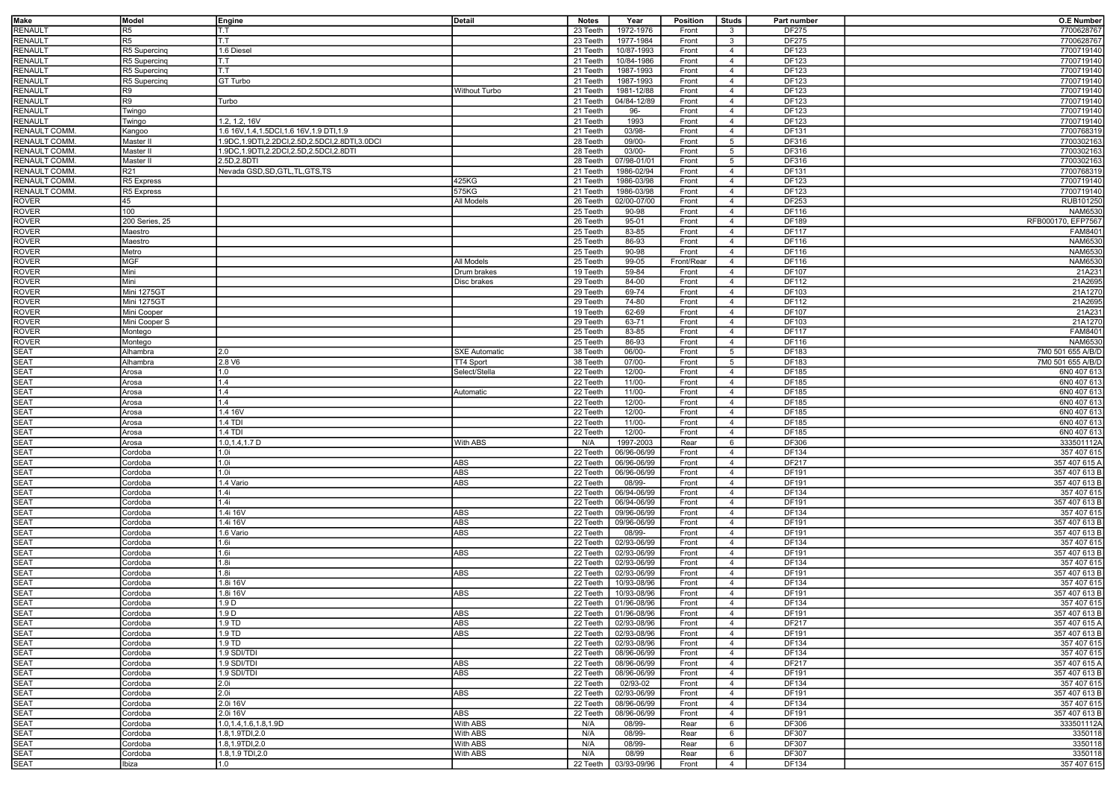| <b>Make</b>         | Model           | Engine                                              | Detail               | <b>Notes</b> | Year                   | <b>Position</b> | <b>Studs</b>    | Part number  | <b>O.E Number</b>  |
|---------------------|-----------------|-----------------------------------------------------|----------------------|--------------|------------------------|-----------------|-----------------|--------------|--------------------|
| <b>RENAULT</b>      | R5              | T.T                                                 |                      | 23 Teeth     | 1972-1976              | Front           | $\mathbf{3}$    | DF275        | 7700628767         |
| <b>RENAULT</b>      | R <sub>5</sub>  | T.T                                                 |                      | 23 Teeth     | 1977-1984              | Front           | $\mathbf{3}$    | DF275        | 7700628767         |
| RENAULT             | R5 Supercing    | 1.6 Diesel                                          |                      | 21 Teeth     | 10/87-1993             | Front           | $\overline{4}$  | DF123        | 7700719140         |
| RENAULT             | R5 Supercing    | T.T                                                 |                      | 21 Teeth     | 10/84-1986             | Front           | $\overline{4}$  | DF123        | 7700719140         |
| RENAULT             |                 | T.T                                                 |                      |              |                        | Front           | $\overline{4}$  | DF123        | 7700719140         |
|                     | R5 Supercinq    |                                                     |                      | 21 Teeth     | 1987-1993              |                 |                 |              |                    |
| <b>RENAULT</b>      | R5 Supercing    | GT Turbo                                            |                      | 21 Teeth     | 1987-1993              | Front           | $\overline{4}$  | DF123        | 7700719140         |
| RENAULT             | R9              |                                                     | Without Turbo        | 21 Teeth     | 1981-12/88             | Front           | $\overline{4}$  | DF123        | 7700719140         |
| RENAULT             | R9              | Turbo                                               |                      | 21 Teeth     | 04/84-12/89            | Front           | $\overline{4}$  | DF123        | 7700719140         |
| <b>RENAULT</b>      | Twingo          |                                                     |                      | 21 Teeth     | 96-                    | Front           | $\overline{4}$  | DF123        | 7700719140         |
| <b>RENAULT</b>      | Twingo          | 1.2, 1.2, 16V                                       |                      | 21 Teeth     | 1993                   | Front           | $\overline{4}$  | DF123        | 7700719140         |
| RENAULT COMM.       | Kangoo          | 1.6 16V, 1.4, 1.5DCI, 1.6 16V, 1.9 DTI, 1.9         |                      | 21 Teeth     | 03/98-                 | Front           | $\overline{4}$  | DF131        | 7700768319         |
| <b>RENAULT COMM</b> | Master II       | 1.9DC, 1.9DTI, 2.2DCI, 2.5D, 2.5DCI, 2.8DTI, 3.0DCI |                      | 28 Teeth     | $09/00 -$              | Front           | $5\overline{5}$ | DF316        | 7700302163         |
| RENAULT COMM        | Master II       | 1.9DC, 1.9DTI, 2.2DCI, 2.5D, 2.5DCI, 2.8DTI         |                      | 28 Teeth     | $03/00-$               | Front           | 5               | <b>DF316</b> | 7700302163         |
| RENAULT COMM        | Master II       | 2.5D, 2.8DTI                                        |                      | 28 Teeth     | 07/98-01/01            | Front           | $5\overline{5}$ | DF316        | 7700302163         |
| <b>RENAULT COMM</b> | R <sub>21</sub> | Nevada GSD, SD, GTL, TL, GTS, TS                    |                      | 21 Teeth     | 1986-02/94             | Front           | $\overline{4}$  | DF131        | 7700768319         |
| RENAULT COMM        | R5 Express      |                                                     | 425KG                | 21 Teeth     | 1986-03/98             | Front           | $\overline{4}$  | DF123        | 7700719140         |
| RENAULT COMM        | R5 Express      |                                                     | 575KG                | 21 Teeth     | 1986-03/98             | Front           | $\overline{4}$  | DF123        | 7700719140         |
| <b>ROVER</b>        | 45              |                                                     | All Models           | 26 Teeth     | 02/00-07/00            | Front           | $\overline{4}$  | DF253        | RUB101250          |
| <b>ROVER</b>        | 100             |                                                     |                      | 25 Teeth     | 90-98                  | Front           | $\overline{4}$  | DF116        | <b>NAM6530</b>     |
| <b>ROVER</b>        | 200 Series, 25  |                                                     |                      | 26 Teeth     | 95-01                  | Front           | $\overline{4}$  | DF189        | RFB000170, EFP7567 |
| <b>ROVER</b>        | Maestro         |                                                     |                      | 25 Teeth     | 83-85                  | Front           | $\overline{4}$  | <b>DF117</b> | FAM8401            |
| <b>ROVER</b>        | Maestro         |                                                     |                      | 25 Teeth     | 86-93                  | Front           | $\overline{4}$  | DF116        | <b>NAM6530</b>     |
|                     |                 |                                                     |                      |              |                        |                 |                 |              |                    |
| <b>ROVER</b>        | Metro           |                                                     |                      | 25 Teeth     | 90-98                  | Front           | $\overline{4}$  | DF116        | <b>NAM6530</b>     |
| <b>ROVER</b>        | <b>MGF</b>      |                                                     | All Models           | 25 Teeth     | 99-05                  | Front/Rear      | $\overline{4}$  | DF116        | <b>NAM6530</b>     |
| <b>ROVER</b>        | Mini            |                                                     | Drum brakes          | 19 Teeth     | 59-84                  | Front           | $\overline{4}$  | DF107        | 21A231             |
| <b>ROVER</b>        | Mini            |                                                     | Disc brakes          | 29 Teeth     | 84-00                  | Front           | $\overline{4}$  | DF112        | 21A2695            |
| <b>ROVER</b>        | Mini 1275GT     |                                                     |                      | 29 Teeth     | 69-74                  | Front           | $\overline{4}$  | DF103        | 21A1270            |
| ROVER               | Mini 1275GT     |                                                     |                      | 29 Teeth     | 74-80                  | Front           | $\overline{4}$  | DF112        | 21A2695            |
| <b>ROVER</b>        | Mini Cooper     |                                                     |                      | 19 Teeth     | 62-69                  | Front           | $\overline{4}$  | DF107        | 21A231             |
| ROVER               | Mini Cooper S   |                                                     |                      | 29 Teeth     | 63-71                  | Front           | $\overline{4}$  | DF103        | 21A1270            |
| <b>ROVER</b>        | Montego         |                                                     |                      | 25 Teeth     | 83-85                  | Front           | $\overline{4}$  | <b>DF117</b> | FAM8401            |
| <b>ROVER</b>        | Montego         |                                                     |                      | 25 Teeth     | 86-93                  | Front           | $\overline{4}$  | DF116        | NAM6530            |
| <b>SEAT</b>         | Alhambra        | 2.0                                                 | <b>SXE Automatic</b> | 38 Teeth     | 06/00-                 | Front           | $5\overline{5}$ | DF183        | 7M0 501 655 A/B/D  |
| <b>SEAT</b>         | Alhambra        | 2.8V6                                               | TT4 Sport            | 38 Teeth     | $07/00 -$              | Front           | $5\overline{5}$ | DF183        | 7M0 501 655 A/B/D  |
| <b>SEAT</b>         | Arosa           | 1.0                                                 | Select/Stella        | 22 Teeth     | $12/00 -$              | Front           | $\overline{4}$  | DF185        | 6N0 407 613        |
| <b>SEAT</b>         |                 | 1.4                                                 |                      |              | $11/00-$               | Front           |                 | DF185        | 6N0 407 613        |
| <b>SEAT</b>         | Arosa           | 1.4                                                 |                      | 22 Teeth     | $11/00 -$              |                 | $\overline{4}$  |              |                    |
|                     | Arosa           |                                                     | Automatic            | 22 Teeth     |                        | Front           | $\overline{4}$  | DF185        | 6N0 407 613        |
| <b>SEAT</b>         | Arosa           | 1.4                                                 |                      | 22 Teeth     | $12/00-$               | Front           | $\overline{4}$  | DF185        | 6N0 407 613        |
| <b>SEAT</b>         | Arosa           | 1.4 16V                                             |                      | 22 Teeth     | $12/00 -$              | Front           | $\overline{4}$  | DF185        | 6N0 407 613        |
| <b>SEAT</b>         | Arosa           | 1.4 TDI                                             |                      | 22 Teeth     | $11/00 -$              | Front           | $\overline{4}$  | DF185        | 6N0 407 613        |
| <b>SEAT</b>         | Arosa           | 1.4 TDI                                             |                      | 22 Teeth     | 12/00-                 | Front           | $\overline{4}$  | DF185        | 6N0 407 613        |
| <b>SEAT</b>         | Arosa           | 1.0, 1.4, 1.7 D                                     | With ABS             | N/A          | 1997-2003              | Rear            | 6               | DF306        | 333501112A         |
| <b>SEAT</b>         | Cordoba         | 1.0i                                                |                      | 22 Teeth     | 06/96-06/99            | Front           | $\overline{4}$  | DF134        | 357 407 615        |
| <b>SEAT</b>         | Cordoba         | 1.0i                                                | <b>ABS</b>           | 22 Teeth     | 06/96-06/99            | Front           | $\overline{4}$  | DF217        | 357 407 615 A      |
| SEAT                | Cordoba         | 1.0i                                                | <b>ABS</b>           | 22 Teeth     | 06/96-06/99            | Front           | $\overline{4}$  | DF191        | 357 407 613 B      |
| <b>SEAT</b>         | Cordoba         | 1.4 Vario                                           | <b>ABS</b>           | 22 Teeth     | 08/99-                 | Front           | $\overline{4}$  | DF191        | 357 407 613 B      |
| SEAT                | Cordoba         | 1.4i                                                |                      | 22 Teeth     | 06/94-06/99            | Front           | $\overline{4}$  | DF134        | 357 407 615        |
| <b>SEAT</b>         | Cordoba         | 1.4i                                                |                      | 22 Teeth     | 06/94-06/99            | Front           | $\overline{4}$  | DF191        | 357 407 613 B      |
| SEAT                | Cordoba         | 1.4i 16V                                            | ABS                  | 22 Teeth     | 09/96-06/99            | Front           | $\overline{4}$  | DF134        | 357 407 615        |
| <b>SEAT</b>         | Cordoba         | 1.4i 16V                                            | <b>ABS</b>           | 22 Teeth     | 09/96-06/99            | Front           | $\overline{4}$  | DF191        | 357 407 613 B      |
| <b>SEAT</b>         | Cordoba         | 1.6 Vario                                           | ABS                  | 22 Teeth     | 08/99-                 | Front           | $\overline{4}$  | DF191        | 357 407 613 B      |
| <b>SEAT</b>         | Cordoba         | 1.6i                                                |                      | 22 Teeth     | 02/93-06/99            | Front           | $\overline{4}$  | DF134        | 357 407 615        |
| <b>SEAT</b>         | Cordoba         | 1.6i                                                | <b>ABS</b>           | 22 Teeth     | 02/93-06/99            | Front           | $\overline{4}$  | DF191        | 357 407 613 B      |
| SEAT                | Cordoba         | 1.8i                                                |                      | 22 Teeth     | 02/93-06/99            | Front           | $\overline{4}$  | DF134        | 357 407 615        |
| SEAT                |                 | 1.8i                                                | ABS                  | 22 Teeth     | 02/93-06/99            |                 | $\overline{4}$  | DF191        | 357 407 613 B      |
|                     | Cordoba         |                                                     |                      |              |                        | Front           |                 |              |                    |
| <b>SEAT</b>         | Cordoba         | 1.8i 16V                                            |                      | 22 Teeth     | 10/93-08/96            | Front           | $\overline{4}$  | DF134        | 357 407 615        |
| <b>SEAT</b>         | Cordoba         | 1.8i 16V                                            | ABS                  | 22 Teeth     | 10/93-08/96            | Front           | $\overline{4}$  | DF191        | 357 407 613 B      |
| <b>SEAT</b>         | Cordoba         | 1.9 <sub>D</sub>                                    |                      | 22 Teeth     | 01/96-08/96            | Front           | $\overline{4}$  | DF134        | 357 407 615        |
| SEAT                | Cordoba         | 1.9 D                                               | ABS                  |              | 22 Teeth   01/96-08/96 | Front           | 4               | DF191        | 357 407 613 B      |
| <b>SEAT</b>         | Cordoba         | 1.9 TD                                              | <b>ABS</b>           | 22 Teeth     | 02/93-08/96            | Front           | $\overline{4}$  | DF217        | 357 407 615 A      |
| <b>SEAT</b>         | Cordoba         | $1.9$ TD                                            | <b>ABS</b>           | 22 Teeth     | 02/93-08/96            | Front           | $\overline{4}$  | DF191        | 357 407 613 B      |
| <b>SEAT</b>         | Cordoba         | 1.9 TD                                              |                      | 22 Teeth     | 02/93-08/96            | Front           | $\overline{4}$  | DF134        | 357 407 615        |
| <b>SEAT</b>         | Cordoba         | 1.9 SDI/TDI                                         |                      | 22 Teeth     | 08/96-06/99            | Front           | $\overline{4}$  | DF134        | 357 407 615        |
| <b>SEAT</b>         | Cordoba         | 1.9 SDI/TDI                                         | ABS                  | 22 Teeth     | 08/96-06/99            | Front           | $\overline{4}$  | DF217        | 357 407 615 A      |
| <b>SEAT</b>         | Cordoba         | 1.9 SDI/TDI                                         | ABS                  | 22 Teeth     | 08/96-06/99            | Front           | $\overline{4}$  | DF191        | 357 407 613 B      |
| <b>SEAT</b>         | Cordoba         | 2.0i                                                |                      | 22 Teeth     | 02/93-02               | Front           | $\overline{4}$  | DF134        | 357 407 615        |
| <b>SEAT</b>         | Cordoba         | 2.0i                                                | ABS                  | 22 Teeth     | 02/93-06/99            | Front           | $\overline{4}$  | DF191        | 357 407 613 B      |
| <b>SEAT</b>         | Cordoba         | 2.0i 16V                                            |                      | 22 Teeth     | 08/96-06/99            | Front           | $\overline{4}$  | DF134        | 357 407 615        |
| <b>SEAT</b>         | Cordoba         | 2.0i 16V                                            | ABS                  | 22 Teeth     | 08/96-06/99            | Front           | $\overline{4}$  | DF191        | 357 407 613 B      |
| <b>SEAT</b>         | Cordoba         | 1.0, 1.4, 1.6, 1.8, 1.9D                            | With ABS             | N/A          | 08/99-                 | Rear            | 6               | DF306        | 333501112A         |
| <b>SEAT</b>         | Cordoba         | 1.8,1.9TDI,2.0                                      | With ABS             | N/A          | 08/99-                 | Rear            | 6               | <b>DF307</b> | 3350118            |
| <b>SEAT</b>         |                 | 1.8,1.9TDI,2.0                                      | With ABS             |              | 08/99-                 |                 | 6               | DF307        | 3350118            |
|                     | Cordoba         |                                                     |                      | N/A          | 08/99                  | Rear            |                 |              |                    |
| <b>SEAT</b>         | Cordoba         | 1.8,1.9 TDI,2.0                                     | With ABS             | N/A          |                        | Rear            | 6               | DF307        | 3350118            |
| <b>SEAT</b>         | Ibiza           | 1.0                                                 |                      | 22 Teeth     | 03/93-09/96            | Front           | $\overline{4}$  | DF134        | 357 407 615        |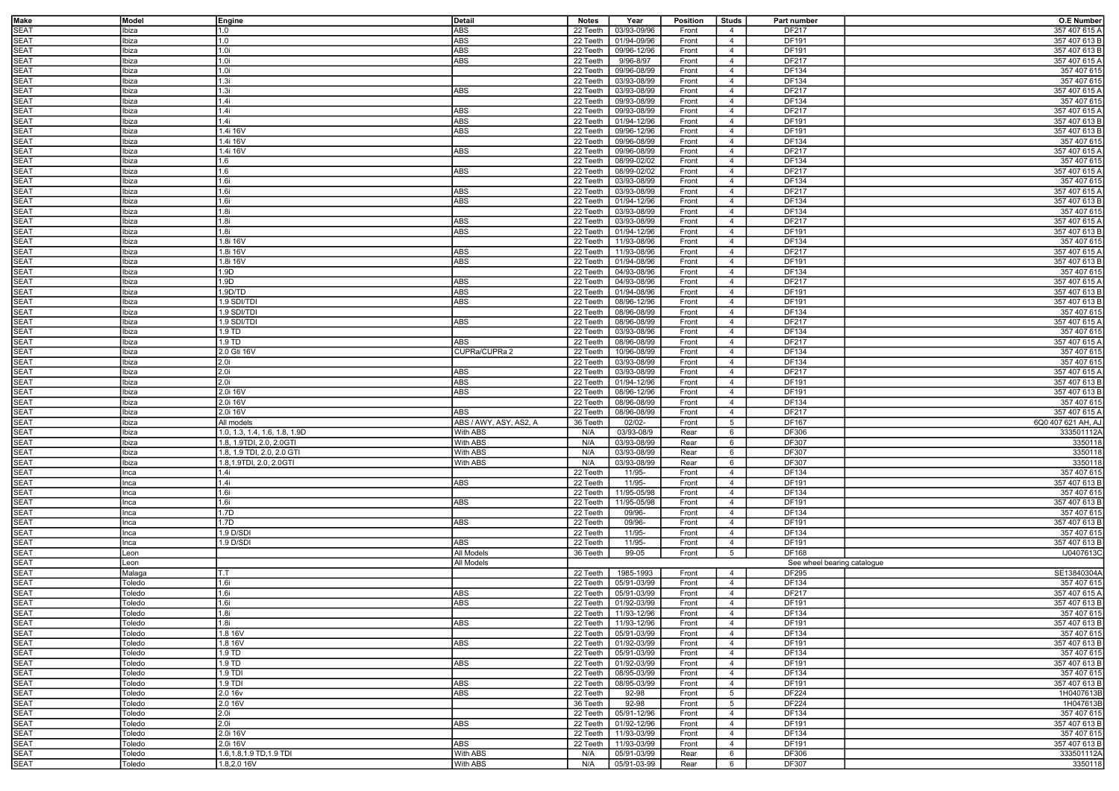| Make                       | Model          | Engine                        | Detail                 | <b>Notes</b>         | Year                       | <b>Position</b> | <b>Studs</b>    | Part number                 | <b>O.E Number</b>            |
|----------------------------|----------------|-------------------------------|------------------------|----------------------|----------------------------|-----------------|-----------------|-----------------------------|------------------------------|
| <b>SEAT</b>                | Ibiza          | 1.0                           | ABS                    | 22 Teeth             | 03/93-09/96                | Front           | $\overline{4}$  | DF217                       | 357 407 615 A                |
| SEAT                       | Ibiza          | 1.0                           | ABS                    | 22 Teeth             | 01/94-09/96                | Front           | $\overline{4}$  | DF191                       | 357 407 613 B                |
| <b>SEAT</b>                | Ibiza          | 1.0i                          | <b>ABS</b>             | 22 Teeth             | 09/96-12/96                | Front           | $\overline{4}$  | DF191                       | 357 407 613 B                |
| <b>SEAT</b>                | Ibiza          | 1.0i                          | ABS                    | 22 Teeth             | 9/96-8/97                  | Front           | $\overline{4}$  | DF217                       | 357 407 615 A                |
| <b>SEAT</b>                | Ibiza          | 1.0i                          |                        | 22 Teeth             | 09/96-08/99                | Front           | $\overline{4}$  | DF134                       | 357 407 615                  |
| <b>SEAT</b>                | Ibiza          | 1.3i                          |                        | 22 Teeth             | 03/93-08/99                | Front           | $\overline{4}$  | DF134                       | 357 407 615                  |
| <b>SEAT</b>                | Ibiza          | 1.3i                          | ABS                    | 22 Teeth             | 03/93-08/99                | Front           | $\overline{4}$  | DF217                       | 357 407 615 A                |
| <b>SEAT</b>                | Ibiza          | 1.4i                          |                        | 22 Teeth             | 09/93-08/99                | Front           | $\overline{4}$  | DF134                       | 357 407 615                  |
| <b>SEAT</b>                | Ibiza          | 1.4i                          | ABS                    | 22 Teeth             | 09/93-08/99                | Front           | $\overline{4}$  | DF217                       | 357 407 615 A                |
| <b>SEAT</b>                | Ibiza          | 1.4i                          | ABS                    | 22 Teeth             | 01/94-12/96                | Front           | $\overline{4}$  | DF191                       | 357 407 613 B                |
| <b>SEAT</b>                | Ibiza          | 1.4i 16V                      | ABS                    | 22 Teeth             | 09/96-12/96                | Front           | $\overline{4}$  | DF191                       | 357 407 613 B                |
| <b>SEAT</b>                | Ibiza          | 1.4i 16V                      |                        | 22 Teeth             | 09/96-08/99                | Front           | $\overline{4}$  | DF134                       | 357 407 615                  |
| <b>SEAT</b>                | Ibiza          | 1.4i 16V                      | ABS                    | 22 Teeth             | 09/96-08/99                | Front           | $\overline{4}$  | DF217                       | 357 407 615 A                |
| <b>SEAT</b>                | Ibiza          | 1.6                           |                        | 22 Teeth             | 08/99-02/02                | Front           | $\overline{4}$  | DF134                       | 357 407 615                  |
| <b>SEAT</b>                | Ibiza          | 1.6                           | ABS                    | 22 Teeth             | 08/99-02/02                | Front           | $\overline{4}$  | DF217                       | 357 407 615 A                |
| <b>SEAT</b>                | Ibiza          | 1.6i                          |                        | 22 Teeth             | 03/93-08/99                | Front           | $\overline{4}$  | DF134                       | 357 407 615                  |
| <b>SEAT</b>                | Ibiza          | 1.6i                          | ABS                    | 22 Teeth             | 03/93-08/99                | Front           | $\overline{4}$  | <b>DF217</b>                | 357 407 615 A                |
| <b>SEAT</b>                | Ibiza          | 1.6i                          | <b>ABS</b>             | 22 Teeth             | 01/94-12/96                | Front           | $\overline{4}$  | DF134                       | 357 407 613 B                |
| <b>SEAT</b>                | Ibiza          | 1.8i                          |                        | 22 Teeth             | 03/93-08/99                | Front           | $\overline{4}$  | DF134                       | 357 407 615                  |
| <b>SEAT</b>                | Ibiza          | 1.8i                          | ABS                    | 22 Teeth             | 03/93-08/99                | Front           | $\overline{4}$  | DF217                       | 357 407 615 A                |
| <b>SEAT</b>                | Ibiza          | 1.8i                          | <b>ABS</b>             | 22 Teeth             | 01/94-12/96                | Front           | $\overline{4}$  | DF191                       | 357 407 613 B                |
| <b>SEAT</b>                | Ibiza          | 1.8i 16V                      |                        | 22 Teeth             | 11/93-08/96                | Front           | $\overline{4}$  | DF134                       | 357 407 615                  |
| <b>SEAT</b>                | Ibiza          | 1.8i 16V                      | ABS                    | 22 Teeth             | 11/93-08/96                | Front           | $\overline{4}$  | DF217                       | 357 407 615 A                |
|                            |                | 1.8i 16V                      |                        |                      |                            |                 | $\overline{4}$  | DF191                       |                              |
| <b>SEAT</b><br><b>SEAT</b> | Ibiza<br>Ibiza | 1.9D                          | ABS                    | 22 Teeth<br>22 Teeth | 01/94-08/96<br>04/93-08/96 | Front<br>Front  | $\overline{4}$  | DF134                       | 357 407 613 B<br>357 407 615 |
|                            |                |                               |                        |                      |                            |                 |                 |                             |                              |
| <b>SEAT</b>                | Ibiza          | 1.9D                          | ABS                    | 22 Teeth             | 04/93-08/96                | Front           | $\overline{4}$  | DF217                       | 357 407 615 A                |
| <b>SEAT</b>                | Ibiza          | 1.9 <sub>D</sub> /TD          | ABS                    | 22 Teeth             | 01/94-08/96                | Front           | $\overline{4}$  | DF191                       | 357 407 613 B                |
| <b>SEAT</b>                | Ibiza          | 1.9 SDI/TDI                   | ABS                    | 22 Teeth             | 08/96-12/96                | Front           | $\overline{4}$  | DF191                       | 357 407 613 B                |
| <b>SEAT</b>                | Ibiza          | 1.9 SDI/TDI                   |                        | 22 Teeth             | 08/96-08/99                | Front           | $\overline{4}$  | DF134                       | 357 407 615                  |
| <b>SEAT</b>                | Ibiza          | 1.9 SDI/TDI                   | ABS                    | 22 Teeth             | 08/96-08/99                | Front           | $\overline{4}$  | DF217                       | 357 407 615 A                |
| SEAT                       | Ibiza          | 1.9 TD                        |                        | 22 Teeth             | 03/93-08/96                | Front           | $\overline{4}$  | DF134                       | 357 407 615                  |
| SEAT                       | Ibiza          | 1.9 TD                        | ABS                    | 22 Teeth             | 08/96-08/99                | Front           | $\overline{4}$  | DF217                       | 357 407 615 A                |
| <b>SEAT</b>                | Ibiza          | 2.0 Gti 16V                   | CUPRa/CUPRa 2          | 22 Teeth             | 10/96-08/99                | Front           | $\overline{4}$  | DF134                       | 357 407 615                  |
| <b>SEAT</b>                | Ibiza          | 2.0i                          |                        | 22 Teeth             | 03/93-08/99                | Front           | $\overline{4}$  | DF134                       | 357 407 615                  |
| <b>SEAT</b>                | Ibiza          | 2.0i                          | ABS                    | 22 Teeth             | 03/93-08/99                | Front           | $\overline{4}$  | DF217                       | 357 407 615 A                |
| SEAT                       | Ibiza          | 2.0i                          | ABS                    | 22 Teeth             | 01/94-12/96                | Front           | $\overline{4}$  | DF191                       | 357 407 613 B                |
| <b>SEAT</b>                | Ibiza          | 2.0i 16V                      | ABS                    | 22 Teeth             | 08/96-12/96                | Front           | $\overline{4}$  | DF191                       | 357 407 613 B                |
| <b>SEAT</b>                | Ibiza          | 2.0i 16V                      |                        | 22 Teeth             | 08/96-08/99                | Front           | $\overline{4}$  | DF134                       | 357 407 615                  |
| <b>SEAT</b>                | Ibiza          | 2.0i 16V                      | ABS                    | 22 Teeth             | 08/96-08/99                | Front           | $\overline{4}$  | DF217                       | 357 407 615 A                |
| <b>SEAT</b>                | Ibiza          | All models                    | ABS / AWY, ASY, AS2, A | 36 Teeth             | $02/02 -$                  | Front           | 5               | DF167                       | 6Q0 407 621 AH, AJ           |
| <b>SEAT</b>                | Ibiza          | 1.0, 1.3, 1.4, 1.6, 1.8, 1.9D | With ABS               | N/A                  | 03/93-08/9                 | Rear            | 6               | DF306                       | 333501112A                   |
| <b>SEAT</b>                | Ibiza          | 1.8, 1.9TDI, 2.0, 2.0GTI      | With ABS               | N/A                  | 03/93-08/99                | Rear            | 6               | DF307                       | 3350118                      |
| <b>SEAT</b>                | Ibiza          | 1.8, 1.9 TDI, 2.0, 2.0 GTI    | With ABS               | N/A                  | 03/93-08/99                | Rear            | 6               | DF307                       | 3350118                      |
| <b>SEAT</b>                | Ibiza          | 1.8,1.9TDI, 2.0, 2.0GTI       | With ABS               | N/A                  | 03/93-08/99                | Rear            | 6               | DF307                       | 3350118                      |
| <b>SEAT</b>                | Inca           | 1.4i                          |                        | 22 Teeth             | 11/95-                     | Front           | $\overline{4}$  | DF134                       | 357 407 615                  |
| <b>SEAT</b>                | Inca           | 1.4i                          | ABS                    | 22 Teeth             | 11/95-                     | Front           | $\overline{4}$  | DF191                       | 357 407 613 B                |
| <b>SEAT</b>                | Inca           | 1.6i                          |                        | 22 Teeth             | 11/95-05/98                | Front           | $\overline{4}$  | DF134                       | 357 407 615                  |
| <b>SEAT</b>                | Inca           | 1.6i                          | ABS                    | 22 Teeth             | 11/95-05/98                | Front           | $\overline{4}$  | DF191                       | 357 407 613 B                |
| <b>SEAT</b>                | Inca           | 1.7D                          |                        | 22 Teeth             | 09/96-                     | Front           | $\overline{4}$  | DF134                       | 357 407 615                  |
| <b>SEAT</b>                | Inca           | 1.7D                          | ABS                    | 22 Teeth             | 09/96-                     | Front           | $\overline{4}$  | DF191                       | 357 407 613 B                |
| <b>SEAT</b>                | Inca           | 1.9 D/SDI                     |                        | 22 Teeth             | 11/95-                     | Front           | $\overline{4}$  | DF134                       | 357 407 615                  |
| <b>SEAT</b>                | Inca           | 1.9 D/SDI                     | ABS                    | 22 Teeth             | 11/95-                     | Front           | $\overline{4}$  | DF191                       | 357 407 613 B                |
| <b>SEAT</b>                | Leon           |                               | All Models             | 36 Teeth             | 99-05                      | Front           | $5\overline{5}$ | DF168                       | IJ0407613C                   |
| <b>SEAT</b>                | Leon           |                               | <b>All Models</b>      |                      |                            |                 |                 | See wheel bearing catalogue |                              |
| <b>SEAT</b>                | Malaga         | T.T                           |                        | 22 Teeth             | 1985-1993                  | Front           | $\overline{4}$  | DF295                       | SE13840304A                  |
| <b>SEAT</b>                | Toledo         | 1.6i                          |                        | 22 Teeth             | 05/91-03/99                | Front           | $\overline{4}$  | DF134                       | 357 407 615                  |
| <b>SEAT</b>                | oledo          | 1.6i                          | ABS                    | 22 Teeth             | 05/91-03/99                | Front           | $\overline{4}$  | DF217                       | 357 407 615 A                |
| <b>SEAT</b>                | Toledo         | 1.6i                          | ABS                    | 22 Teeth             | 01/92-03/99                | Front           | $\overline{4}$  | DF191                       | 357 407 613 B                |
| SEAT                       | Toledo         | 1.8i                          |                        |                      | 22 Teeth   11/93-12/96     | Front           | -4              | DF134                       | 357 407 615                  |
| <b>SEAT</b>                | Toledo         | 1.8i                          | ABS                    |                      | 22 Teeth   11/93-12/96     | Front           | $\overline{4}$  | DF191                       | 357 407 613 B                |
| <b>SEAT</b>                | Toledo         | 1.8 16V                       |                        | 22 Teeth             | 05/91-03/99                | Front           | $\overline{4}$  | DF134                       | 357 407 615                  |
| <b>SEAT</b>                | Toledo         | 1.8 16V                       | ABS                    | 22 Teeth             | 01/92-03/99                | Front           | $\overline{4}$  | DF191                       | 357 407 613 B                |
| <b>SEAT</b>                |                | 1.9 TD                        |                        |                      | 05/91-03/99                |                 |                 |                             |                              |
| <b>SEAT</b>                | Toledo         | 1.9 TD                        | ABS                    | 22 Teeth<br>22 Teeth | 01/92-03/99                | Front           | $\overline{4}$  | DF134<br>DF191              | 357 407 615                  |
| <b>SEAT</b>                | Toledo         | 1.9 TDI                       |                        | 22 Teeth             | 08/95-03/99                | Front           | $\overline{4}$  |                             | 357 407 613 B                |
|                            | Toledo         |                               |                        |                      |                            | Front           | $\overline{4}$  | DF134                       | 357 407 615                  |
| <b>SEAT</b>                | Toledo         | 1.9 TDI                       | ABS                    | 22 Teeth             | 08/95-03/99                | Front           | $\overline{4}$  | DF191                       | 357 407 613 B                |
| <b>SEAT</b>                | Toledo         | 2.0 16v                       | <b>ABS</b>             | 22 Teeth             | 92-98                      | Front           | 5               | <b>DF224</b>                | 1H0407613B                   |
| <b>SEAT</b>                | Toledo         | 2.0 16V                       |                        | 36 Teeth             | $92 - 98$                  | Front           | $5\overline{5}$ | <b>DF224</b>                | 1H047613B                    |
| <b>SEAT</b>                | Toledo         | 2.0 <sub>i</sub>              |                        | 22 Teeth             | 05/91-12/96                | Front           | $\overline{4}$  | DF134                       | 357 407 615                  |
| <b>SEAT</b>                | Toledo         | 2.0i                          | ABS                    | 22 Teeth             | 01/92-12/96                | Front           | $\overline{4}$  | DF191                       | 357 407 613 B                |
| <b>SEAT</b>                | Toledo         | 2.0i 16V                      |                        | 22 Teeth             | 11/93-03/99                | Front           | $\overline{4}$  | DF134                       | 357 407 615                  |
| <b>SEAT</b>                | Toledo         | 2.0i 16V                      | ABS                    | 22 Teeth             | 11/93-03/99                | Front           | $\overline{4}$  | DF191                       | 357 407 613 B                |
| <b>SEAT</b>                | Toledo         | 1.6, 1.8, 1.9 TD, 1.9 TDI     | With ABS               | N/A                  | 05/91-03/99                | Rear            | 6               | DF306                       | 333501112A                   |
| <b>SEAT</b>                | Toledo         | 1.8,2.0 16V                   | With ABS               | N/A                  | 05/91-03-99                | Rear            | $6\overline{6}$ | DF307                       | 3350118                      |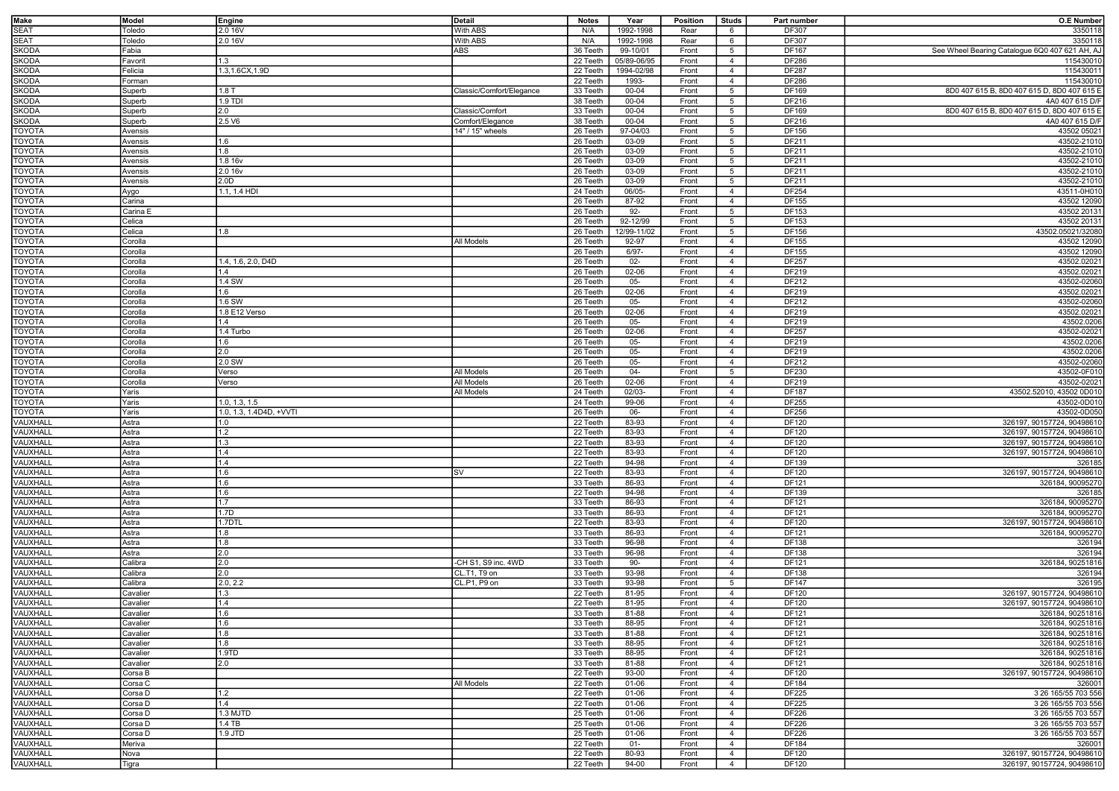| <b>Make</b>   | Model         | Engine                  | Detail                   | <b>Notes</b> | Year        | <b>Position</b> | <b>Studs</b>    | Part number  | <b>O.E Number</b>                              |
|---------------|---------------|-------------------------|--------------------------|--------------|-------------|-----------------|-----------------|--------------|------------------------------------------------|
| <b>SEAT</b>   | Toledo        | 2.0 16V                 | With ABS                 | N/A          | 1992-1998   | Rear            | 6               | DF307        | 3350118                                        |
| <b>SEAT</b>   | <b>Toledo</b> | 2.0 16V                 | With ABS                 | N/A          | 1992-1998   | Rear            | 6               | DF307        | 3350118                                        |
| <b>SKODA</b>  | -abia         |                         | ABS                      | 36 Teeth     | 99-10/01    | Front           | 5               | DF167        | See Wheel Bearing Catalogue 6Q0 407 621 AH, AJ |
|               |               |                         |                          |              |             |                 |                 |              |                                                |
| <b>SKODA</b>  | avorit        | 1.3                     |                          | 22 Teeth     | 05/89-06/95 | Front           | $\overline{4}$  | DF286        | 115430010                                      |
| <b>SKODA</b>  | Felicia       | 1.3,1.6CX,1.9D          |                          | 22 Teeth     | 1994-02/98  | Front           | $\overline{4}$  | <b>DF287</b> | 115430011                                      |
| <b>SKODA</b>  | Forman        |                         |                          | 22 Teeth     | 1993-       | Front           | $\overline{4}$  | DF286        | 115430010                                      |
| <b>SKODA</b>  | Superb        | 1.8T                    | Classic/Comfort/Elegance | 33 Teeth     | 00-04       | Front           | $5\overline{5}$ | DF169        | 8D0 407 615 B, 8D0 407 615 D, 8D0 407 615 E    |
| <b>SKODA</b>  | Superb        | 1.9 TDI                 |                          | 38 Teeth     | 00-04       | Front           | $5\overline{5}$ | DF216        | 4A0 407 615 D/F                                |
| <b>SKODA</b>  |               | 2.0                     | Classic/Comfort          | 33 Teeth     | 00-04       | Front           | 5               | DF169        | 8D0 407 615 B, 8D0 407 615 D, 8D0 407 615 E    |
|               | Superb        |                         |                          |              |             |                 |                 |              |                                                |
| <b>SKODA</b>  | Superb        | 2.5 V6                  | Comfort/Elegance         | 38 Teeth     | 00-04       | Front           | $5\overline{5}$ | DF216        | 4A0 407 615 D/F                                |
| <b>TOYOTA</b> | Avensis       |                         | 14" / 15" wheels         | 26 Teeth     | 97-04/03    | Front           | 5               | DF156        | 43502 05021                                    |
| <b>TOYOTA</b> | Avensis       | 1.6                     |                          | 26 Teeth     | 03-09       | Front           | $5\overline{5}$ | DF211        | 43502-21010                                    |
| <b>TOYOTA</b> | Avensis       | 1.8                     |                          | 26 Teeth     | 03-09       | Front           | 5               | DF211        | 43502-21010                                    |
| <b>TOYOTA</b> | Avensis       | 1.8 16v                 |                          | 26 Teeth     | 03-09       | Front           | $5\overline{5}$ | DF211        | 43502-21010                                    |
|               |               |                         |                          |              |             |                 |                 |              |                                                |
| <b>TOYOTA</b> | Avensis       | 2.0 16v                 |                          | 26 Teeth     | 03-09       | Front           | 5               | DF211        | 43502-21010                                    |
| <b>TOYOTA</b> | Avensis       | 2.0D                    |                          | 26 Teeth     | 03-09       | Front           | $5\overline{5}$ | DF211        | 43502-21010                                    |
| <b>TOYOTA</b> | Aygo          | 1.1, 1.4 HDI            |                          | 24 Teeth     | 06/05-      | Front           | $\overline{4}$  | DF254        | 43511-0H010                                    |
| <b>TOYOTA</b> | Carina        |                         |                          | 26 Teeth     | 87-92       | Front           | $\overline{4}$  | DF155        | 43502 12090                                    |
| <b>TOYOTA</b> | Carina E      |                         |                          | 26 Teeth     | $92 -$      | Front           | $5\overline{5}$ | DF153        | 43502 20131                                    |
|               | Celica        |                         |                          |              | 92-12/99    | Front           |                 |              | 43502 20131                                    |
| <b>TOYOTA</b> |               |                         |                          | 26 Teeth     |             |                 | 5               | DF153        |                                                |
| <b>TOYOTA</b> | celica        | 1.8                     |                          | 26 Teeth     | 12/99-11/02 | Front           | $5\overline{5}$ | DF156        | 43502.05021/32080                              |
| <b>TOYOTA</b> | ;orolla       |                         | All Models               | 26 Teeth     | 92-97       | Front           | $\overline{4}$  | DF155        | 43502 12090                                    |
| <b>TOYOTA</b> | ;orolla       |                         |                          | 26 Teeth     | $6/97 -$    | Front           | $\overline{4}$  | DF155        | 43502 12090                                    |
| <b>TOYOTA</b> | corolla,      | 1.4, 1.6, 2.0, D4D      |                          | 26 Teeth     | $02 -$      | Front           | $\overline{4}$  | DF257        | 43502.02021                                    |
|               |               |                         |                          |              | 02-06       |                 |                 |              |                                                |
| <b>TOYOTA</b> | Corolla       | 1.4                     |                          | 26 Teeth     |             | Front           | $\overline{4}$  | DF219        | 43502.02021                                    |
| <b>TOYOTA</b> | Corolla       | 1.4 SW                  |                          | 26 Teeth     | $05 -$      | Front           | $\overline{4}$  | DF212        | 43502-02060                                    |
| <b>TOYOTA</b> | Corolla       | 1.6                     |                          | 26 Teeth     | 02-06       | Front           | $\overline{4}$  | DF219        | 43502.02021                                    |
| <b>TOYOTA</b> | Corolla       | 1.6 SW                  |                          | 26 Teeth     | 05-         | Front           | $\overline{4}$  | DF212        | 43502-02060                                    |
| <b>TOYOTA</b> | Corolla       | 1.8 E12 Verso           |                          | 26 Teeth     | $02 - 06$   | Front           | $\overline{4}$  | DF219        | 43502.02021                                    |
|               |               |                         |                          |              |             |                 |                 |              |                                                |
| <b>TOYOTA</b> | Corolla       | 1.4                     |                          | 26 Teeth     | $05-$       | Front           | $\overline{4}$  | DF219        | 43502.0206                                     |
| <b>TOYOTA</b> | Corolla       | 1.4 Turbo               |                          | 26 Teeth     | 02-06       | Front           | $\overline{4}$  | DF257        | 43502-02021                                    |
| <b>TOYOTA</b> | Corolla       | 1.6                     |                          | 26 Teeth     | $05 -$      | Front           | $\overline{4}$  | DF219        | 43502.0206                                     |
| <b>TOYOTA</b> | Corolla       | 2.0                     |                          | 26 Teeth     | $05-$       | Front           | $\overline{4}$  | DF219        | 43502.0206                                     |
| <b>TOYOTA</b> | Corolla       | 2.0 SW                  |                          | 26 Teeth     | $05-$       | Front           | $\overline{4}$  | DF212        | 43502-02060                                    |
|               |               |                         |                          |              |             |                 |                 |              |                                                |
| <b>TOYOTA</b> | Corolla       | Verso                   | All Models               | 26 Teeth     | 04-         | Front           | $5\overline{5}$ | DF230        | 43502-0F010                                    |
| <b>TOYOTA</b> | Corolla       | Verso                   | All Models               | 26 Teeth     | 02-06       | Front           | $\overline{4}$  | DF219        | 43502-02021                                    |
| <b>TOYOTA</b> | Yaris         |                         | All Models               | 24 Teeth     | 02/03-      | Front           | $\overline{4}$  | <b>DF187</b> | 43502.52010, 43502 0D010                       |
| <b>TOYOTA</b> | Yaris         | 1.0, 1.3, 1.5           |                          | 24 Teeth     | 99-06       | Front           | $\overline{4}$  | DF255        | 43502-0D010                                    |
| <b>TOYOTA</b> | Yaris         | 1.0, 1.3, 1.4D4D, +VVTI |                          | 26 Teeth     | 06-         | Front           | $\overline{4}$  | DF256        | 43502-0D050                                    |
|               |               |                         |                          |              |             |                 |                 |              |                                                |
| VAUXHALI      | Astra         | 1.0                     |                          | 22 Teeth     | 83-93       | Front           | $\overline{4}$  | DF120        | 326197, 90157724, 90498610                     |
| VAUXHALL      | Astra         | 1.2                     |                          | 22 Teeth     | 83-93       | Front           | $\overline{4}$  | DF120        | 326197, 90157724, 90498610                     |
| VAUXHALL      | Astra         | 1.3                     |                          | 22 Teeth     | 83-93       | Front           | $\overline{4}$  | DF120        | 326197, 90157724, 90498610                     |
| VAUXHALL      | Astra         | 1.4                     |                          | 22 Teeth     | 83-93       | Front           | $\overline{4}$  | DF120        | 326197, 90157724, 90498610                     |
| VAUXHALI      | Astra         | 1.4                     |                          | 22 Teeth     | 94-98       | Front           | $\overline{4}$  | DF139        | 326185                                         |
|               |               |                         |                          |              |             |                 |                 |              |                                                |
| VAUXHALL      | Astra         | 1.6                     | SV                       | 22 Teeth     | 83-93       | Front           | $\overline{4}$  | DF120        | 326197, 90157724, 90498610                     |
| VAUXHALI      | Astra         | 1.6                     |                          | 33 Teeth     | 86-93       | Front           | $\overline{4}$  | DF121        | 326184, 90095270                               |
| VAUXHALI      | Astra         | 1.6                     |                          | 22 Teeth     | 94-98       | Front           | $\overline{4}$  | DF139        | 326185                                         |
| VAUXHALL      | Astra         | 1.7                     |                          | 33 Teeth     | 86-93       | Front           | $\overline{4}$  | DF121        | 326184, 90095270                               |
| VAUXHALL      | Astra         | 1.7D                    |                          | 33 Teeth     | 86-93       | Front           | $\overline{4}$  | DF121        | 326184, 90095270                               |
|               |               |                         |                          |              |             |                 |                 |              |                                                |
| VAUXHALL      | Astra         | 1.7DTL                  |                          | 22 Teeth     | 83-93       | Front           | $\overline{4}$  | DF120        | 326197, 90157724, 90498610                     |
| VAUXHALL      | Astra         | 1.8                     |                          | 33 Teeth     | 86-93       | Front           | $\overline{4}$  | DF121        | 326184.90095270                                |
| VAUXHALL      | Astra         | 1.8                     |                          | 33 Teeth     | 96-98       | Front           | $\overline{4}$  | DF138        | 326194                                         |
| VAUXHALL      | Astra         | 2.0                     |                          | 33 Teeth     | 96-98       | Front           | $\overline{4}$  | DF138        | 326194                                         |
| VAUXHALL      | Calibra       | 2.0                     | -CH S1, S9 inc. 4WD      | 33 Teeth     | 90-         | Front           | $\overline{4}$  | DF121        | 326184, 90251816                               |
| VAUXHALL      | Calibra       | 2.0                     | CL.T1, T9 on             | 33 Teeth     | 93-98       | Front           | $\overline{4}$  | DF138        | 326194                                         |
|               |               |                         |                          |              |             |                 |                 |              |                                                |
| VAUXHALL      | alibra        | 2.0, 2.2                | CL.P1, P9 on             | 33 Teeth     | 93-98       | Front           | $5\overline{5}$ | DF147        | 326195                                         |
| VAUXHALL      | Cavalier      | 1.3                     |                          | 22 Teeth     | 81-95       | Front           | $\overline{4}$  | DF120        | 326197, 90157724, 90498610                     |
| VAUXHALL      | Cavalier      | 1.4                     |                          | 22 Teeth     | 81-95       | Front           | $\overline{4}$  | DF120        | 326197, 90157724, 90498610                     |
| VAUXHALL      | Cavalier      | 11.6                    |                          | 33 Teeth     | 81-88       | Front           | $\overline{4}$  | DF121        | 326184, 90251816                               |
| VAUXHALL      | Cavalier      | 1.6                     |                          | 33 Teeth     | 88-95       | Front           | $\overline{4}$  | DF121        | 326184, 90251816                               |
|               |               |                         |                          |              |             |                 |                 |              |                                                |
| VAUXHALL      | Cavalier      | 1.8                     |                          | 33 Teeth     | 81-88       | Front           | $\overline{4}$  | DF121        | 326184, 90251816                               |
| VAUXHALL      | Cavalier      | 1.8                     |                          | 33 Teeth     | 88-95       | Front           | $\overline{4}$  | DF121        | 326184, 90251816                               |
| VAUXHALL      | Cavalier      | 1.9TD                   |                          | 33 Teeth     | 88-95       | Front           | $\overline{4}$  | DF121        | 326184, 90251816                               |
| VAUXHALL      | Cavalier      | 2.0                     |                          | 33 Teeth     | 81-88       | Front           | $\overline{4}$  | DF121        | 326184, 90251816                               |
| VAUXHALL      | Corsa B       |                         |                          | 22 Teeth     | 93-00       | Front           | $\overline{4}$  | DF120        | 326197, 90157724, 90498610                     |
|               |               |                         |                          |              |             |                 |                 |              |                                                |
| VAUXHALL      | Corsa C       |                         | All Models               | 22 Teeth     | 01-06       | Front           | $\overline{4}$  | DF184        | 326001                                         |
| VAUXHALL      | Corsa D       | 1.2                     |                          | 22 Teeth     | 01-06       | Front           | $\overline{4}$  | DF225        | 3 26 165/55 703 556                            |
| VAUXHALL      | Corsa D       | 1.4                     |                          | 22 Teeth     | 01-06       | Front           | $\overline{4}$  | DF225        | 3 26 165/55 703 556                            |
| VAUXHALL      | Corsa D       | 1.3 MJTD                |                          | 25 Teeth     | 01-06       | Front           | $\overline{4}$  | DF226        | 3 26 165/55 703 557                            |
| VAUXHALL      | Corsa D       | 1.4 TB                  |                          | 25 Teeth     | 01-06       | Front           | $\overline{4}$  | DF226        | 3 26 165/55 703 557                            |
|               |               |                         |                          |              |             |                 |                 |              |                                                |
| VAUXHALL      | Corsa D       | 1.9 JTD                 |                          | 25 Teeth     | 01-06       | Front           | $\overline{4}$  | DF226        | 3 26 165/55 703 557                            |
| VAUXHALL      | Meriva        |                         |                          | 22 Teeth     | 01-         | Front           | $\overline{4}$  | DF184        | 326001                                         |
| VAUXHALL      | Nova          |                         |                          | 22 Teeth     | 80-93       | Front           | $\overline{4}$  | DF120        | 326197, 90157724, 90498610                     |
| VAUXHALL      | Tigra         |                         |                          | 22 Teeth     | 94-00       | Front           | $\overline{4}$  | <b>DF120</b> | 326197, 90157724, 90498610                     |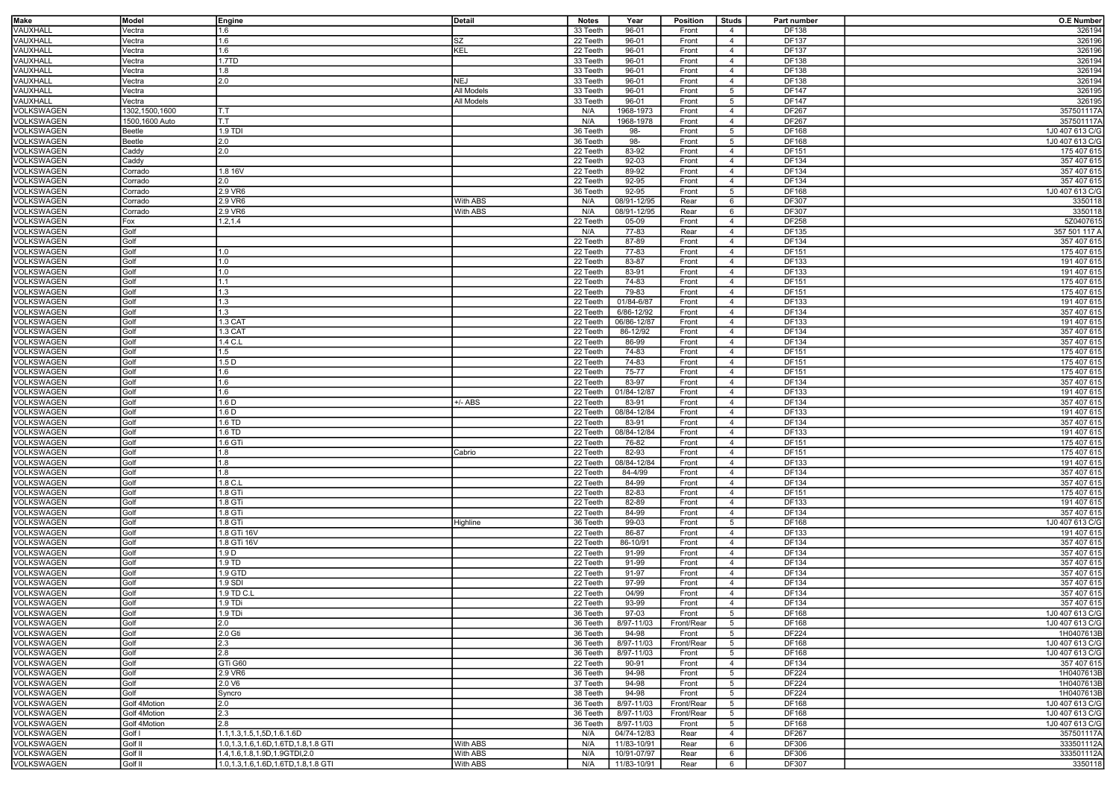| <b>Make</b>              | Model                        | Engine                                                                      | Detail     | <b>Notes</b>         | Year                | Position            | <b>Studs</b>                      | Part number    | <b>O.E Number</b>             |
|--------------------------|------------------------------|-----------------------------------------------------------------------------|------------|----------------------|---------------------|---------------------|-----------------------------------|----------------|-------------------------------|
| VAUXHALL                 | Vectra                       | 1.6                                                                         |            | 33 Teeth             | 96-01               | Front               | $\overline{4}$                    | DF138          | 326194                        |
| VAUXHALL                 | Vectra                       | 1.6                                                                         | SZ         | 22 Teeth             | 96-01               | Front               | $\overline{4}$                    | DF137          | 326196                        |
| <b>VAUXHALL</b>          | Vectra                       | 1.6                                                                         | KEL        | 22 Teeth             | 96-01               | Front               | $\overline{4}$                    | <b>DF137</b>   | 326196                        |
| VAUXHALL                 | Vectra                       | 1.7TD                                                                       |            | 33 Teeth             | 96-01               | Front               | $\overline{4}$                    | DF138          | 326194                        |
|                          |                              |                                                                             |            |                      |                     |                     |                                   |                |                               |
| <b>VAUXHALL</b>          | Vectra                       | 1.8                                                                         |            | 33 Teeth             | 96-01               | Front               | $\overline{4}$                    | DF138          | 326194                        |
| VAUXHALL                 | Vectra                       | 2.0                                                                         | <b>NEJ</b> | 33 Teeth             | 96-01               | Front               | $\overline{4}$                    | DF138          | 326194                        |
| <b>VAUXHALL</b>          | Vectra                       |                                                                             | All Models | 33 Teeth             | 96-01               | Front               | 5                                 | DF147          | 326195                        |
| VAUXHALL                 | Vectra                       |                                                                             | All Models | 33 Teeth             | 96-01               | Front               | $5\overline{5}$                   | DF147          | 326195                        |
| VOLKSWAGEN               | 1302,1500,1600               | T.T                                                                         |            | N/A                  | 1968-1973           | Front               | $\overline{4}$                    | <b>DF267</b>   | 357501117A                    |
| VOLKSWAGEN               | 1500,1600 Auto               | lt.t                                                                        |            | N/A                  | 1968-1978           | Front               | $\overline{4}$                    | <b>DF267</b>   | 357501117A                    |
| VOLKSWAGEN               | Beetle                       | 1.9 TDI                                                                     |            | 36 Teeth             | 98-                 | Front               | 5                                 | DF168          | 1J0 407 613 C/G               |
| VOLKSWAGEN               | Beetle                       | 2.0                                                                         |            | 36 Teeth             | 98-                 | Front               | $5\overline{5}$                   | DF168          | 1J0 407 613 C/G               |
| VOLKSWAGEN               | Caddy                        | 2.0                                                                         |            | 22 Teeth             | 83-92               | Front               | $\overline{4}$                    | <b>DF151</b>   | 175 407 615                   |
| VOLKSWAGEN               | Caddy                        |                                                                             |            | 22 Teeth             | 92-03               | Front               | $\overline{4}$                    | DF134          | 357 407 615                   |
| <b>VOLKSWAGEN</b>        | Corrado                      | 1.8 16V                                                                     |            | 22 Teeth             | 89-92               | Front               | $\overline{4}$                    | DF134          | 357 407 615                   |
| VOLKSWAGEN               | Corrado                      | 2.0                                                                         |            | 22 Teeth             | 92-95               | Front               | $\overline{4}$                    | DF134          | 357 407 615                   |
| VOLKSWAGEN               | Corrado                      | 2.9 VR6                                                                     |            | 36 Teeth             | 92-95               | Front               | 5                                 | DF168          | 1J0 407 613 C/G               |
| VOLKSWAGEN               | Corrado                      | 2.9 VR6                                                                     | With ABS   | N/A                  | 08/91-12/95         | Rear                | 6                                 | DF307          | 3350118                       |
| VOLKSWAGEN               | Corrado                      | 2.9 VR6                                                                     | With ABS   | N/A                  | 08/91-12/95         | Rear                | 6                                 | DF307          | 3350118                       |
| VOLKSWAGEN               | Fox                          | 1.2, 1.4                                                                    |            | 22 Teeth             | 05-09               | Front               | $\overline{4}$                    | DF258          | 5Z0407615                     |
| VOLKSWAGEN               | Golf                         |                                                                             |            | N/A                  | 77-83               | Rear                | $\overline{4}$                    | DF135          | 357 501 117 A                 |
|                          |                              |                                                                             |            | 22 Teeth             |                     | Front               |                                   |                | 357 407 615                   |
| VOLKSWAGEN               | Golf                         |                                                                             |            |                      | 87-89               |                     | $\overline{4}$                    | DF134          |                               |
| VOLKSWAGEN               | Golf                         | 1.0                                                                         |            | 22 Teeth             | 77-83               | Front               | $\overline{4}$                    | DF151          | 175 407 615                   |
| VOLKSWAGEN               | Golf                         | 1.0                                                                         |            | 22 Teeth             | 83-87               | Front               | $\overline{4}$                    | DF133          | 191 407 615                   |
| VOLKSWAGEN               | Golf                         | 1.0                                                                         |            | 22 Teeth             | 83-91               | Front               | $\overline{4}$                    | DF133          | 191 407 615                   |
| VOLKSWAGEN               | Golf                         | 1.1                                                                         |            | 22 Teeth             | 74-83               | Front               | $\overline{4}$                    | DF151          | 175 407 615                   |
| VOLKSWAGEN               | Golf                         | 1.3                                                                         |            | 22 Teeth             | 79-83               | Front               | $\overline{4}$                    | DF151          | 175 407 615                   |
| VOLKSWAGEN               | Golf                         | 1.3                                                                         |            | 22 Teeth             | 01/84-6/87          | Front               | $\overline{4}$                    | DF133          | 191 407 615                   |
| VOLKSWAGEN               | Golf                         | 1.3                                                                         |            | 22 Teeth             | 6/86-12/92          | Front               | $\overline{4}$                    | DF134          | 357 407 615                   |
| VOLKSWAGEN               | Golf                         | 1.3 CAT                                                                     |            | 22 Teeth             | 06/86-12/87         | Front               | $\overline{4}$                    | DF133          | 191 407 615                   |
| VOLKSWAGEN               | Golf                         | 1.3 CAT                                                                     |            | 22 Teeth             | 86-12/92            | Front               | $\overline{4}$                    | DF134          | 357 407 615                   |
| VOLKSWAGEN               | Golf                         | 1.4 C.L                                                                     |            | 22 Teeth             | 86-99               | Front               | $\overline{4}$                    | DF134          | 357 407 615                   |
| VOLKSWAGEN               | Golf                         | 1.5                                                                         |            | 22 Teeth             | 74-83               | Front               | $\overline{4}$                    | DF151          | 175 407 615                   |
| VOLKSWAGEN               | Golf                         | 1.5 <sub>D</sub>                                                            |            | 22 Teeth             | 74-83               | Front               | $\overline{4}$                    | DF151          | 175 407 615                   |
| VOLKSWAGEN               | Golf                         | 1.6                                                                         |            | 22 Teeth             | 75-77               | Front               | $\overline{4}$                    | DF151          | 175 407 615                   |
| VOLKSWAGEN               | Golf                         | 1.6                                                                         |            | 22 Teeth             | 83-97               | Front               | $\overline{4}$                    | <b>DF134</b>   | 357 407 615                   |
| VOLKSWAGEN               | Golf                         | 1.6                                                                         |            | 22 Teeth             | 01/84-12/87         | Front               | $\overline{4}$                    | DF133          | 191 407 615                   |
| VOLKSWAGEN               | Golf                         | 1.6 <sub>D</sub>                                                            | +/- ABS    | 22 Teeth             | 83-91               | Front               | $\overline{4}$                    | DF134          | 357 407 615                   |
| VOLKSWAGEN               | Golf                         | 1.6 <sub>D</sub>                                                            |            | 22 Teeth             | 08/84-12/84         | Front               | $\overline{4}$                    | DF133          | 191 407 615                   |
| VOLKSWAGEN               | Golf                         | 1.6 TD                                                                      |            | 22 Teeth             | 83-91               | Front               | $\overline{4}$                    | DF134          | 357 407 615                   |
| VOLKSWAGEN               | Golf                         | 1.6 TD                                                                      |            | 22 Teeth             | 08/84-12/84         | Front               | $\overline{4}$                    | DF133          | 191 407 615                   |
|                          | Golf                         |                                                                             |            |                      |                     |                     | $\overline{4}$                    |                |                               |
| VOLKSWAGEN               |                              | 1.6 GTi                                                                     |            | 22 Teeth             | 76-82               | Front               |                                   | DF151          | 175 407 615                   |
| VOLKSWAGEN               | Golf                         | 1.8                                                                         | Cabrio     | 22 Teeth             | 82-93               | Front               | $\overline{4}$                    | DF151          | 175 407 615                   |
| VOLKSWAGEN               | Golf                         | 1.8                                                                         |            | 22 Teeth             | 08/84-12/84         | Front               | $\overline{4}$                    | DF133          | 191 407 615                   |
| VOLKSWAGEN               | Golf                         | 1.8                                                                         |            | 22 Teeth             | 84-4/99             | Front               | $\overline{4}$                    | DF134          | 357 407 615                   |
| VOLKSWAGEN               | Golf                         | 1.8 C.L                                                                     |            | 22 Teeth             | 84-99               | Front               | $\overline{4}$                    | DF134          | 357 407 615                   |
| VOLKSWAGEN               | Golf                         | 1.8 GTi                                                                     |            | 22 Teeth             | 82-83               | Front               | $\overline{4}$                    | DF151          | 175 407 615                   |
| VOLKSWAGEN               | Golf                         | 1.8 GTi                                                                     |            | 22 Teeth             | 82-89               | Front               | $\overline{4}$                    | DF133          | 191 407 615                   |
| VOLKSWAGEN               | Golf                         | 1.8 GTi                                                                     |            | 22 Teeth             | 84-99               | Front               | $\overline{4}$                    | DF134          | 357 407 615                   |
| VOLKSWAGEN               | Golf                         | 1.8 GTi                                                                     | Highline   | 36 Teeth             | 99-03               | Front               | $5\overline{5}$                   | DF168          | 1J0 407 613 C/G               |
| VOLKSWAGEN               | Golf                         | 1.8 GTi 16V                                                                 |            | 22 Teeth             | 86-87               | Front               | $\overline{4}$                    | DF133          | 191 407 615                   |
| VOLKSWAGEN               | Golf                         | 1.8 GTi 16V                                                                 |            | 22 Teeth             | 86-10/91            | Front               | $\overline{4}$                    | DF134          | 357 407 615                   |
| VOLKSWAGEN               | Golf                         | 1.9 D                                                                       |            | 22 Teeth             | 91-99               | Front               | $\overline{4}$                    | DF134          | 357 407 615                   |
| VOLKSWAGEN               | Golf                         | 1.9 TD                                                                      |            | 22 Teeth             | 91-99               | Front               | $\overline{4}$                    | DF134          | 357 407 615                   |
| VOLKSWAGEN               | Golf                         | 1.9 GTD                                                                     |            | 22 Teeth             | 91-97               | Front               | $\overline{4}$                    | DF134          | 357 407 615                   |
| VOLKSWAGEN               | Golf                         | 1.9 SDI                                                                     |            | 22 Teeth             | 97-99               | Front               | $\overline{4}$                    | DF134          | 357 407 615                   |
| VOLKSWAGEN               | Golf                         | 1.9 TD C.L                                                                  |            | 22 Teeth             | 04/99               | Front               | $\overline{4}$                    | DF134          | 357 407 615                   |
| VOLKSWAGEN               | Golf                         | 1.9 TDi                                                                     |            | 22 Teeth             | 93-99               | Front               | $\overline{4}$                    | DF134          | 357 407 615                   |
| VOLKSWAGEN               | Golf                         | 1.9 TDi                                                                     |            | 36 Teeth             | 97-03               | Front               | 5                                 | DF168          | 1J0 407 613 C/G               |
| VOLKSWAGEN               | Golf                         | 2.0                                                                         |            | 36 Teeth             | 8/97-11/03          | Front/Rear          | $5\overline{5}$                   | DF168          | 1J0 407 613 C/G               |
| VOLKSWAGEN               | Golf                         | 2.0 Gti                                                                     |            | 36 Teeth             | 94-98               | Front               | $5\overline{5}$                   | DF224          | 1H0407613B                    |
| VOLKSWAGEN               | Golf                         | 2.3                                                                         |            | 36 Teeth             | 8/97-11/03          | Front/Rear          | 5                                 | DF168          | 1J0 407 613 C/G               |
| VOLKSWAGEN               | Golf                         | I2.8                                                                        |            | 36 Teeth             | 8/97-11/03          | Front               | 5                                 | DF168          | 1J0 407 613 C/G               |
| VOLKSWAGEN               | Golf                         | GTi G60                                                                     |            | 22 Teeth             | 90-91               | Front               | $\overline{4}$                    | DF134          | 357 407 615                   |
| VOLKSWAGEN               | Golf                         | 2.9 VR6                                                                     |            | 36 Teeth             | 94-98               | Front               | 5                                 | DF224          | 1H0407613B                    |
| VOLKSWAGEN               | Golf                         | 2.0 V6                                                                      |            | 37 Teeth             | 94-98               | Front               | $5\overline{5}$                   | DF224          | 1H0407613B                    |
|                          | Golf                         |                                                                             |            |                      |                     |                     |                                   |                |                               |
| VOLKSWAGEN<br>VOLKSWAGEN | Golf 4Motion                 | Syncro<br>2.0                                                               |            | 38 Teeth<br>36 Teeth | 94-98<br>8/97-11/03 | Front<br>Front/Rear | 5<br>$5\overline{5}$              | DF224<br>DF168 | 1H0407613B<br>1J0 407 613 C/G |
|                          |                              | 2.3                                                                         |            | 36 Teeth             |                     |                     |                                   |                |                               |
| VOLKSWAGEN<br>VOLKSWAGEN | Golf 4Motion<br>Golf 4Motion | 2.8                                                                         |            |                      | 8/97-11/03          | Front/Rear          | 5                                 | DF168          | 1J0 407 613 C/G               |
|                          | Golf I                       |                                                                             |            | 36 Teeth<br>N/A      | 8/97-11/03          | Front               | $5\overline{5}$<br>$\overline{4}$ | DF168          | 1J0 407 613 C/G               |
| VOLKSWAGEN<br>VOLKSWAGEN |                              | 1.1, 1.3, 1.5, 1, 5D, 1.6. 1.6D<br>1.0, 1.3, 1.6, 1.6D, 1.6TD, 1.8, 1.8 GTI | With ABS   |                      | 04/74-12/83         | Rear                |                                   | DF267<br>DF306 | 357501117A<br>333501112A      |
|                          | Golf II                      | 1.4, 1.6, 1.8, 1.9D, 1.9GTDI, 2.0                                           | With ABS   | N/A                  | 11/83-10/91         | Rear                | 6                                 |                |                               |
| VOLKSWAGEN               | Golf II                      |                                                                             |            | N/A                  | 10/91-07/97         | Rear                | 6                                 | DF306          | 333501112A                    |
| VOLKSWAGEN               | Golf II                      | 1.0, 1.3, 1.6, 1.6D, 1.6TD, 1.8, 1.8 GTI                                    | With ABS   | N/A                  | 11/83-10/91         | Rear                | 6                                 | DF307          | 3350118                       |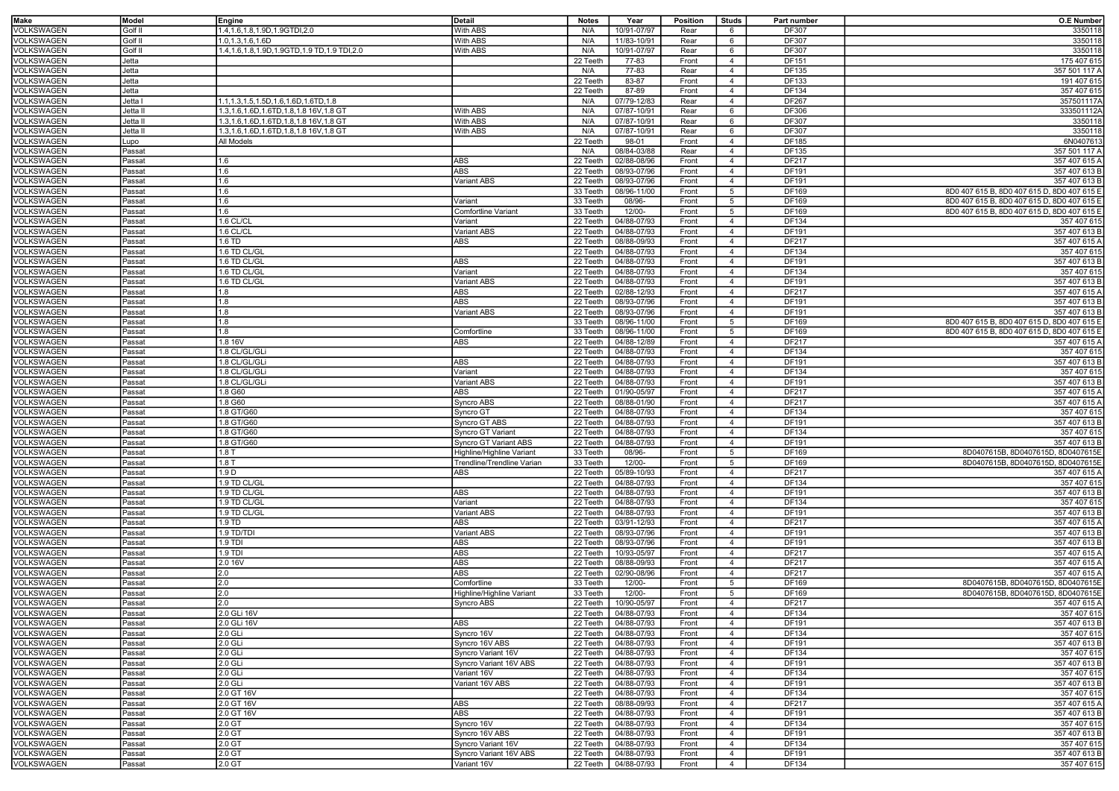| <b>Make</b>       | Model    | Engine                                            | Detail                     | <b>Notes</b> | Year                   | <b>Position</b> | <b>Studs</b>    | Part number  | <b>O.E Number</b>                           |
|-------------------|----------|---------------------------------------------------|----------------------------|--------------|------------------------|-----------------|-----------------|--------------|---------------------------------------------|
| VOLKSWAGEN        | Golf II  | 1.4, 1.6, 1.8, 1.9D, 1.9GTDI, 2.0                 | With ABS                   | N/A          | 10/91-07/97            | Rear            | 6               | DF307        | 3350118                                     |
| VOLKSWAGEN        | Golf II  | 1.0,1.3,1.6,1.6D                                  | With ABS                   | N/A          | 11/83-10/91            | Rear            | 6               | DF307        | 3350118                                     |
|                   |          |                                                   |                            |              |                        |                 |                 |              |                                             |
| VOLKSWAGEN        | Golf II  | 1.4, 1.6, 1.8, 1.9D, 1.9GTD, 1.9 TD, 1.9 TDI, 2.0 | With ABS                   | N/A          | 10/91-07/97            | Rear            | 6               | <b>DF307</b> | 3350118                                     |
| VOLKSWAGEN        | Jetta    |                                                   |                            | 22 Teeth     | 77-83                  | Front           | $\overline{4}$  | DF151        | 175 407 615                                 |
| VOLKSWAGEN        | Jetta    |                                                   |                            | N/A          | 77-83                  | Rear            | $\overline{4}$  | <b>DF135</b> | 357 501 117 A                               |
| VOLKSWAGEN        | Jetta    |                                                   |                            | 22 Teeth     | 83-87                  | Front           | $\overline{4}$  | <b>DF133</b> | 191 407 615                                 |
| <b>VOLKSWAGEN</b> | Jetta    |                                                   |                            | 22 Teeth     | 87-89                  | Front           | $\overline{4}$  | DF134        | 357 407 615                                 |
| VOLKSWAGEN        | Jetta I  | 1.1, 1.3, 1.5, 1.5D, 1.6, 1.6D, 1.6TD, 1.8        |                            | N/A          | 07/79-12/83            | Rear            | $\overline{4}$  | <b>DF267</b> | 357501117A                                  |
| VOLKSWAGEN        | Jetta I  | 1.3,1.6,1.6D,1.6TD,1.8,1.8 16V,1.8 GT             | With ABS                   | N/A          | 07/87-10/91            | Rear            | 6               | DF306        | 333501112A                                  |
| VOLKSWAGEN        | Jetta II | 1.3,1.6,1.6D,1.6TD,1.8,1.8 16V,1.8 GT             | <b>With ABS</b>            | N/A          | 07/87-10/91            | Rear            | 6               | DF307        | 3350118                                     |
| VOLKSWAGEN        | Jetta II | 1.3, 1.6, 1.6D, 1.6TD, 1.8, 1.8 16V, 1.8 GT       | <b>With ABS</b>            | N/A          | 07/87-10/91            | Rear            | 6               | DF307        | 3350118                                     |
| VOLKSWAGEN        | Lupo     | All Models                                        |                            | 22 Teeth     | 98-01                  | Front           | $\overline{4}$  | DF185        | 6N0407613                                   |
|                   |          |                                                   |                            |              |                        | Rear            |                 |              |                                             |
| VOLKSWAGEN        | Passat   |                                                   |                            | N/A          | 08/84-03/88            |                 | $\overline{4}$  | DF135        | 357 501 117 A                               |
| VOLKSWAGEN        | Passat   | 1.6                                               | ABS                        | 22 Teeth     | 02/88-08/96            | Front           | $\overline{4}$  | DF217        | 357 407 615 A                               |
| VOLKSWAGEN        | Passat   | 1.6                                               | ABS                        | 22 Teeth     | 08/93-07/96            | Front           | $\overline{4}$  | DF191        | 357 407 613 B                               |
| VOLKSWAGEN        | Passat   | 1.6                                               | Variant ABS                | 22 Teeth     | 08/93-07/96            | Front           | $\overline{4}$  | DF191        | 357 407 613 B                               |
| VOLKSWAGEN        | Passat   | 1.6                                               |                            | 33 Teeth     | 08/96-11/00            | Front           | $5\overline{5}$ | DF169        | 8D0 407 615 B, 8D0 407 615 D, 8D0 407 615 E |
| VOLKSWAGEN        | Passat   | 1.6                                               | Variant                    | 33 Teeth     | 08/96-                 | Front           | $5\overline{5}$ | DF169        | 8D0 407 615 B, 8D0 407 615 D, 8D0 407 615 E |
| VOLKSWAGEN        | Passat   | 1.6                                               | <b>Comfortline Variant</b> | 33 Teeth     | 12/00-                 | Front           | $5\overline{5}$ | DF169        | 8D0 407 615 B, 8D0 407 615 D, 8D0 407 615 E |
| VOLKSWAGEN        | Passat   | 1.6 CL/CL                                         | Variant                    | 22 Teeth     | 04/88-07/93            | Front           | $\overline{4}$  | DF134        | 357 407 615                                 |
| VOLKSWAGEN        | Passat   | 1.6 CL/CL                                         | Variant ABS                | 22 Teeth     | 04/88-07/93            | Front           | $\overline{4}$  | DF191        | 357 407 613 B                               |
| VOLKSWAGEN        | Passat   | 1.6 TD                                            | ABS                        | 22 Teeth     | 08/88-09/93            | Front           | $\overline{4}$  | DF217        | 357 407 615 A                               |
|                   |          |                                                   |                            |              |                        |                 |                 |              |                                             |
| VOLKSWAGEN        | Passat   | 1.6 TD CL/GL                                      |                            | 22 Teeth     | 04/88-07/93            | Front           | $\overline{4}$  | DF134        | 357 407 615                                 |
| VOLKSWAGEN        | Passat   | 1.6 TD CL/GL                                      | ABS                        | 22 Teeth     | 04/88-07/93            | Front           | $\overline{4}$  | DF191        | 357 407 613 B                               |
| VOLKSWAGEN        | Passat   | 1.6 TD CL/GL                                      | Variant                    | 22 Teeth     | 04/88-07/93            | Front           | $\overline{4}$  | DF134        | 357 407 615                                 |
| VOLKSWAGEN        | Passat   | 1.6 TD CL/GL                                      | Variant ABS                | 22 Teeth     | 04/88-07/93            | Front           | $\overline{4}$  | DF191        | 357 407 613 B                               |
| VOLKSWAGEN        | Passat   | 1.8                                               | ABS                        | 22 Teeth     | 02/88-12/93            | Front           | $\overline{4}$  | <b>DF217</b> | 357 407 615 A                               |
| VOLKSWAGEN        | Passat   | 1.8                                               | ABS                        | 22 Teeth     | 08/93-07/96            | Front           | $\overline{4}$  | <b>DF191</b> | 357 407 613 B                               |
| VOLKSWAGEN        | Passat   | 1.8                                               | Variant ABS                | 22 Teeth     | 08/93-07/96            | Front           | $\overline{4}$  | DF191        | 357 407 613 B                               |
|                   |          | 1.8                                               |                            | 33 Teeth     | 08/96-11/00            | Front           | $5\overline{5}$ | DF169        | 8D0 407 615 B, 8D0 407 615 D, 8D0 407 615 E |
| VOLKSWAGEN        | Passat   |                                                   |                            |              |                        |                 |                 |              |                                             |
| VOLKSWAGEN        | Passat   | 1.8                                               | Comfortline                | 33 Teeth     | 08/96-11/00            | Front           | $5\overline{5}$ | DF169        | 8D0 407 615 B, 8D0 407 615 D, 8D0 407 615 E |
| VOLKSWAGEN        | Passat   | 1.8 16V                                           | ABS                        | 22 Teeth     | 04/88-12/89            | Front           | $\overline{4}$  | <b>DF217</b> | 357 407 615 A                               |
| VOLKSWAGEN        | Passat   | 1.8 CL/GL/GLi                                     |                            | 22 Teeth     | 04/88-07/93            | Front           | $\overline{4}$  | DF134        | 357 407 615                                 |
| VOLKSWAGEN        | Passat   | 1.8 CL/GL/GLi                                     | ABS                        | 22 Teeth     | 04/88-07/93            | Front           | $\overline{4}$  | DF191        | 357 407 613 B                               |
| VOLKSWAGEN        | Passat   | 1.8 CL/GL/GLi                                     | Variant                    | 22 Teeth     | 04/88-07/93            | Front           | $\overline{4}$  | DF134        | 357 407 615                                 |
| VOLKSWAGEN        | Passat   | 1.8 CL/GL/GLi                                     | <b>Variant ABS</b>         | 22 Teeth     | 04/88-07/93            | Front           | $\overline{4}$  | DF191        | 357 407 613 B                               |
| VOLKSWAGEN        | Passat   | 1.8 G60                                           | ABS                        | 22 Teeth     | 01/90-05/97            | Front           | $\overline{4}$  | DF217        | 357 407 615 A                               |
| VOLKSWAGEN        | Passat   | 1.8 G60                                           | Syncro ABS                 | 22 Teeth     | 08/88-01/90            | Front           | $\overline{4}$  | DF217        | 357 407 615 A                               |
|                   |          |                                                   |                            |              |                        |                 |                 |              |                                             |
| VOLKSWAGEN        | Passat   | 1.8 GT/G60                                        | Syncro GT                  | 22 Teeth     | 04/88-07/93            | Front           | $\overline{4}$  | DF134        | 357 407 615                                 |
| VOLKSWAGEN        | Passat   | 1.8 GT/G60                                        | Syncro GT ABS              | 22 Teeth     | 04/88-07/93            | Front           | $\overline{4}$  | DF191        | 357 407 613 B                               |
| VOLKSWAGEN        | Passat   | 1.8 GT/G60                                        | Syncro GT Variant          | 22 Teeth     | 04/88-07/93            | Front           | $\overline{4}$  | DF134        | 357 407 615                                 |
| VOLKSWAGEN        | Passat   | 1.8 GT/G60                                        | Syncro GT Variant ABS      | 22 Teeth     | 04/88-07/93            | Front           | $\overline{4}$  | DF191        | 357 407 613 B                               |
| VOLKSWAGEN        | Passat   | 1.8T                                              | Highline/Highline Variant  | 33 Teeth     | 08/96-                 | Front           | $5\overline{5}$ | DF169        | 8D0407615B, 8D0407615D, 8D0407615E          |
| VOLKSWAGEN        | Passat   | 1.8T                                              | Trendline/Trendline Varian | 33 Teeth     | 12/00-                 | Front           | $5\overline{5}$ | DF169        | 8D0407615B, 8D0407615D, 8D0407615E          |
| VOLKSWAGEN        | Passat   | 1.9 D                                             | ABS                        | 22 Teeth     | 05/89-10/93            | Front           | $\overline{4}$  | DF217        | 357 407 615 A                               |
|                   |          |                                                   |                            |              |                        |                 |                 |              |                                             |
| VOLKSWAGEN        | Passat   | 1.9 TD CL/GL                                      |                            | 22 Teeth     | 04/88-07/93            | Front           | $\overline{4}$  | DF134        | 357 407 615                                 |
| VOLKSWAGEN        | Passat   | 1.9 TD CL/GL                                      | ABS                        | 22 Teeth     | 04/88-07/93            | Front           | $\overline{4}$  | DF191        | 357 407 613 B                               |
| VOLKSWAGEN        | Passat   | 1.9 TD CL/GL                                      | Variant                    | 22 Teeth     | 04/88-07/93            | Front           | $\overline{4}$  | DF134        | 357 407 615                                 |
| VOLKSWAGEN        | Passat   | 1.9 TD CL/GL                                      | Variant ABS                | 22 Teeth     | 04/88-07/93            | Front           | $\overline{4}$  | DF191        | 357 407 613 B                               |
| VOLKSWAGEN        | Passat   | 1.9 TD                                            | ABS                        | 22 Teeth     | 03/91-12/93            | Front           | $\overline{4}$  | DF217        | 357 407 615 A                               |
| VOLKSWAGEN        | Passat   | 1.9 TD/TDI                                        | <b>Variant ABS</b>         | 22 Teeth     | 08/93-07/96            | Front           | $\overline{4}$  | DF191        | 357 407 613 B                               |
| VOLKSWAGEN        | Passat   | 1.9 TDI                                           | ABS                        | 22 Teeth     | 08/93-07/96            | Front           | $\overline{4}$  | DF191        | 357 407 613 B                               |
| VOLKSWAGEN        | Passat   | 1.9 TDI                                           | <b>ABS</b>                 | 22 Teeth     | 10/93-05/97            | Front           | $\overline{4}$  | <b>DF217</b> | 357 407 615 A                               |
| VOLKSWAGEN        | Passat   | 2.0 16V                                           | ABS                        | 22 Teeth     | 08/88-09/93            | Front           | $\overline{4}$  | <b>DF217</b> | 357 407 615 A                               |
|                   |          |                                                   |                            |              |                        |                 |                 | <b>DF217</b> |                                             |
| VOLKSWAGEN        | Passat   | 2.0                                               | ABS                        | 22 Teeth     | 02/90-08/96            | Front           | $\overline{4}$  |              | 357 407 615 A                               |
| VOLKSWAGEN        | Passat   | 2.0                                               | Comfortline                | 33 Teeth     | 12/00-                 | Front           | $5\overline{5}$ | DF169        | 8D0407615B, 8D0407615D, 8D0407615E          |
| VOLKSWAGEN        | Passat   | 2.0                                               | Highline/Highline Variant  | 33 Teeth     | 12/00-                 | Front           | 5               | DF169        | 8D0407615B, 8D0407615D, 8D0407615E          |
| VOLKSWAGEN        | Passat   | 2.0                                               | Syncro ABS                 | 22 Teeth     | 10/90-05/97            | Front           | $\overline{4}$  | <b>DF217</b> | 357 407 615 A                               |
| VOLKSWAGEN        | Passat   | 2.0 GLi 16V                                       |                            |              | 22 Teeth   04/88-07/93 | Front           | $\overline{4}$  | DF134        | 357 407 615                                 |
| VOLKSWAGEN        | Passat   | 2.0 GLi 16V                                       | ABS                        | 22 Teeth     | 04/88-07/93            | Front           | $\overline{4}$  | DF191        | 357 407 613 B                               |
| VOLKSWAGEN        | Passat   | 2.0 GLi                                           | Syncro 16V                 | 22 Teeth     | 04/88-07/93            | Front           | $\overline{4}$  | DF134        | 357 407 615                                 |
| VOLKSWAGEN        | Passat   | 2.0 GLi                                           | Syncro 16V ABS             | 22 Teeth     | 04/88-07/93            | Front           | $\overline{4}$  | DF191        | 357 407 613 B                               |
|                   |          |                                                   |                            | 22 Teeth     |                        |                 |                 |              |                                             |
| VOLKSWAGEN        | Passat   | 2.0 GLi                                           | Syncro Variant 16V         |              | 04/88-07/93            | Front           | $\overline{4}$  | DF134        | 357 407 615                                 |
| VOLKSWAGEN        | Passat   | 2.0 GLi                                           | Syncro Variant 16V ABS     | 22 Teeth     | 04/88-07/93            | Front           | $\overline{4}$  | DF191        | 357 407 613 B                               |
| VOLKSWAGEN        | Passat   | 2.0 GLi                                           | Variant 16V                | 22 Teeth     | 04/88-07/93            | Front           | $\overline{4}$  | DF134        | 357 407 615                                 |
| VOLKSWAGEN        | Passat   | 2.0 GLi                                           | Variant 16V ABS            | 22 Teeth     | 04/88-07/93            | Front           | $\overline{4}$  | DF191        | 357 407 613 B                               |
| VOLKSWAGEN        | Passat   | 2.0 GT 16V                                        |                            | 22 Teeth     | 04/88-07/93            | Front           | $\overline{4}$  | DF134        | 357 407 615                                 |
| VOLKSWAGEN        | Passat   | 2.0 GT 16V                                        | ABS                        | 22 Teeth     | 08/88-09/93            | Front           | $\overline{4}$  | DF217        | 357 407 615 A                               |
| VOLKSWAGEN        | Passat   | 2.0 GT 16V                                        | ABS                        | 22 Teeth     | 04/88-07/93            | Front           | $\overline{4}$  | DF191        | 357 407 613 B                               |
| VOLKSWAGEN        | Passat   | 2.0 GT                                            | Syncro 16V                 | 22 Teeth     | 04/88-07/93            | Front           | $\overline{4}$  | DF134        | 357 407 615                                 |
| VOLKSWAGEN        | Passat   | 2.0 GT                                            | Syncro 16V ABS             | 22 Teeth     | 04/88-07/93            | Front           | $\overline{4}$  | DF191        | 357 407 613 B                               |
|                   |          |                                                   |                            |              |                        |                 |                 |              |                                             |
| VOLKSWAGEN        | Passat   | 2.0 GT                                            | Syncro Variant 16V         | 22 Teeth     | 04/88-07/93            | Front           | $\overline{4}$  | DF134        | 357 407 615                                 |
| <b>VOLKSWAGEN</b> | Passat   | 2.0 GT                                            | Syncro Variant 16V ABS     | 22 Teeth     | 04/88-07/93            | Front           | $\overline{4}$  | DF191        | 357 407 613 B                               |
| VOLKSWAGEN        | Passat   | 2.0 GT                                            | Variant 16V                | 22 Teeth     | 04/88-07/93            | Front           | $\overline{4}$  | DF134        | 357 407 615                                 |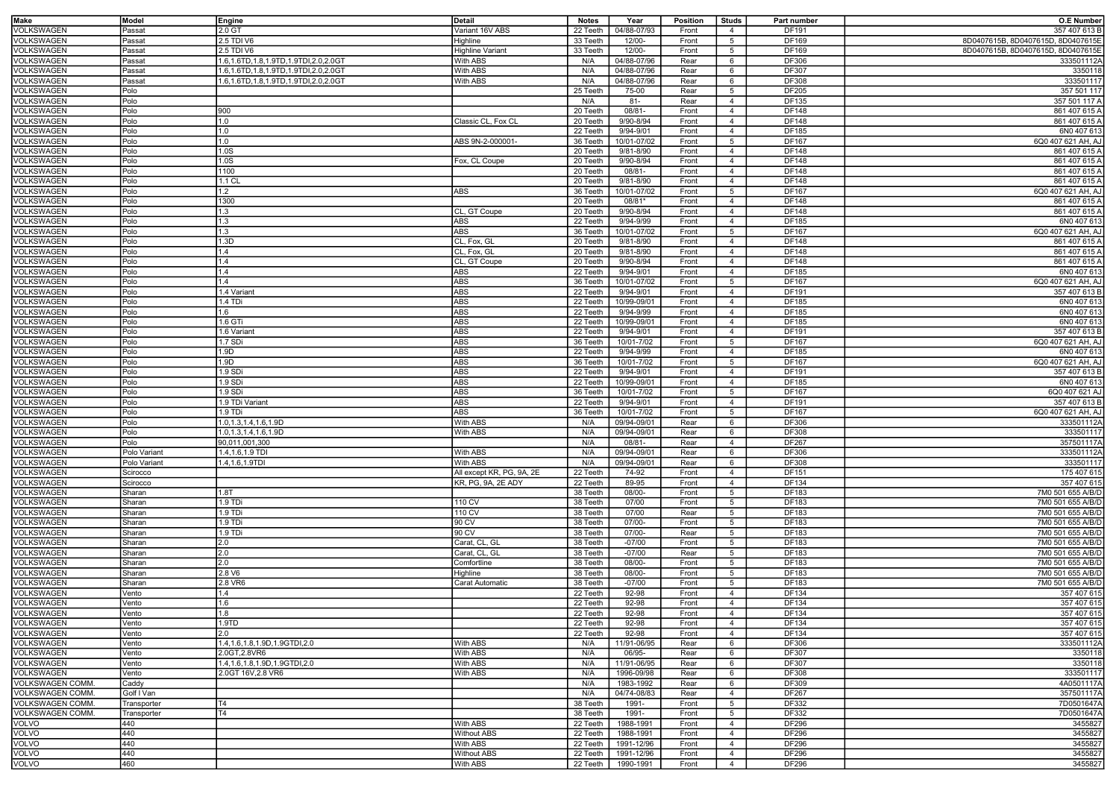| Make                     | Model        | Engine                               | Detail                    | <b>Notes</b> | Year        | <b>Position</b> | <b>Studs</b>    | Part number | <b>O.E Number</b>                  |
|--------------------------|--------------|--------------------------------------|---------------------------|--------------|-------------|-----------------|-----------------|-------------|------------------------------------|
| VOLKSWAGEN               | Passat       | 2.0 GT                               | Variant 16V ABS           | 22 Teeth     | 04/88-07/93 | Front           | $\overline{4}$  | DF191       | 357 407 613 B                      |
| VOLKSWAGEN               | Passat       | 2.5 TDI V6                           | Highline                  | 33 Teeth     | 12/00-      | Front           | $5\overline{5}$ | DF169       | 8D0407615B, 8D0407615D, 8D0407615E |
| VOLKSWAGEN               | Passat       | 2.5 TDI V6                           | <b>Highline Variant</b>   | 33 Teeth     | 12/00-      | Front           | $5\overline{5}$ | DF169       | 8D0407615B, 8D0407615D, 8D0407615E |
| <b>VOLKSWAGEN</b>        | Passat       | 1.6,1.6TD,1.8,1.9TD,1.9TDI,2.0,2.0GT | With ABS                  | N/A          | 04/88-07/96 | Rear            | 6               | DF306       | 333501112A                         |
|                          |              | 1.6,1.6TD,1.8,1.9TD,1.9TDI,2.0,2.0GT |                           |              | 04/88-07/96 |                 |                 | DF307       |                                    |
| VOLKSWAGEN               | Passat       |                                      | With ABS                  | N/A          |             | Rear            | 6               |             | 3350118                            |
| VOLKSWAGEN               | Passat       | 1.6,1.6TD,1.8,1.9TD,1.9TDI,2.0,2.0GT | With ABS                  | N/A          | 04/88-07/96 | Rear            | 6               | DF308       | 333501117                          |
| VOLKSWAGEN               | Polo         |                                      |                           | 25 Teeth     | 75-00       | Rear            | 5               | DF205       | 357 501 117                        |
| VOLKSWAGEN               | Polo         |                                      |                           | N/A          | $81 -$      | Rear            | $\overline{4}$  | DF135       | 357 501 117 A                      |
| VOLKSWAGEN               | Polo         | 900                                  |                           | 20 Teeth     | $08/81 -$   | Front           | $\overline{4}$  | DF148       | 861 407 615 A                      |
| VOLKSWAGEN               | Polo         | 1.0                                  | Classic CL, Fox CL        | 20 Teeth     | 9/90-8/94   | Front           | $\overline{4}$  | DF148       | 861 407 615 A                      |
| VOLKSWAGEN               | Polo         | 1.0                                  |                           | 22 Teeth     | 9/94-9/01   | Front           | $\overline{4}$  | DF185       | 6N0 407 613                        |
| VOLKSWAGEN               | Polo         | 1.0                                  | ABS 9N-2-000001-          | 36 Teeth     | 10/01-07/02 | Front           | $5\overline{5}$ | DF167       | 6Q0 407 621 AH, AJ                 |
| VOLKSWAGEN               | Polo         | 1.0S                                 |                           | 20 Teeth     | 9/81-8/90   | Front           | $\overline{4}$  | DF148       | 861 407 615 A                      |
| VOLKSWAGEN               | Polo         | 1.0S                                 | Fox, CL Coupe             | 20 Teeth     | 9/90-8/94   | Front           | $\overline{4}$  | DF148       | 861 407 615 A                      |
| VOLKSWAGEN               | Polo         | 1100                                 |                           | 20 Teeth     | 08/81-      | Front           | $\overline{4}$  | DF148       | 861 407 615 A                      |
| VOLKSWAGEN               | Polo         | $1.1$ CL                             |                           | 20 Teeth     | 9/81-8/90   | Front           | $\overline{4}$  | DF148       | 861 407 615 A                      |
| VOLKSWAGEN               | Polo         | 1.2                                  | ABS                       | 36 Teeth     | 10/01-07/02 | Front           | 5               | DF167       | 6Q0 407 621 AH, AJ                 |
| VOLKSWAGEN               | Polo         | 1300                                 |                           | 20 Teeth     | 08/81*      | Front           | $\overline{4}$  | DF148       | 861 407 615 A                      |
| VOLKSWAGEN               | Polo         | 1.3                                  | CL, GT Coupe              | 20 Teeth     | 9/90-8/94   | Front           | $\overline{4}$  | DF148       | 861 407 615 A                      |
| VOLKSWAGEN               | Polo         | 1.3                                  | ABS                       | 22 Teeth     | 9/94-9/99   | Front           | $\overline{4}$  | DF185       | 6N0 407 613                        |
| VOLKSWAGEN               | Polo         | 1.3                                  | <b>ABS</b>                | 36 Teeth     | 10/01-07/02 | Front           | $5\overline{5}$ | DF167       | 6Q0 407 621 AH, AJ                 |
|                          |              | 1.3D                                 |                           | 20 Teeth     |             | Front           |                 |             |                                    |
| VOLKSWAGEN               | Polo         | 1.4                                  | CL, Fox, GL               |              | 9/81-8/90   |                 | $\overline{4}$  | DF148       | 861 407 615 A                      |
| VOLKSWAGEN               | Polo         |                                      | CL, Fox, GL               | 20 Teeth     | 9/81-8/90   | Front           | $\overline{4}$  | DF148       | 861 407 615 A                      |
| VOLKSWAGEN               | Polo         | 1.4                                  | CL, GT Coupe              | 20 Teeth     | 9/90-8/94   | Front           | $\overline{4}$  | DF148       | 861 407 615 A                      |
| VOLKSWAGEN               | Polo         | 1.4                                  | ABS                       | 22 Teeth     | 9/94-9/01   | Front           | $\overline{4}$  | DF185       | 6N0 407 613                        |
| VOLKSWAGEN               | Polo         | 1.4                                  | <b>ABS</b>                | 36 Teeth     | 10/01-07/02 | Front           | $5\overline{5}$ | DF167       | 6Q0 407 621 AH, AJ                 |
| VOLKSWAGEN               | Polo         | 1.4 Variant                          | <b>ABS</b>                | 22 Teeth     | 9/94-9/01   | Front           | $\overline{4}$  | DF191       | 357 407 613 B                      |
| VOLKSWAGEN               | Polo         | 1.4 TDi                              | ABS                       | 22 Teeth     | 10/99-09/01 | Front           | $\overline{4}$  | DF185       | 6N0 407 613                        |
| VOLKSWAGEN               | Polo         | 1.6                                  | <b>ABS</b>                | 22 Teeth     | 9/94-9/99   | Front           | $\overline{4}$  | DF185       | 6N0 407 613                        |
| VOLKSWAGEN               | Polo         | 1.6 GTi                              | ABS                       | 22 Teeth     | 10/99-09/01 | Front           | $\overline{4}$  | DF185       | 6N0 407 613                        |
| <b>VOLKSWAGEN</b>        | Polo         | 1.6 Variant                          | ABS                       | 22 Teeth     | 9/94-9/01   | Front           | $\overline{4}$  | DF191       | 357 407 613 B                      |
| VOLKSWAGEN               | Polo         | 1.7 SDi                              | ABS                       | 36 Teeth     | 10/01-7/02  | Front           | 5               | DF167       | 6Q0 407 621 AH, AJ                 |
| VOLKSWAGEN               | Polo         | 1.9D                                 | ABS                       | 22 Teeth     | 9/94-9/99   | Front           | $\overline{4}$  | DF185       | 6N0 407 613                        |
| VOLKSWAGEN               | Polo         | 1.9D                                 | <b>ABS</b>                | 36 Teeth     | 10/01-7/02  | Front           | $5\overline{5}$ | DF167       | 6Q0 407 621 AH, AJ                 |
| VOLKSWAGEN               | Polo         | 1.9 SDi                              | ABS                       | 22 Teeth     | 9/94-9/01   | Front           | $\overline{4}$  | DF191       | 357 407 613 B                      |
| VOLKSWAGEN               | Polo         | 1.9 SDi                              | ABS                       | 22 Teeth     | 10/99-09/01 | Front           | $\overline{4}$  | DF185       | 6N0 407 613                        |
| VOLKSWAGEN               | Polo         | 1.9 SDi                              | ABS                       | 36 Teeth     | 10/01-7/02  | Front           | $5\overline{5}$ | DF167       | 6Q0 407 621 AJ                     |
|                          | Polo         |                                      | <b>ABS</b>                |              |             |                 |                 |             |                                    |
| VOLKSWAGEN               |              | 1.9 TDi Variant                      |                           | 22 Teeth     | 9/94-9/01   | Front           | $\overline{4}$  | DF191       | 357 407 613 B                      |
| VOLKSWAGEN               | Polo         | 1.9 TDi                              | ABS                       | 36 Teeth     | 10/01-7/02  | Front           | 5               | DF167       | 6Q0 407 621 AH, AJ                 |
| VOLKSWAGEN               | Polo         | 1.0, 1.3, 1.4, 1.6, 1.9D             | With ABS                  | N/A          | 09/94-09/01 | Rear            | 6               | DF306       | 333501112A                         |
| VOLKSWAGEN               | Polo         | 1.0,1.3,1.4,1.6,1.9D                 | With ABS                  | N/A          | 09/94-09/01 | Rear            | 6               | DF308       | 333501117                          |
| VOLKSWAGEN               | Polo         | 90,011,001,300                       |                           | N/A          | 08/81-      | Rear            | $\overline{4}$  | DF267       | 357501117A                         |
| VOLKSWAGEN               | Polo Variant | 1.4, 1.6, 1.9 TDI                    | With ABS                  | N/A          | 09/94-09/01 | Rear            | 6               | DF306       | 333501112A                         |
| VOLKSWAGEN               | Polo Variant | 1.4, 1.6, 1.9TDI                     | With ABS                  | N/A          | 09/94-09/01 | Rear            | 6               | DF308       | 333501117                          |
| VOLKSWAGEN               | Scirocco     |                                      | All except KR, PG, 9A, 2E | 22 Teeth     | 74-92       | Front           | $\overline{4}$  | DF151       | 175 407 615                        |
| VOLKSWAGEN               | Scirocco     |                                      | KR, PG, 9A, 2E ADY        | 22 Teeth     | 89-95       | Front           | $\overline{4}$  | DF134       | 357 407 615                        |
| VOLKSWAGEN               | Sharan       | 1.8T                                 |                           | 38 Teeth     | 08/00-      | Front           | $5\overline{5}$ | DF183       | 7M0 501 655 A/B/D                  |
| VOLKSWAGEN               | Sharan       | 1.9 TDi                              | 110 CV                    | 38 Teeth     | 07/00       | Front           | $5\overline{5}$ | DF183       | 7M0 501 655 A/B/D                  |
| VOLKSWAGEN               | Sharan       | 1.9 TDi                              | 110 CV                    | 38 Teeth     | 07/00       | Rear            | $5\overline{5}$ | DF183       | 7M0 501 655 A/B/D                  |
| VOLKSWAGEN               | Sharan       | 1.9 TDi                              | 90 CV                     | 38 Teeth     | 07/00-      | Front           | $5\overline{5}$ | DF183       | 7M0 501 655 A/B/D                  |
| VOLKSWAGEN               | Sharan       | 1.9 TDi                              | 90 CV                     | 38 Teeth     | 07/00-      | Rear            | $5\overline{5}$ | DF183       | 7M0 501 655 A/B/D                  |
| VOLKSWAGEN               | Sharan       | 2.0                                  | Carat, CL, GL             | 38 Teeth     | $-07/00$    | Front           | $5\overline{5}$ | DF183       | 7M0 501 655 A/B/D                  |
| VOLKSWAGEN               | Sharan       | 2.0                                  | Carat, CL, GL             | 38 Teeth     | $-07/00$    | Rear            | $5\overline{5}$ | DF183       | 7M0 501 655 A/B/D                  |
| VOLKSWAGEN               | Sharan       | 2.0                                  | Comfortline               | 38 Teeth     | 08/00-      | Front           | $5\overline{5}$ | DF183       | 7M0 501 655 A/B/D                  |
| VOLKSWAGEN               | Sharan       | 2.8 V6                               | Highline                  | 38 Teeth     | 08/00-      | Front           | 5               | DF183       | 7M0 501 655 A/B/D                  |
| VOLKSWAGEN               | Sharan       | 2.8 VR6                              | Carat Automatic           | 38 Teeth     | $-07/00$    | Front           | $5\overline{5}$ | DF183       | 7M0 501 655 A/B/D                  |
| VOLKSWAGEN               | Vento        | 1.4                                  |                           | 22 Teeth     | 92-98       | Front           | $\overline{4}$  | DF134       | 357 407 615                        |
| VOLKSWAGEN               | Vento        | 1.6                                  |                           | 22 Teeth     | 92-98       | Front           | $\overline{4}$  | DF134       | 357 407 615                        |
|                          |              |                                      |                           |              |             |                 |                 |             | 357 407 615                        |
| VOLKSWAGEN               | Vento        | 11.8                                 |                           | 22 Teeth     | 92-98       | Front           | 4               | DF134       |                                    |
| VOLKSWAGEN<br>VOLKSWAGEN | Vento        | 1.9TD<br>2.0                         |                           | 22 Teeth     | 92-98       | Front           | $\overline{4}$  | DF134       | 357 407 615                        |
|                          | Vento        |                                      |                           | 22 Teeth     | 92-98       | Front           | $\overline{4}$  | DF134       | 357 407 615                        |
| VOLKSWAGEN               | Vento        | 1.4, 1.6, 1.8, 1.9D, 1.9GTDI, 2.0    | With ABS                  | N/A          | 11/91-06/95 | Rear            | 6               | DF306       | 333501112A                         |
| VOLKSWAGEN               | Vento        | 2.0GT, 2.8VR6                        | With ABS                  | N/A          | 06/95-      | Rear            | 6               | DF307       | 3350118                            |
| VOLKSWAGEN               | Vento        | 1.4,1.6,1.8,1.9D,1.9GTDI,2.0         | With ABS                  | N/A          | 11/91-06/95 | Rear            | 6               | DF307       | 3350118                            |
| VOLKSWAGEN               | Vento        | 2.0GT 16V, 2.8 VR6                   | With ABS                  | N/A          | 1996-09/98  | Rear            | 6               | DF308       | 333501117                          |
| VOLKSWAGEN COMM.         | Caddy        |                                      |                           | N/A          | 1983-1992   | Rear            | 6               | DF309       | 4A0501117A                         |
| VOLKSWAGEN COMM.         | Golf I Van   |                                      |                           | N/A          | 04/74-08/83 | Rear            | $\overline{4}$  | DF267       | 357501117A                         |
| VOLKSWAGEN COMM.         | Transporter  | T4                                   |                           | 38 Teeth     | 1991-       | Front           | $5\overline{5}$ | DF332       | 7D0501647A                         |
| VOLKSWAGEN COMM.         | Transporter  | IT4                                  |                           | 38 Teeth     | 1991-       | Front           | 5               | DF332       | 7D0501647A                         |
| VOLVO                    | 440          |                                      | With ABS                  | 22 Teeth     | 1988-1991   | Front           | $\overline{4}$  | DF296       | 3455827                            |
| VOLVO                    | 440          |                                      | <b>Without ABS</b>        | 22 Teeth     | 1988-1991   | Front           | $\overline{4}$  | DF296       | 3455827                            |
| VOLVO                    | 440          |                                      | With ABS                  | 22 Teeth     | 1991-12/96  | Front           | $\overline{4}$  | DF296       | 3455827                            |
| VOLVO                    | 440          |                                      | <b>Without ABS</b>        | 22 Teeth     | 1991-12/96  | Front           | $\overline{4}$  | DF296       | 3455827                            |
| VOLVO                    | 460          |                                      | With ABS                  | 22 Teeth     | 1990-1991   | Front           | $\overline{4}$  | DF296       | 3455827                            |